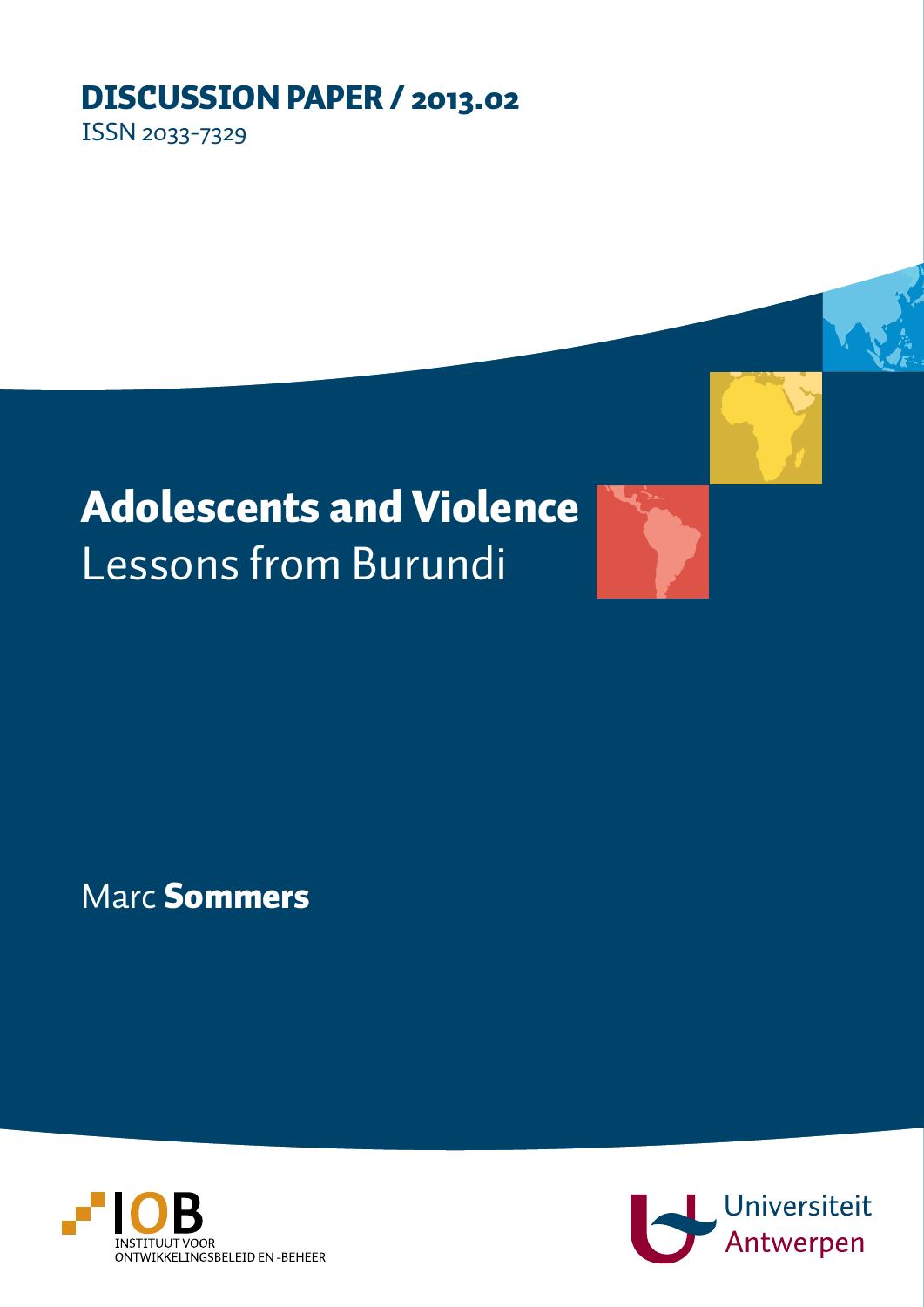# DISCUSSION PAPER / 2013.02

ISSN 2033-7329

Adolescents and Violence Lessons from Burundi

Marc Sommers



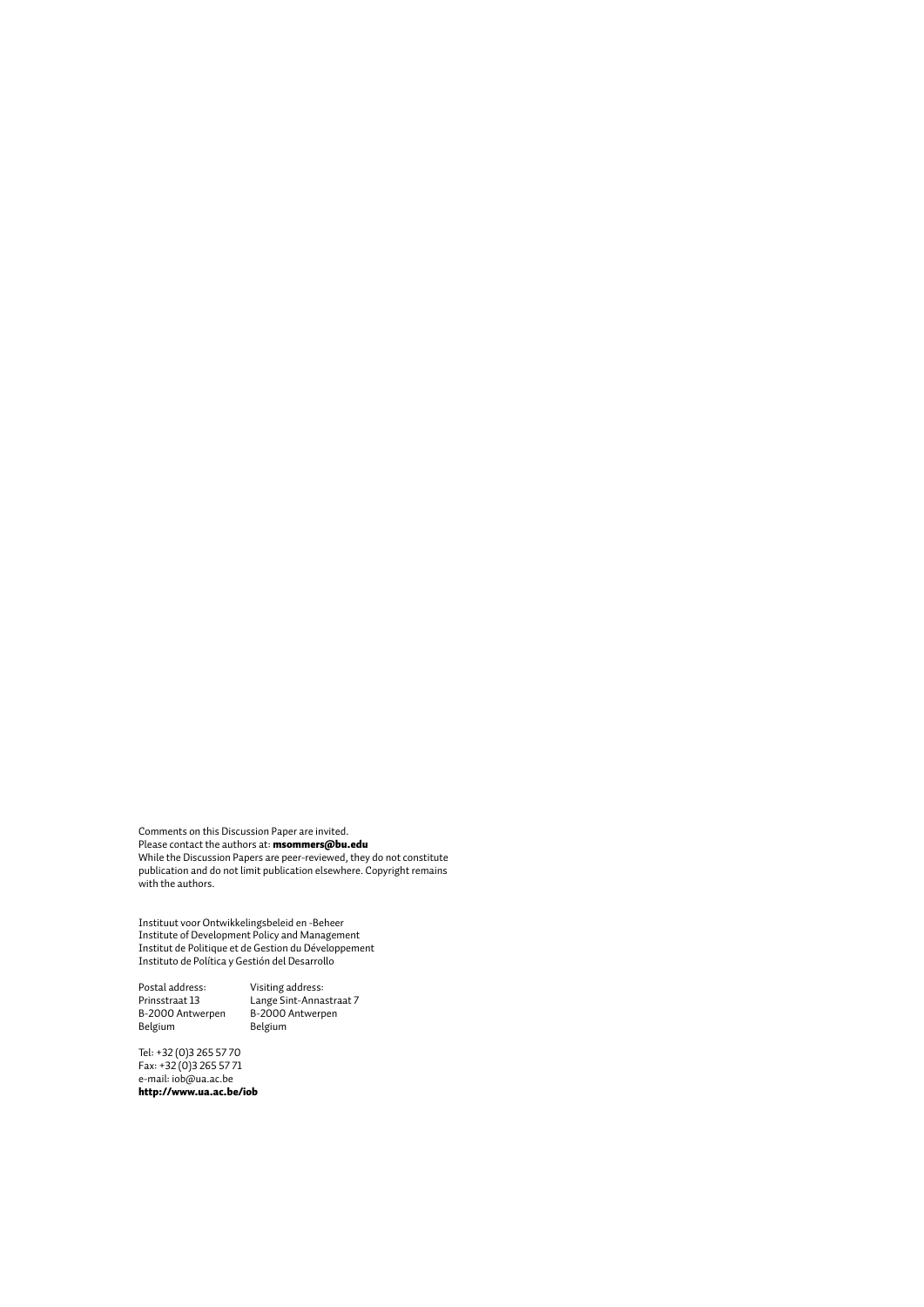Comments on this Discussion Paper are invited. Please contact the authors at: **msommers@bu.edu** While the Discussion Papers are peer-reviewed, they do not constitute publication and do not limit publication elsewhere. Copyright remains with the authors.

Instituut voor Ontwikkelingsbeleid en -Beheer Institute of Development Policy and Management Institut de Politique et de Gestion du Développement Instituto de Política y Gestión del Desarrollo

Postal address: Visiting address: Postal auditess:<br>Prinsstraat 13<br>B-2000 Antwerpen<br>Belgium Belgium Belgium

Prinsstraat 13 Lange Sint-Annastraat 7

Tel: +32 (0)3 265 57 70 Fax: +32 (0)3 265 57 71 e-mail: iob@ua.ac.be http://www.ua.ac.be/iob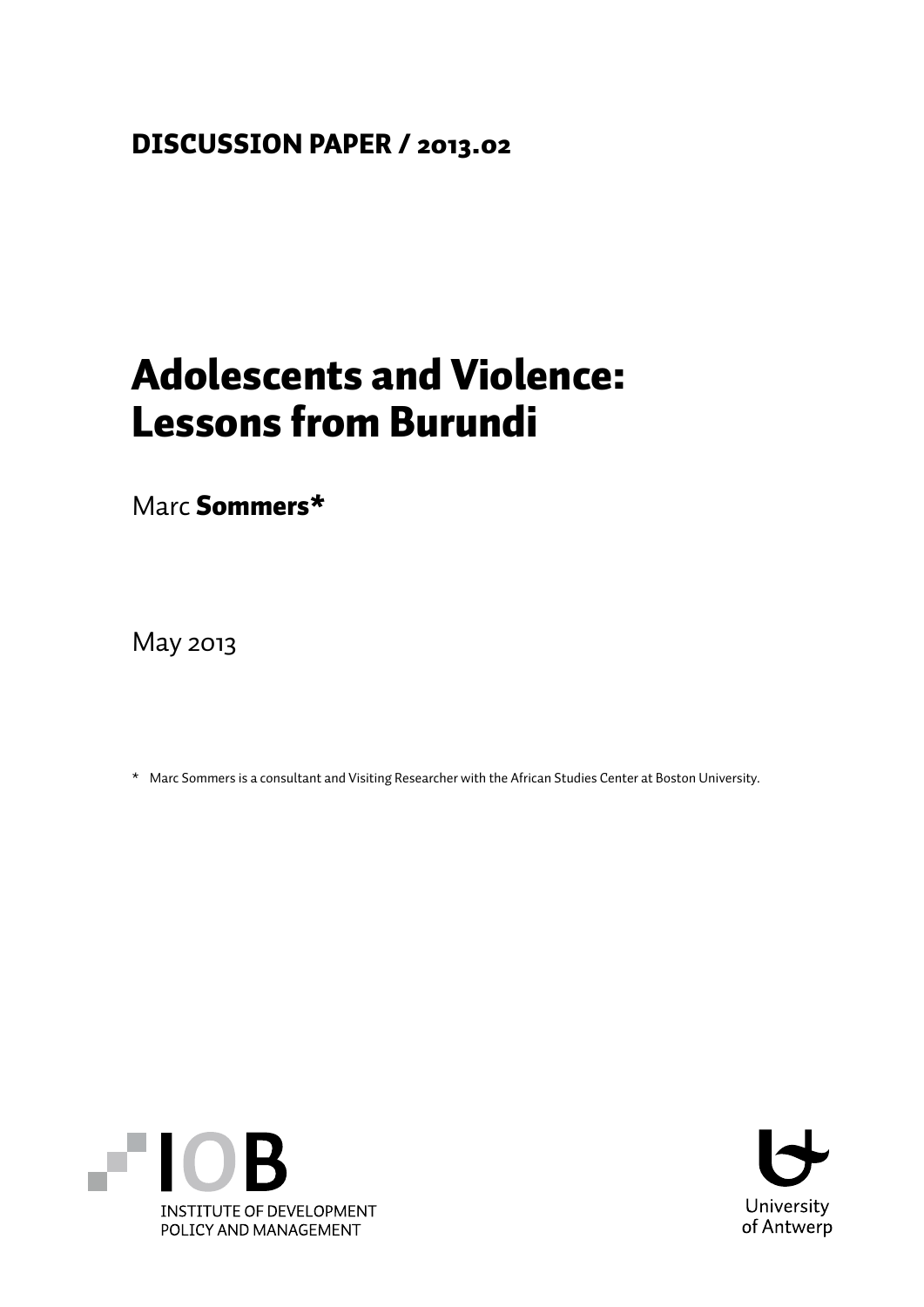### DISCUSSION PAPER / 2013.02

## Adolescents and Violence: Lessons from Burundi

Marc Sommers\*

May 2013

\* Marc Sommers is a consultant and Visiting Researcher with the African Studies Center at Boston University.



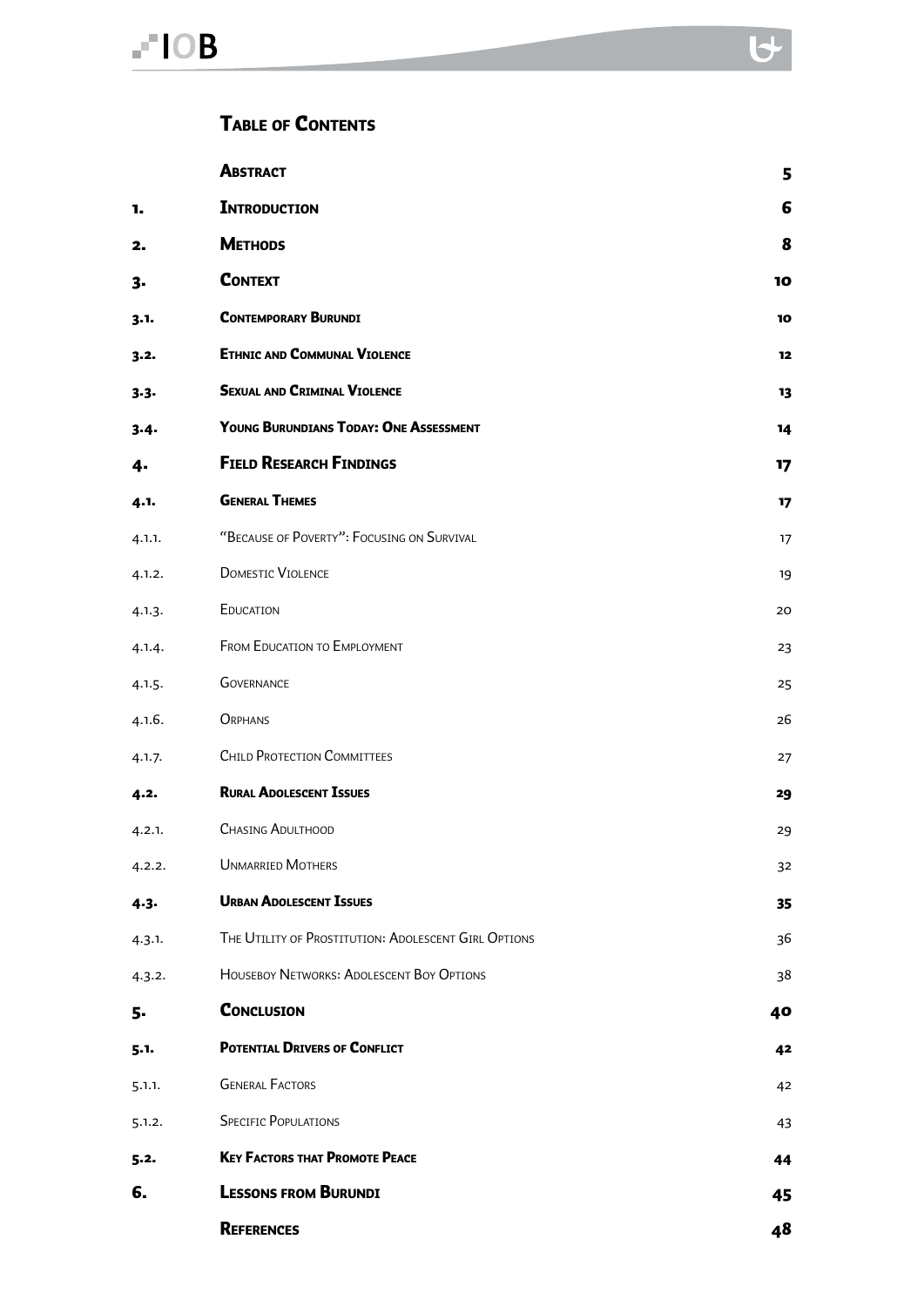#### Table of Contents

|           | <b>ABSTRACT</b>                                      | 5  |
|-----------|------------------------------------------------------|----|
| 1.        | <b>INTRODUCTION</b>                                  | 6  |
| 2.        | <b>METHODS</b>                                       | 8  |
| 3-        | <b>CONTEXT</b>                                       | 10 |
| 3.1.      | <b>CONTEMPORARY BURUNDI</b>                          | 10 |
| $3 - 2$   | <b>ETHNIC AND COMMUNAL VIOLENCE</b>                  | 12 |
| $3 - 3 -$ | <b>SEXUAL AND CRIMINAL VIOLENCE</b>                  | 13 |
| $3-4-$    | YOUNG BURUNDIANS TODAY: ONE ASSESSMENT               | 14 |
| 4.        | <b>FIELD RESEARCH FINDINGS</b>                       | 17 |
| 4.1.      | <b>GENERAL THEMES</b>                                | 17 |
| 4.1.1.    | "BECAUSE OF POVERTY": FOCUSING ON SURVIVAL           | 17 |
| 4.1.2.    | <b>DOMESTIC VIOLENCE</b>                             | 19 |
| 4.1.3.    | EDUCATION                                            | 20 |
| 4.1.4.    | <b>FROM EDUCATION TO EMPLOYMENT</b>                  | 23 |
| 4.1.5.    | <b>GOVERNANCE</b>                                    | 25 |
| 4.1.6.    | ORPHANS                                              | 26 |
| 4.1.7.    | <b>CHILD PROTECTION COMMITTEES</b>                   | 27 |
| 4.2.      | <b>RURAL ADOLESCENT ISSUES</b>                       | 29 |
| 4.2.1.    | <b>CHASING ADULTHOOD</b>                             | 29 |
| 4.2.2.    | <b>UNMARRIED MOTHERS</b>                             | 32 |
| $4 - 3 -$ | <b>URBAN ADOLESCENT ISSUES</b>                       | 35 |
| 4.3.1.    | THE UTILITY OF PROSTITUTION: ADOLESCENT GIRL OPTIONS | 36 |
| 4.3.2.    | HOUSEBOY NETWORKS: ADOLESCENT BOY OPTIONS            | 38 |
| 5.        | <b>CONCLUSION</b>                                    | 40 |
| $5 - 1 -$ | POTENTIAL DRIVERS OF CONFLICT                        | 42 |
| 5.1.1.    | <b>GENERAL FACTORS</b>                               | 42 |
| 5.1.2.    | <b>SPECIFIC POPULATIONS</b>                          | 43 |
| 5.2.      | <b>KEY FACTORS THAT PROMOTE PEACE</b>                | 44 |
| 6.        | <b>LESSONS FROM BURUNDI</b>                          | 45 |
|           | <b>REFERENCES</b>                                    | 48 |

 $\overline{\mathbf{b}}$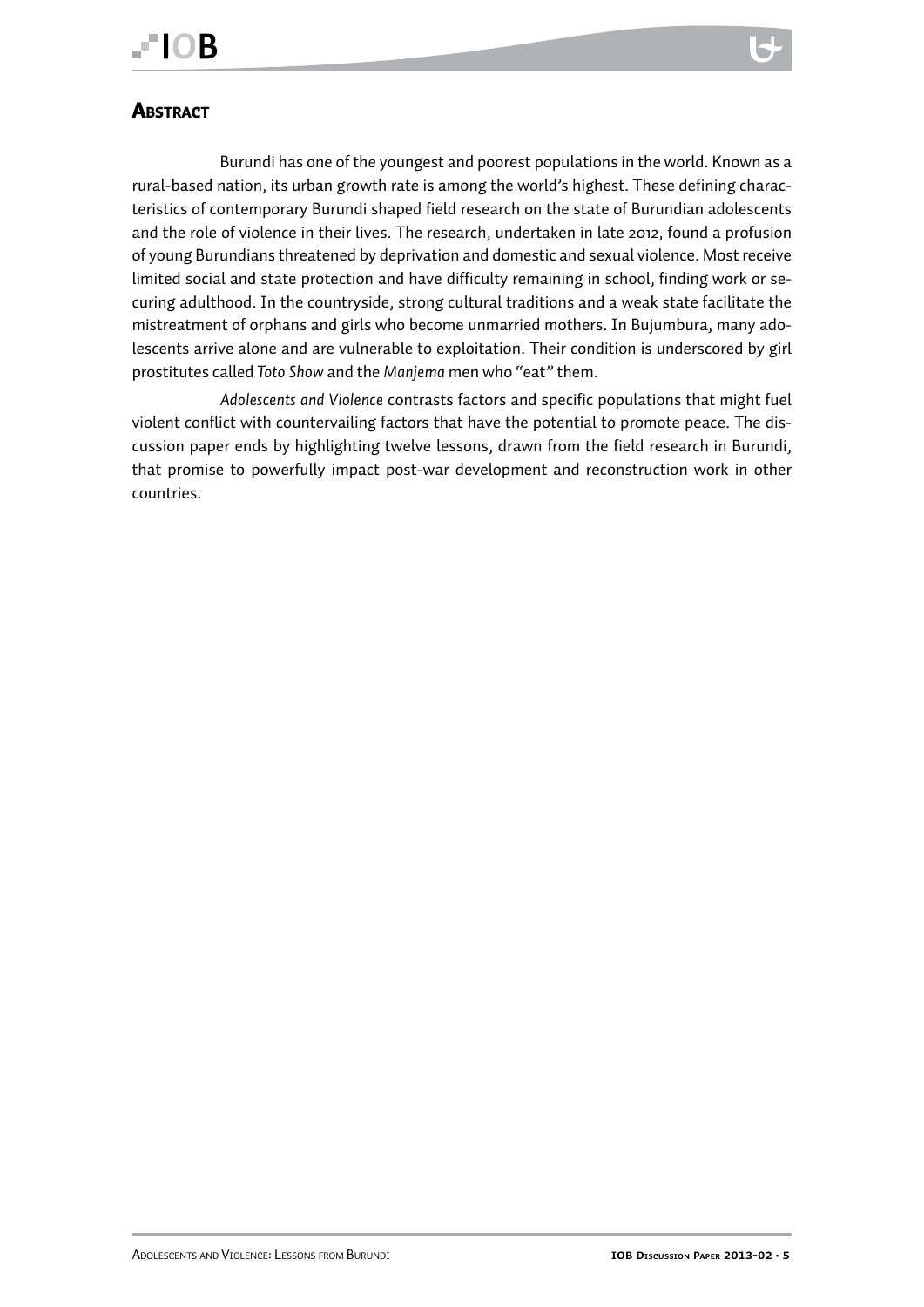

#### <span id="page-4-0"></span>**ABSTRACT**

Burundi has one of the youngest and poorest populations in the world. Known as a rural-based nation, its urban growth rate is among the world's highest. These defining characteristics of contemporary Burundi shaped field research on the state of Burundian adolescents and the role of violence in their lives. The research, undertaken in late 2012, found a profusion of young Burundians threatened by deprivation and domestic and sexual violence. Most receive limited social and state protection and have difficulty remaining in school, finding work or securing adulthood. In the countryside, strong cultural traditions and a weak state facilitate the mistreatment of orphans and girls who become unmarried mothers. In Bujumbura, many adolescents arrive alone and are vulnerable to exploitation. Their condition is underscored by girl prostitutes called *Toto Show* and the *Manjema* men who "eat" them.

*Adolescents and Violence* contrasts factors and specific populations that might fuel violent conflict with countervailing factors that have the potential to promote peace. The discussion paper ends by highlighting twelve lessons, drawn from the field research in Burundi, that promise to powerfully impact post-war development and reconstruction work in other countries.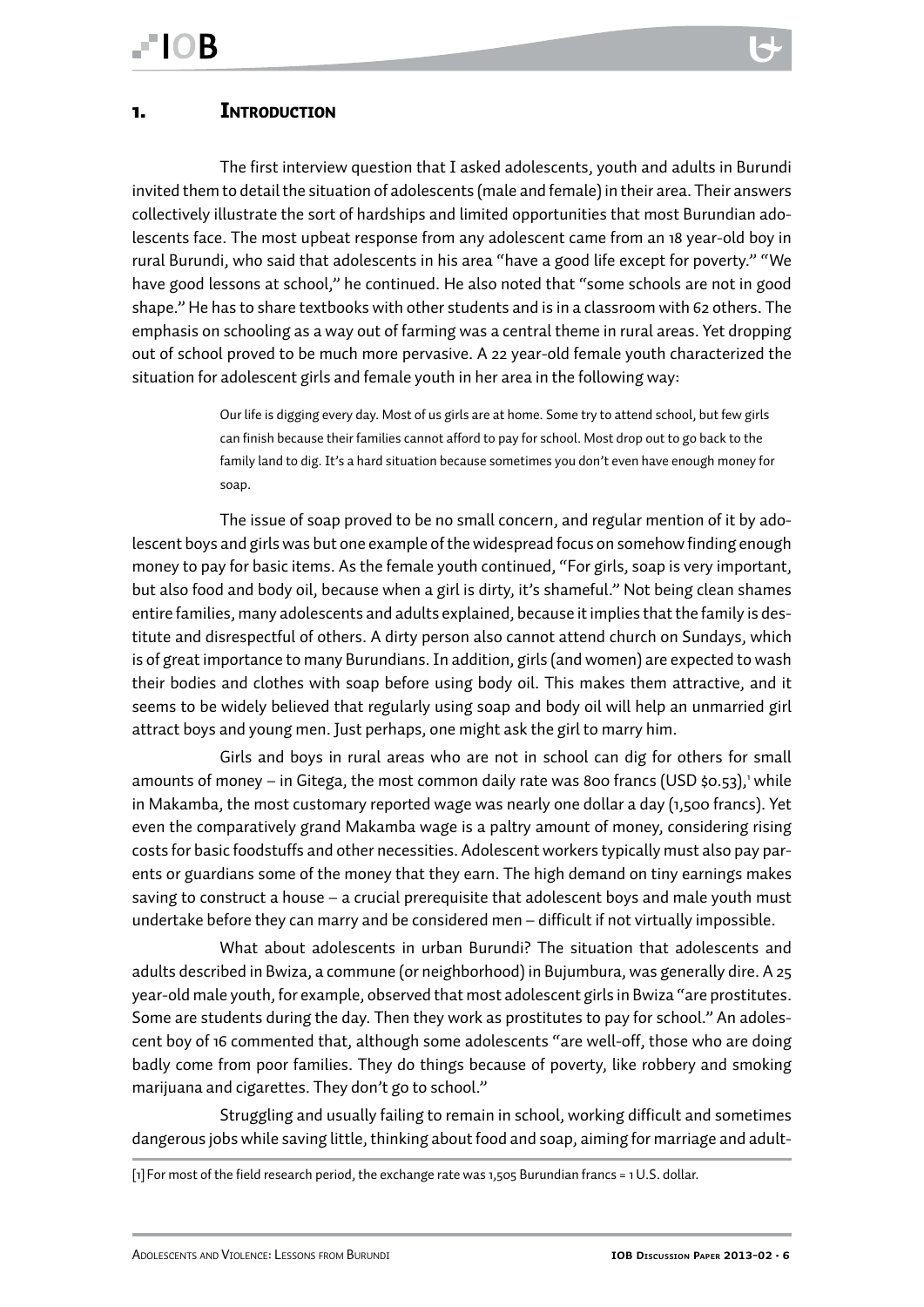<span id="page-5-0"></span>The first interview question that I asked adolescents, youth and adults in Burundi invited them to detail the situation of adolescents (male and female) in their area. Their answers collectively illustrate the sort of hardships and limited opportunities that most Burundian adolescents face. The most upbeat response from any adolescent came from an 18 year-old boy in rural Burundi, who said that adolescents in his area "have a good life except for poverty." "We have good lessons at school," he continued. He also noted that "some schools are not in good shape." He has to share textbooks with other students and is in a classroom with 62 others. The emphasis on schooling as a way out of farming was a central theme in rural areas. Yet dropping out of school proved to be much more pervasive. A 22 year-old female youth characterized the situation for adolescent girls and female youth in her area in the following way:

> Our life is digging every day. Most of us girls are at home. Some try to attend school, but few girls can finish because their families cannot afford to pay for school. Most drop out to go back to the family land to dig. It's a hard situation because sometimes you don't even have enough money for soap.

The issue of soap proved to be no small concern, and regular mention of it by adolescent boys and girls was but one example of the widespread focus on somehow finding enough money to pay for basic items. As the female youth continued, "For girls, soap is very important, but also food and body oil, because when a girl is dirty, it's shameful." Not being clean shames entire families, many adolescents and adults explained, because it implies that the family is destitute and disrespectful of others. A dirty person also cannot attend church on Sundays, which is of great importance to many Burundians. In addition, girls (and women) are expected to wash their bodies and clothes with soap before using body oil. This makes them attractive, and it seems to be widely believed that regularly using soap and body oil will help an unmarried girl attract boys and young men. Just perhaps, one might ask the girl to marry him.

Girls and boys in rural areas who are not in school can dig for others for small amounts of money – in Gitega, the most common daily rate was 800 francs (USD \$0.53),' while in Makamba, the most customary reported wage was nearly one dollar a day (1,500 francs). Yet even the comparatively grand Makamba wage is a paltry amount of money, considering rising costs for basic foodstuffs and other necessities. Adolescent workers typically must also pay parents or guardians some of the money that they earn. The high demand on tiny earnings makes saving to construct a house – a crucial prerequisite that adolescent boys and male youth must undertake before they can marry and be considered men – difficult if not virtually impossible.

What about adolescents in urban Burundi? The situation that adolescents and adults described in Bwiza, a commune (or neighborhood) in Bujumbura, was generally dire. A 25 year-old male youth, for example, observed that most adolescent girls in Bwiza "are prostitutes. Some are students during the day. Then they work as prostitutes to pay for school." An adolescent boy of 16 commented that, although some adolescents "are well-off, those who are doing badly come from poor families. They do things because of poverty, like robbery and smoking marijuana and cigarettes. They don't go to school."

Struggling and usually failing to remain in school, working difficult and sometimes dangerous jobs while saving little, thinking about food and soap, aiming for marriage and adult-

<sup>[1]</sup> For most of the field research period, the exchange rate was 1,505 Burundian francs = 1 U.S. dollar.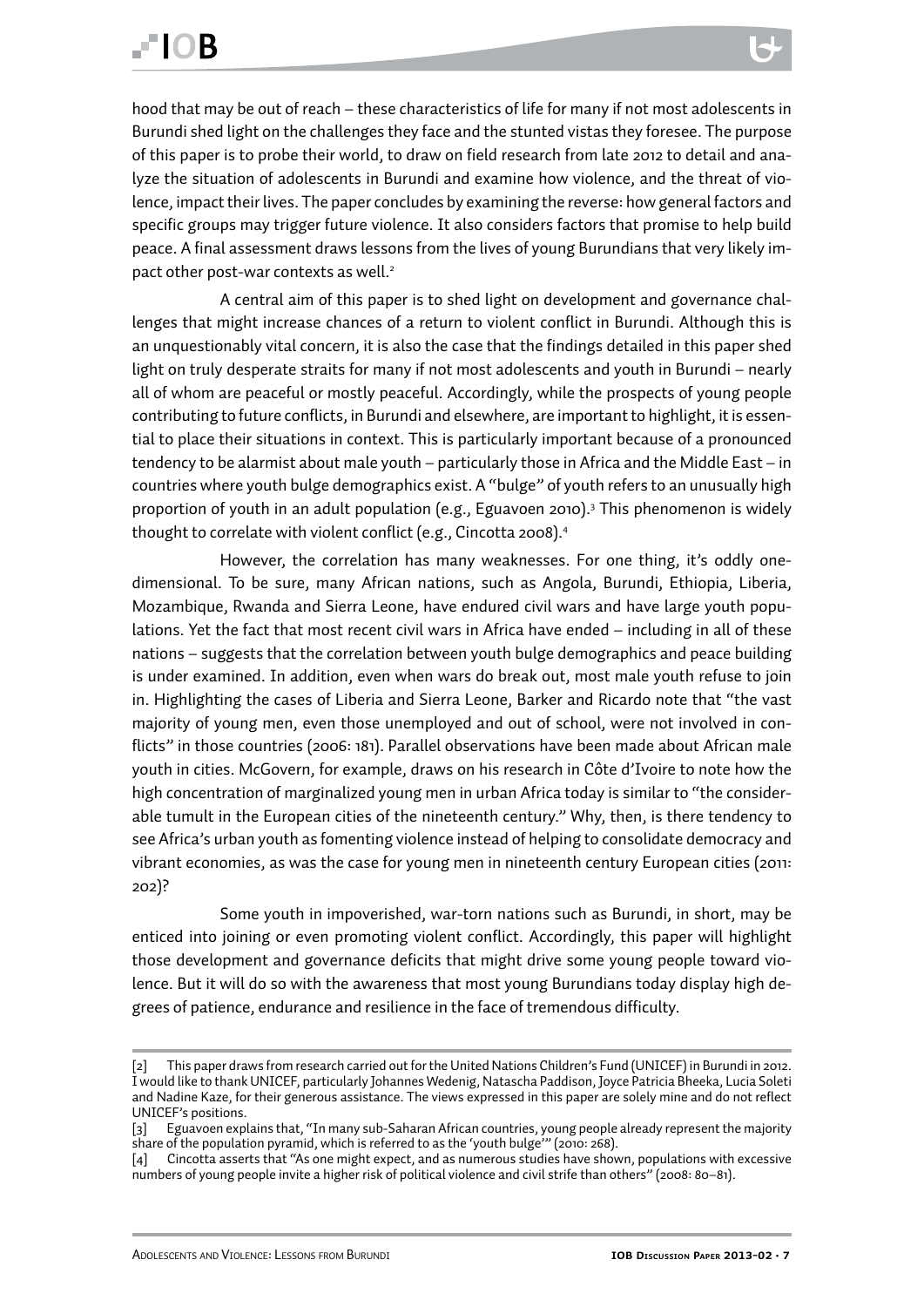hood that may be out of reach – these characteristics of life for many if not most adolescents in Burundi shed light on the challenges they face and the stunted vistas they foresee. The purpose of this paper is to probe their world, to draw on field research from late 2012 to detail and analyze the situation of adolescents in Burundi and examine how violence, and the threat of violence, impact their lives. The paper concludes by examining the reverse: how general factors and specific groups may trigger future violence. It also considers factors that promise to help build peace. A final assessment draws lessons from the lives of young Burundians that very likely impact other post-war contexts as well.<sup>2</sup>

A central aim of this paper is to shed light on development and governance challenges that might increase chances of a return to violent conflict in Burundi. Although this is an unquestionably vital concern, it is also the case that the findings detailed in this paper shed light on truly desperate straits for many if not most adolescents and youth in Burundi – nearly all of whom are peaceful or mostly peaceful. Accordingly, while the prospects of young people contributing to future conflicts, in Burundi and elsewhere, are important to highlight, it is essential to place their situations in context. This is particularly important because of a pronounced tendency to be alarmist about male youth – particularly those in Africa and the Middle East – in countries where youth bulge demographics exist. A "bulge" of youth refers to an unusually high proportion of youth in an adult population (e.g., Eguavoen 2010).3 This phenomenon is widely thought to correlate with violent conflict (e.g., Cincotta 2008).<sup>4</sup>

However, the correlation has many weaknesses. For one thing, it's oddly onedimensional. To be sure, many African nations, such as Angola, Burundi, Ethiopia, Liberia, Mozambique, Rwanda and Sierra Leone, have endured civil wars and have large youth populations. Yet the fact that most recent civil wars in Africa have ended – including in all of these nations – suggests that the correlation between youth bulge demographics and peace building is under examined. In addition, even when wars do break out, most male youth refuse to join in. Highlighting the cases of Liberia and Sierra Leone, Barker and Ricardo note that "the vast majority of young men, even those unemployed and out of school, were not involved in conflicts" in those countries (2006: 181). Parallel observations have been made about African male youth in cities. McGovern, for example, draws on his research in Côte d'Ivoire to note how the high concentration of marginalized young men in urban Africa today is similar to "the considerable tumult in the European cities of the nineteenth century." Why, then, is there tendency to see Africa's urban youth as fomenting violence instead of helping to consolidate democracy and vibrant economies, as was the case for young men in nineteenth century European cities (2011: 202)?

Some youth in impoverished, war-torn nations such as Burundi, in short, may be enticed into joining or even promoting violent conflict. Accordingly, this paper will highlight those development and governance deficits that might drive some young people toward violence. But it will do so with the awareness that most young Burundians today display high degrees of patience, endurance and resilience in the face of tremendous difficulty.

<sup>[2]</sup> This paper draws from research carried out for the United Nations Children's Fund (UNICEF) in Burundi in 2012. I would like to thank UNICEF, particularly Johannes Wedenig, Natascha Paddison, Joyce Patricia Bheeka, Lucia Soleti and Nadine Kaze, for their generous assistance. The views expressed in this paper are solely mine and do not reflect UNICEF's positions.

<sup>[3]</sup> Eguavoen explains that, "In many sub-Saharan African countries, young people already represent the majority share of the population pyramid, which is referred to as the 'youth bulge'" (2010: 268).

<sup>[4]</sup> Cincotta asserts that "As one might expect, and as numerous studies have shown, populations with excessive numbers of young people invite a higher risk of political violence and civil strife than others" (2008: 80–81).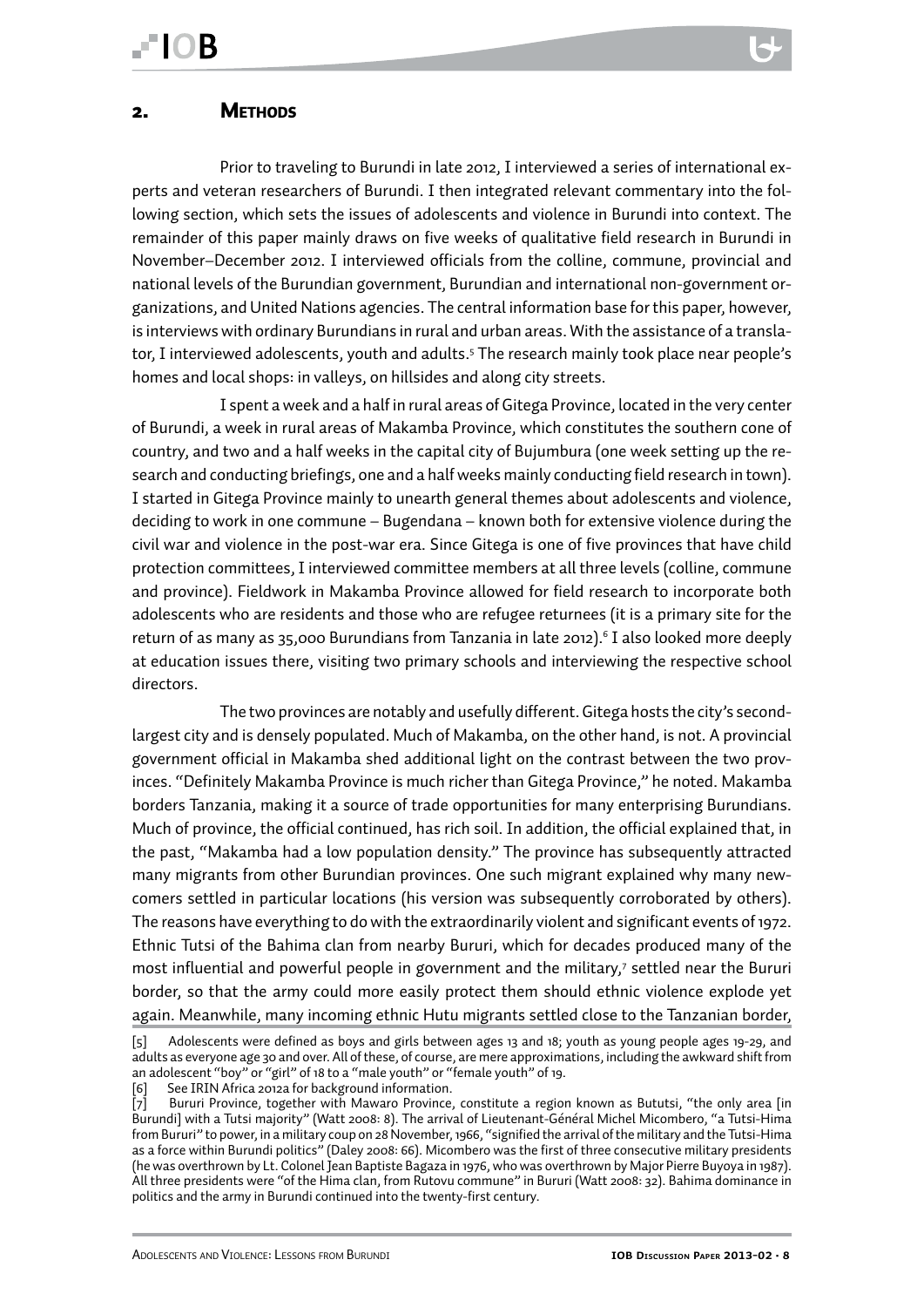<span id="page-7-0"></span>Prior to traveling to Burundi in late 2012, I interviewed a series of international experts and veteran researchers of Burundi. I then integrated relevant commentary into the following section, which sets the issues of adolescents and violence in Burundi into context. The remainder of this paper mainly draws on five weeks of qualitative field research in Burundi in November–December 2012. I interviewed officials from the colline, commune, provincial and national levels of the Burundian government, Burundian and international non-government organizations, and United Nations agencies. The central information base for this paper, however, is interviews with ordinary Burundians in rural and urban areas. With the assistance of a translator, I interviewed adolescents, youth and adults.<sup>5</sup> The research mainly took place near people's homes and local shops: in valleys, on hillsides and along city streets.

I spent a week and a half in rural areas of Gitega Province, located in the very center of Burundi, a week in rural areas of Makamba Province, which constitutes the southern cone of country, and two and a half weeks in the capital city of Bujumbura (one week setting up the research and conducting briefings, one and a half weeks mainly conducting field research in town). I started in Gitega Province mainly to unearth general themes about adolescents and violence, deciding to work in one commune – Bugendana – known both for extensive violence during the civil war and violence in the post-war era. Since Gitega is one of five provinces that have child protection committees, I interviewed committee members at all three levels (colline, commune and province). Fieldwork in Makamba Province allowed for field research to incorporate both adolescents who are residents and those who are refugee returnees (it is a primary site for the return of as many as 35,000 Burundians from Tanzania in late 2012).<sup>6</sup> I also looked more deeply at education issues there, visiting two primary schools and interviewing the respective school directors.

The two provinces are notably and usefully different. Gitega hosts the city's secondlargest city and is densely populated. Much of Makamba, on the other hand, is not. A provincial government official in Makamba shed additional light on the contrast between the two provinces. "Definitely Makamba Province is much richer than Gitega Province," he noted. Makamba borders Tanzania, making it a source of trade opportunities for many enterprising Burundians. Much of province, the official continued, has rich soil. In addition, the official explained that, in the past, "Makamba had a low population density." The province has subsequently attracted many migrants from other Burundian provinces. One such migrant explained why many newcomers settled in particular locations (his version was subsequently corroborated by others). The reasons have everything to do with the extraordinarily violent and significant events of 1972. Ethnic Tutsi of the Bahima clan from nearby Bururi, which for decades produced many of the most influential and powerful people in government and the military,<sup>7</sup> settled near the Bururi border, so that the army could more easily protect them should ethnic violence explode yet again. Meanwhile, many incoming ethnic Hutu migrants settled close to the Tanzanian border,

<sup>[5]</sup> Adolescents were defined as boys and girls between ages 13 and 18; youth as young people ages 19-29, and adults as everyone age 30 and over. All of these, of course, are mere approximations, including the awkward shift from an adolescent "boy" or "girl" of 18 to a "male youth" or "female youth" of 19.

See IRIN Africa 2012a for background information.

<sup>[7]</sup> Bururi Province, together with Mawaro Province, constitute a region known as Bututsi, "the only area [in Burundi] with a Tutsi majority" (Watt 2008: 8). The arrival of Lieutenant-Général Michel Micombero, "a Tutsi-Hima from Bururi" to power, in a military coup on 28 November, 1966, "signified the arrival of the military and the Tutsi-Hima as a force within Burundi politics" (Daley 2008: 66). Micombero was the first of three consecutive military presidents (he was overthrown by Lt. Colonel Jean Baptiste Bagaza in 1976, who was overthrown by Major Pierre Buyoya in 1987). All three presidents were "of the Hima clan, from Rutovu commune" in Bururi (Watt 2008: 32). Bahima dominance in politics and the army in Burundi continued into the twenty-first century.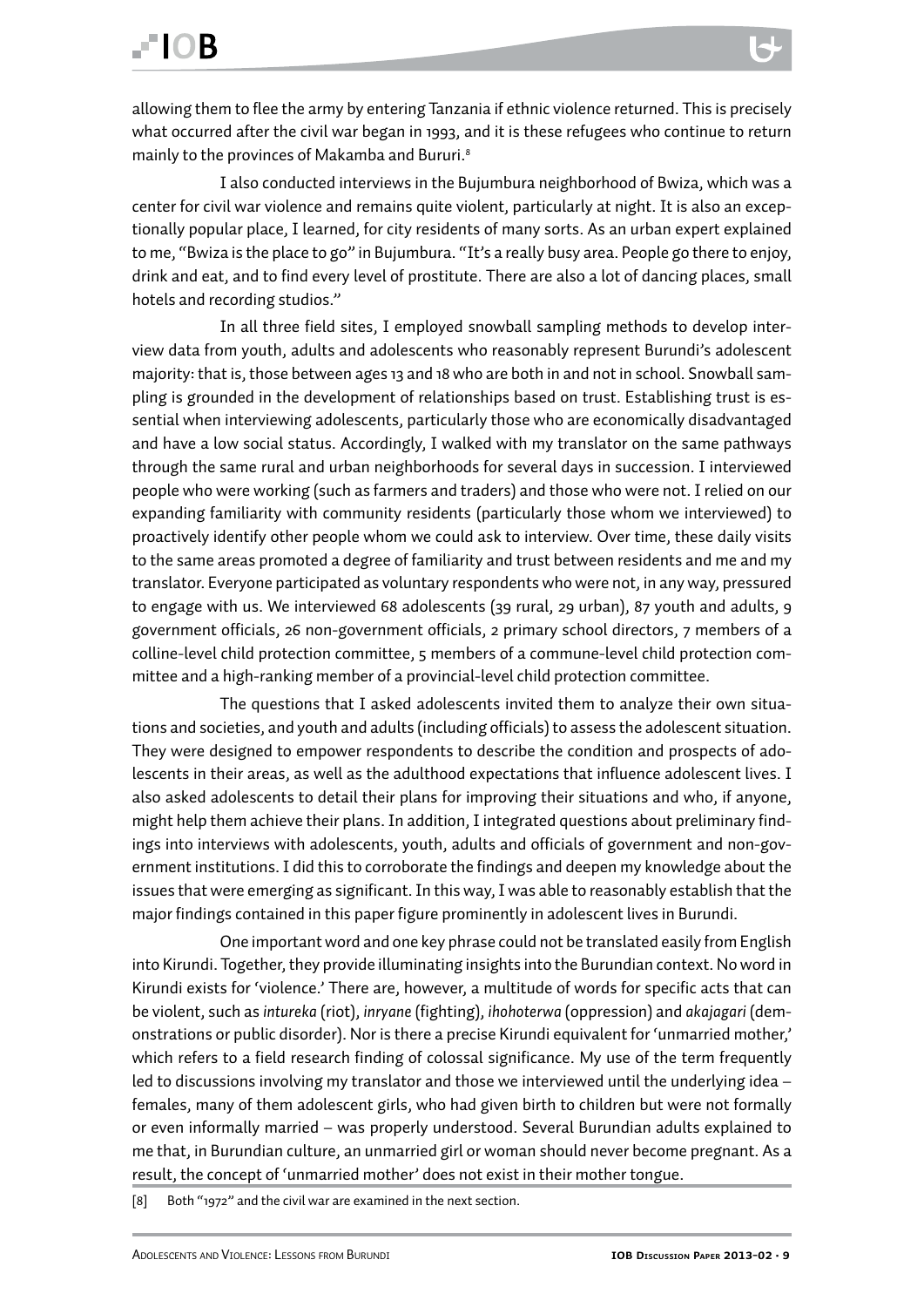I also conducted interviews in the Bujumbura neighborhood of Bwiza, which was a center for civil war violence and remains quite violent, particularly at night. It is also an exceptionally popular place, I learned, for city residents of many sorts. As an urban expert explained to me, "Bwiza is the place to go" in Bujumbura. "It's a really busy area. People go there to enjoy, drink and eat, and to find every level of prostitute. There are also a lot of dancing places, small hotels and recording studios."

In all three field sites, I employed snowball sampling methods to develop interview data from youth, adults and adolescents who reasonably represent Burundi's adolescent majority: that is, those between ages 13 and 18 who are both in and not in school. Snowball sampling is grounded in the development of relationships based on trust. Establishing trust is essential when interviewing adolescents, particularly those who are economically disadvantaged and have a low social status. Accordingly, I walked with my translator on the same pathways through the same rural and urban neighborhoods for several days in succession. I interviewed people who were working (such as farmers and traders) and those who were not. I relied on our expanding familiarity with community residents (particularly those whom we interviewed) to proactively identify other people whom we could ask to interview. Over time, these daily visits to the same areas promoted a degree of familiarity and trust between residents and me and my translator. Everyone participated as voluntary respondents who were not, in any way, pressured to engage with us. We interviewed 68 adolescents (39 rural, 29 urban), 87 youth and adults, 9 government officials, 26 non-government officials, 2 primary school directors, 7 members of a colline-level child protection committee, 5 members of a commune-level child protection committee and a high-ranking member of a provincial-level child protection committee.

The questions that I asked adolescents invited them to analyze their own situations and societies, and youth and adults (including officials) to assess the adolescent situation. They were designed to empower respondents to describe the condition and prospects of adolescents in their areas, as well as the adulthood expectations that influence adolescent lives. I also asked adolescents to detail their plans for improving their situations and who, if anyone, might help them achieve their plans. In addition, I integrated questions about preliminary findings into interviews with adolescents, youth, adults and officials of government and non-government institutions. I did this to corroborate the findings and deepen my knowledge about the issues that were emerging as significant. In this way, I was able to reasonably establish that the major findings contained in this paper figure prominently in adolescent lives in Burundi.

One important word and one key phrase could not be translated easily from English into Kirundi. Together, they provide illuminating insights into the Burundian context. No word in Kirundi exists for 'violence.' There are, however, a multitude of words for specific acts that can be violent, such as *intureka* (riot), *inryane* (fighting), *ihohoterwa* (oppression) and *akajagari* (demonstrations or public disorder). Nor is there a precise Kirundi equivalent for 'unmarried mother,' which refers to a field research finding of colossal significance. My use of the term frequently led to discussions involving my translator and those we interviewed until the underlying idea – females, many of them adolescent girls, who had given birth to children but were not formally or even informally married – was properly understood. Several Burundian adults explained to me that, in Burundian culture, an unmarried girl or woman should never become pregnant. As a result, the concept of 'unmarried mother' does not exist in their mother tongue.

[8] Both "1972" and the civil war are examined in the next section.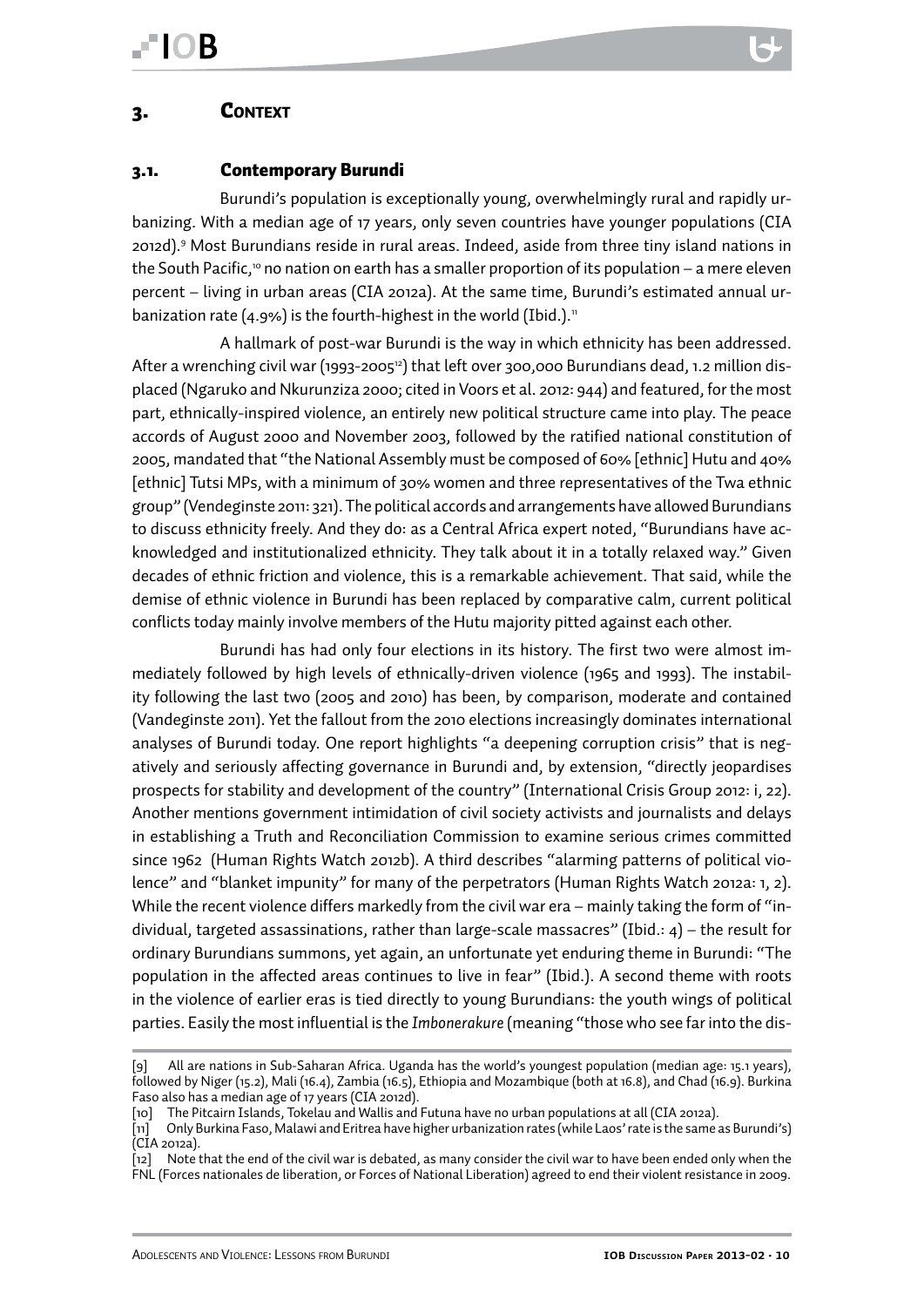#### <span id="page-9-0"></span>3. Context

#### 3.1. Contemporary Burundi

Burundi's population is exceptionally young, overwhelmingly rural and rapidly urbanizing. With a median age of 17 years, only seven countries have younger populations (CIA 2012d).9 Most Burundians reside in rural areas. Indeed, aside from three tiny island nations in the South Pacific,<sup>10</sup> no nation on earth has a smaller proportion of its population – a mere eleven percent – living in urban areas (CIA 2012a). At the same time, Burundi's estimated annual urbanization rate (4.9%) is the fourth-highest in the world (Ibid.).<sup>11</sup>

A hallmark of post-war Burundi is the way in which ethnicity has been addressed. After a wrenching civil war (1993-2005<sup>12</sup>) that left over 300,000 Burundians dead, 1.2 million displaced (Ngaruko and Nkurunziza 2000; cited in Voors et al. 2012: 944) and featured, for the most part, ethnically-inspired violence, an entirely new political structure came into play. The peace accords of August 2000 and November 2003, followed by the ratified national constitution of 2005, mandated that "the National Assembly must be composed of 60% [ethnic] Hutu and 40% [ethnic] Tutsi MPs, with a minimum of 30% women and three representatives of the Twa ethnic group" (Vendeginste 2011: 321). The political accords and arrangements have allowed Burundians to discuss ethnicity freely. And they do: as a Central Africa expert noted, "Burundians have acknowledged and institutionalized ethnicity. They talk about it in a totally relaxed way." Given decades of ethnic friction and violence, this is a remarkable achievement. That said, while the demise of ethnic violence in Burundi has been replaced by comparative calm, current political conflicts today mainly involve members of the Hutu majority pitted against each other.

Burundi has had only four elections in its history. The first two were almost immediately followed by high levels of ethnically-driven violence (1965 and 1993). The instability following the last two (2005 and 2010) has been, by comparison, moderate and contained (Vandeginste 2011). Yet the fallout from the 2010 elections increasingly dominates international analyses of Burundi today. One report highlights "a deepening corruption crisis" that is negatively and seriously affecting governance in Burundi and, by extension, "directly jeopardises prospects for stability and development of the country" (International Crisis Group 2012: i, 22). Another mentions government intimidation of civil society activists and journalists and delays in establishing a Truth and Reconciliation Commission to examine serious crimes committed since 1962 (Human Rights Watch 2012b). A third describes "alarming patterns of political violence" and "blanket impunity" for many of the perpetrators (Human Rights Watch 2012a: 1, 2). While the recent violence differs markedly from the civil war era – mainly taking the form of "individual, targeted assassinations, rather than large-scale massacres" (Ibid.: 4) – the result for ordinary Burundians summons, yet again, an unfortunate yet enduring theme in Burundi: "The population in the affected areas continues to live in fear" (Ibid.). A second theme with roots in the violence of earlier eras is tied directly to young Burundians: the youth wings of political parties. Easily the most influential is the *Imbonerakure* (meaning "those who see far into the dis-

<sup>[9]</sup> All are nations in Sub-Saharan Africa. Uganda has the world's youngest population (median age: 15.1 years), followed by Niger (15.2), Mali (16.4), Zambia (16.5), Ethiopia and Mozambique (both at 16.8), and Chad (16.9). Burkina Faso also has a median age of 17 years (CIA 2012d).

<sup>[10]</sup> The Pitcairn Islands, Tokelau and Wallis and Futuna have no urban populations at all (CIA 2012a).

<sup>[11]</sup> Only Burkina Faso, Malawi and Eritrea have higher urbanization rates (while Laos' rate is the same as Burundi's) (CIA 2012a).

<sup>[12]</sup> Note that the end of the civil war is debated, as many consider the civil war to have been ended only when the FNL (Forces nationales de liberation, or Forces of National Liberation) agreed to end their violent resistance in 2009.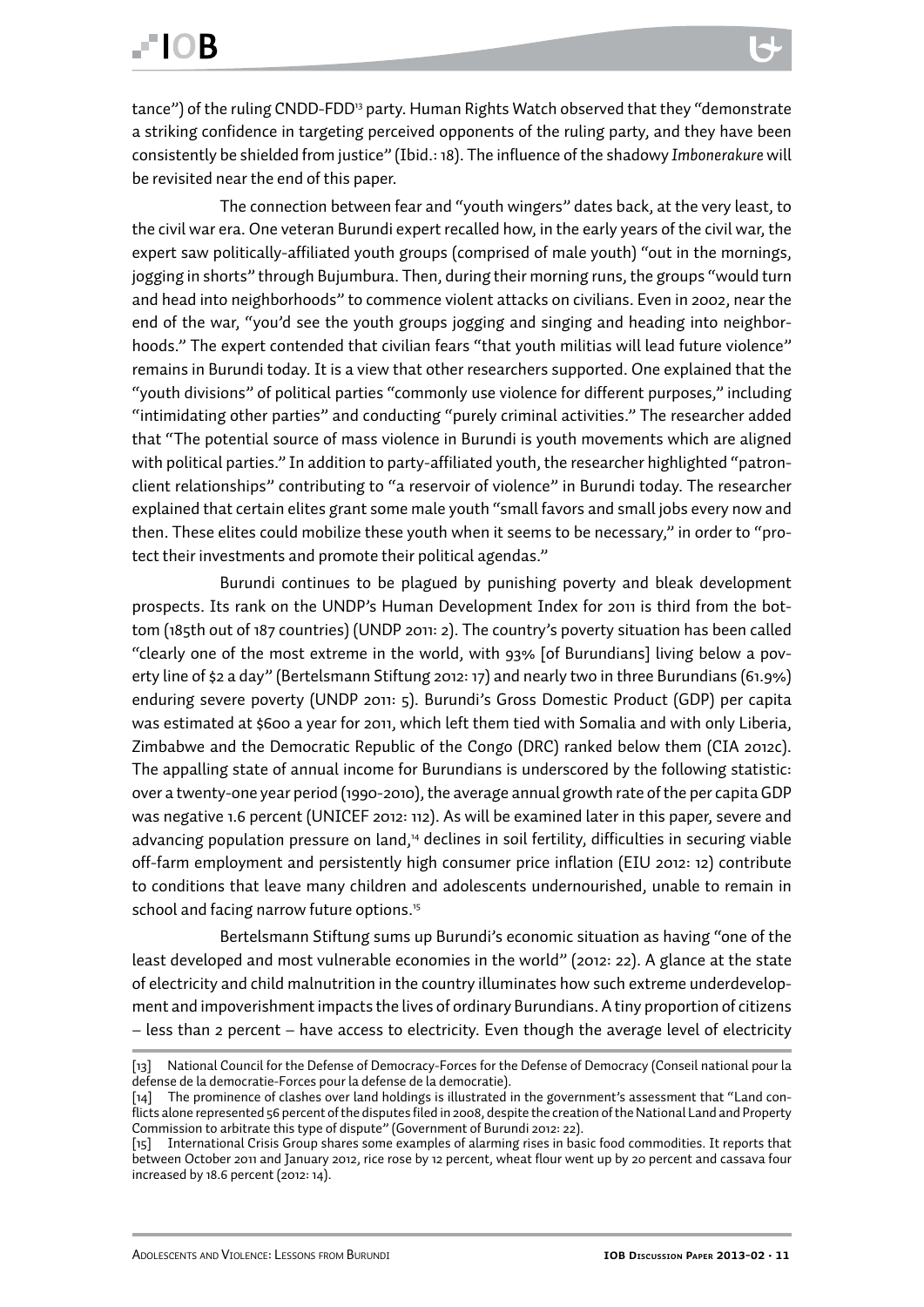The connection between fear and "youth wingers" dates back, at the very least, to the civil war era. One veteran Burundi expert recalled how, in the early years of the civil war, the expert saw politically-affiliated youth groups (comprised of male youth) "out in the mornings, jogging in shorts" through Bujumbura. Then, during their morning runs, the groups "would turn and head into neighborhoods" to commence violent attacks on civilians. Even in 2002, near the end of the war, "you'd see the youth groups jogging and singing and heading into neighborhoods." The expert contended that civilian fears "that youth militias will lead future violence" remains in Burundi today. It is a view that other researchers supported. One explained that the "youth divisions" of political parties "commonly use violence for different purposes," including "intimidating other parties" and conducting "purely criminal activities." The researcher added that "The potential source of mass violence in Burundi is youth movements which are aligned with political parties." In addition to party-affiliated youth, the researcher highlighted "patronclient relationships" contributing to "a reservoir of violence" in Burundi today. The researcher explained that certain elites grant some male youth "small favors and small jobs every now and then. These elites could mobilize these youth when it seems to be necessary," in order to "protect their investments and promote their political agendas."

Burundi continues to be plagued by punishing poverty and bleak development prospects. Its rank on the UNDP's Human Development Index for 2011 is third from the bottom (185th out of 187 countries) (UNDP 2011: 2). The country's poverty situation has been called "clearly one of the most extreme in the world, with 93% [of Burundians] living below a poverty line of \$2 a day" (Bertelsmann Stiftung 2012: 17) and nearly two in three Burundians (61.9%) enduring severe poverty (UNDP 2011: 5). Burundi's Gross Domestic Product (GDP) per capita was estimated at \$600 a year for 2011, which left them tied with Somalia and with only Liberia, Zimbabwe and the Democratic Republic of the Congo (DRC) ranked below them (CIA 2012c). The appalling state of annual income for Burundians is underscored by the following statistic: over a twenty-one year period (1990-2010), the average annual growth rate of the per capita GDP was negative 1.6 percent (UNICEF 2012: 112). As will be examined later in this paper, severe and advancing population pressure on land,<sup>14</sup> declines in soil fertility, difficulties in securing viable off-farm employment and persistently high consumer price inflation (EIU 2012: 12) contribute to conditions that leave many children and adolescents undernourished, unable to remain in school and facing narrow future options.<sup>15</sup>

Bertelsmann Stiftung sums up Burundi's economic situation as having "one of the least developed and most vulnerable economies in the world" (2012: 22). A glance at the state of electricity and child malnutrition in the country illuminates how such extreme underdevelopment and impoverishment impacts the lives of ordinary Burundians. A tiny proportion of citizens – less than 2 percent – have access to electricity. Even though the average level of electricity

<sup>[13]</sup> National Council for the Defense of Democracy-Forces for the Defense of Democracy (Conseil national pour la defense de la democratie-Forces pour la defense de la democratie).

<sup>[14]</sup> The prominence of clashes over land holdings is illustrated in the government's assessment that "Land conflicts alone represented 56 percent of the disputes filed in 2008, despite the creation of the National Land and Property Commission to arbitrate this type of dispute" (Government of Burundi 2012: 22).

<sup>[15]</sup> International Crisis Group shares some examples of alarming rises in basic food commodities. It reports that between October 2011 and January 2012, rice rose by 12 percent, wheat flour went up by 20 percent and cassava four increased by 18.6 percent (2012: 14).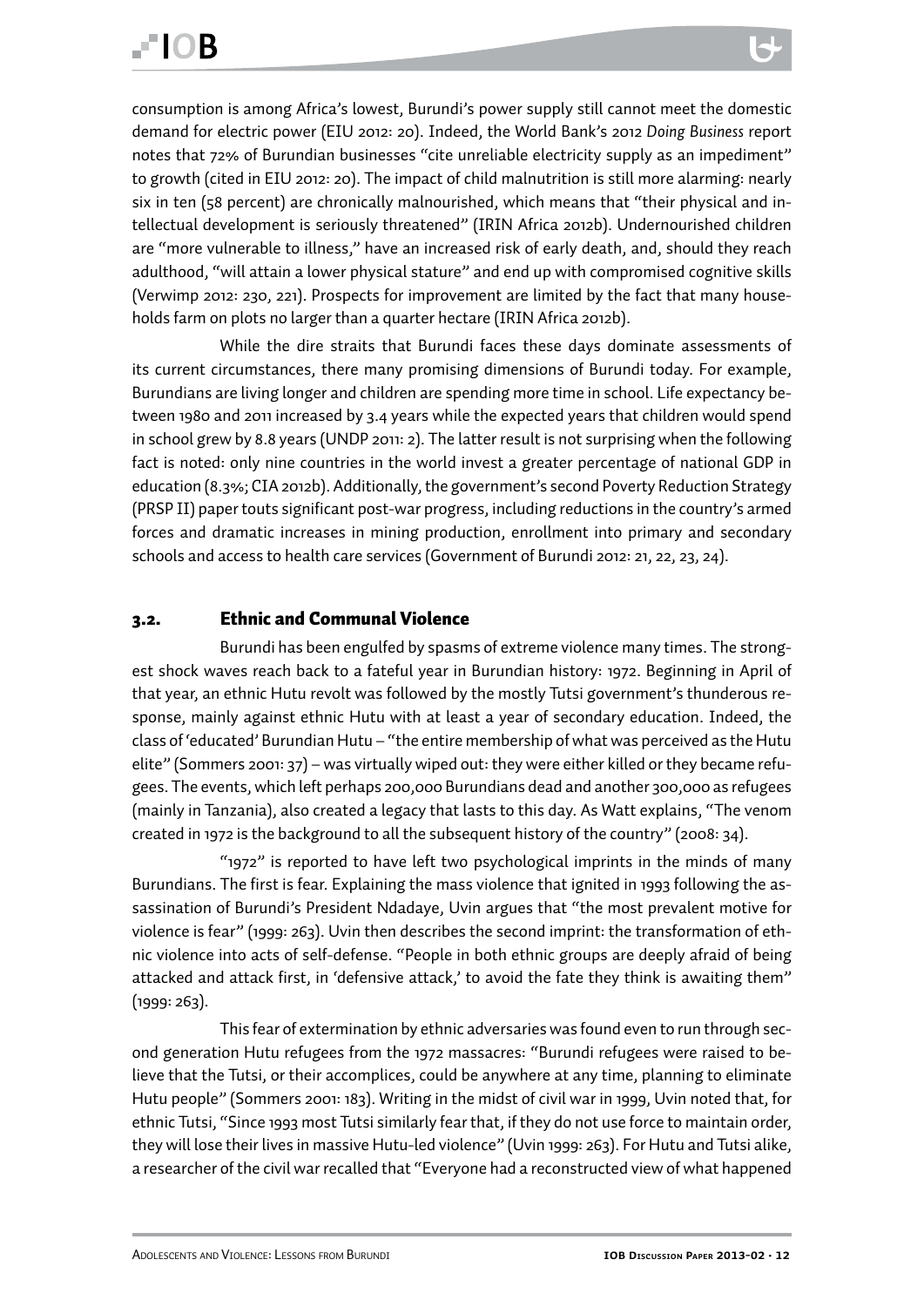<span id="page-11-0"></span>consumption is among Africa's lowest, Burundi's power supply still cannot meet the domestic demand for electric power (EIU 2012: 20). Indeed, the World Bank's 2012 *Doing Business* report notes that 72% of Burundian businesses "cite unreliable electricity supply as an impediment" to growth (cited in EIU 2012: 20). The impact of child malnutrition is still more alarming: nearly six in ten (58 percent) are chronically malnourished, which means that "their physical and intellectual development is seriously threatened" (IRIN Africa 2012b). Undernourished children are "more vulnerable to illness," have an increased risk of early death, and, should they reach adulthood, "will attain a lower physical stature" and end up with compromised cognitive skills (Verwimp 2012: 230, 221). Prospects for improvement are limited by the fact that many households farm on plots no larger than a quarter hectare (IRIN Africa 2012b).

While the dire straits that Burundi faces these days dominate assessments of its current circumstances, there many promising dimensions of Burundi today. For example, Burundians are living longer and children are spending more time in school. Life expectancy between 1980 and 2011 increased by 3.4 years while the expected years that children would spend in school grew by 8.8 years (UNDP 2011: 2). The latter result is not surprising when the following fact is noted: only nine countries in the world invest a greater percentage of national GDP in education (8.3%; CIA 2012b). Additionally, the government's second Poverty Reduction Strategy (PRSP II) paper touts significant post-war progress, including reductions in the country's armed forces and dramatic increases in mining production, enrollment into primary and secondary schools and access to health care services (Government of Burundi 2012: 21, 22, 23, 24).

#### 3.2. Ethnic and Communal Violence

Burundi has been engulfed by spasms of extreme violence many times. The strongest shock waves reach back to a fateful year in Burundian history: 1972. Beginning in April of that year, an ethnic Hutu revolt was followed by the mostly Tutsi government's thunderous response, mainly against ethnic Hutu with at least a year of secondary education. Indeed, the class of 'educated' Burundian Hutu – "the entire membership of what was perceived as the Hutu elite" (Sommers 2001: 37) – was virtually wiped out: they were either killed or they became refugees. The events, which left perhaps 200,000 Burundians dead and another 300,000 as refugees (mainly in Tanzania), also created a legacy that lasts to this day. As Watt explains, "The venom created in 1972 is the background to all the subsequent history of the country" (2008: 34).

"1972" is reported to have left two psychological imprints in the minds of many Burundians. The first is fear. Explaining the mass violence that ignited in 1993 following the assassination of Burundi's President Ndadaye, Uvin argues that "the most prevalent motive for violence is fear" (1999: 263). Uvin then describes the second imprint: the transformation of ethnic violence into acts of self-defense. "People in both ethnic groups are deeply afraid of being attacked and attack first, in 'defensive attack,' to avoid the fate they think is awaiting them" (1999: 263).

This fear of extermination by ethnic adversaries was found even to run through second generation Hutu refugees from the 1972 massacres: "Burundi refugees were raised to believe that the Tutsi, or their accomplices, could be anywhere at any time, planning to eliminate Hutu people" (Sommers 2001: 183). Writing in the midst of civil war in 1999, Uvin noted that, for ethnic Tutsi, "Since 1993 most Tutsi similarly fear that, if they do not use force to maintain order, they will lose their lives in massive Hutu-led violence" (Uvin 1999: 263). For Hutu and Tutsi alike, a researcher of the civil war recalled that "Everyone had a reconstructed view of what happened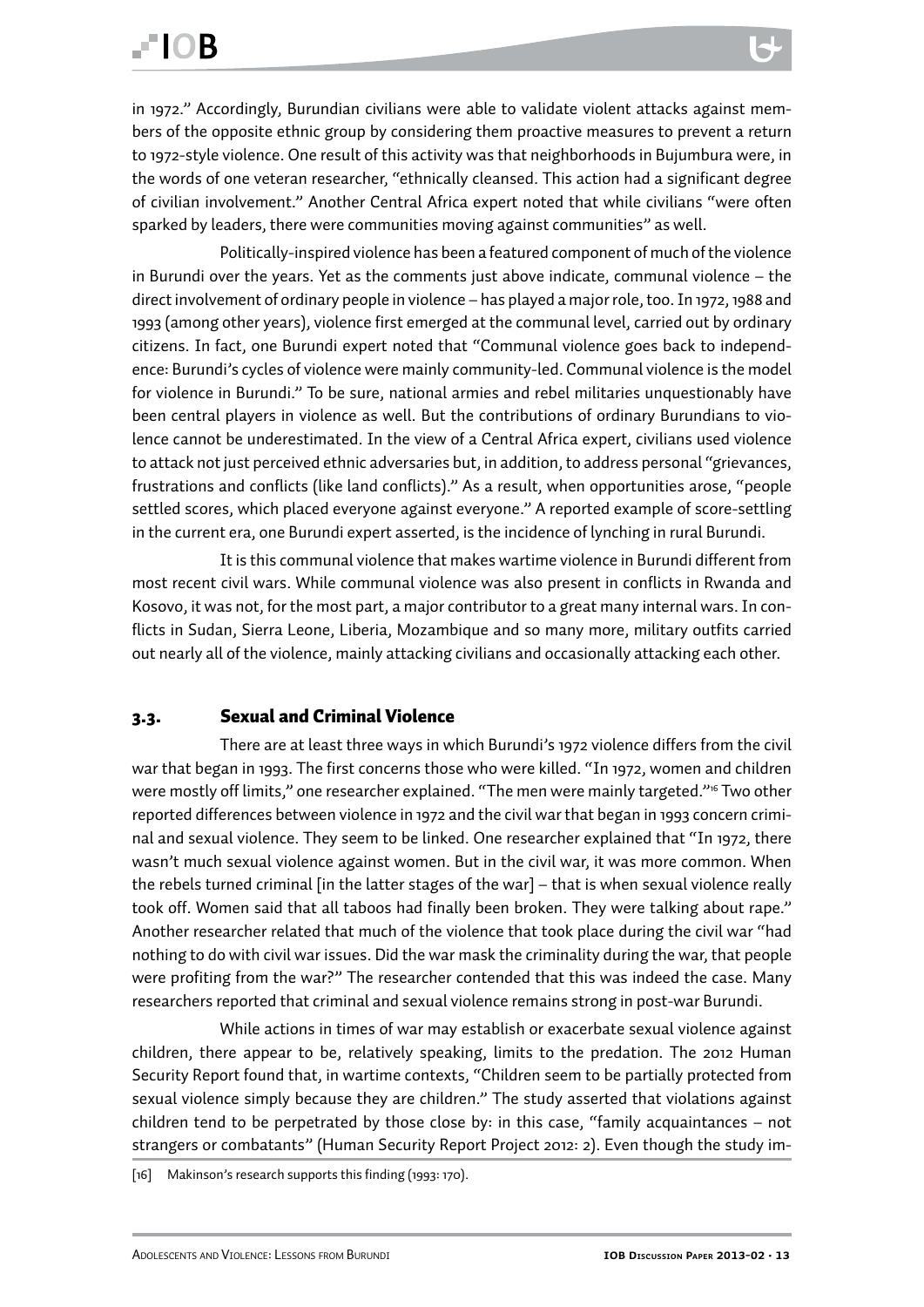<span id="page-12-0"></span>in 1972." Accordingly, Burundian civilians were able to validate violent attacks against members of the opposite ethnic group by considering them proactive measures to prevent a return to 1972-style violence. One result of this activity was that neighborhoods in Bujumbura were, in the words of one veteran researcher, "ethnically cleansed. This action had a significant degree of civilian involvement." Another Central Africa expert noted that while civilians "were often sparked by leaders, there were communities moving against communities" as well.

Politically-inspired violence has been a featured component of much of the violence in Burundi over the years. Yet as the comments just above indicate, communal violence – the direct involvement of ordinary people in violence – has played a major role, too. In 1972, 1988 and 1993 (among other years), violence first emerged at the communal level, carried out by ordinary citizens. In fact, one Burundi expert noted that "Communal violence goes back to independence: Burundi's cycles of violence were mainly community-led. Communal violence is the model for violence in Burundi." To be sure, national armies and rebel militaries unquestionably have been central players in violence as well. But the contributions of ordinary Burundians to violence cannot be underestimated. In the view of a Central Africa expert, civilians used violence to attack not just perceived ethnic adversaries but, in addition, to address personal "grievances, frustrations and conflicts (like land conflicts)." As a result, when opportunities arose, "people settled scores, which placed everyone against everyone." A reported example of score-settling in the current era, one Burundi expert asserted, is the incidence of lynching in rural Burundi.

It is this communal violence that makes wartime violence in Burundi different from most recent civil wars. While communal violence was also present in conflicts in Rwanda and Kosovo, it was not, for the most part, a major contributor to a great many internal wars. In conflicts in Sudan, Sierra Leone, Liberia, Mozambique and so many more, military outfits carried out nearly all of the violence, mainly attacking civilians and occasionally attacking each other.

#### 3.3. Sexual and Criminal Violence

There are at least three ways in which Burundi's 1972 violence differs from the civil war that began in 1993. The first concerns those who were killed. "In 1972, women and children were mostly off limits," one researcher explained. "The men were mainly targeted."<sup>16</sup> Two other reported differences between violence in 1972 and the civil war that began in 1993 concern criminal and sexual violence. They seem to be linked. One researcher explained that "In 1972, there wasn't much sexual violence against women. But in the civil war, it was more common. When the rebels turned criminal [in the latter stages of the war] – that is when sexual violence really took off. Women said that all taboos had finally been broken. They were talking about rape." Another researcher related that much of the violence that took place during the civil war "had nothing to do with civil war issues. Did the war mask the criminality during the war, that people were profiting from the war?" The researcher contended that this was indeed the case. Many researchers reported that criminal and sexual violence remains strong in post-war Burundi.

While actions in times of war may establish or exacerbate sexual violence against children, there appear to be, relatively speaking, limits to the predation. The 2012 Human Security Report found that, in wartime contexts, "Children seem to be partially protected from sexual violence simply because they are children." The study asserted that violations against children tend to be perpetrated by those close by: in this case, "family acquaintances – not strangers or combatants" (Human Security Report Project 2012: 2). Even though the study im-

<sup>[16]</sup> Makinson's research supports this finding (1993: 170).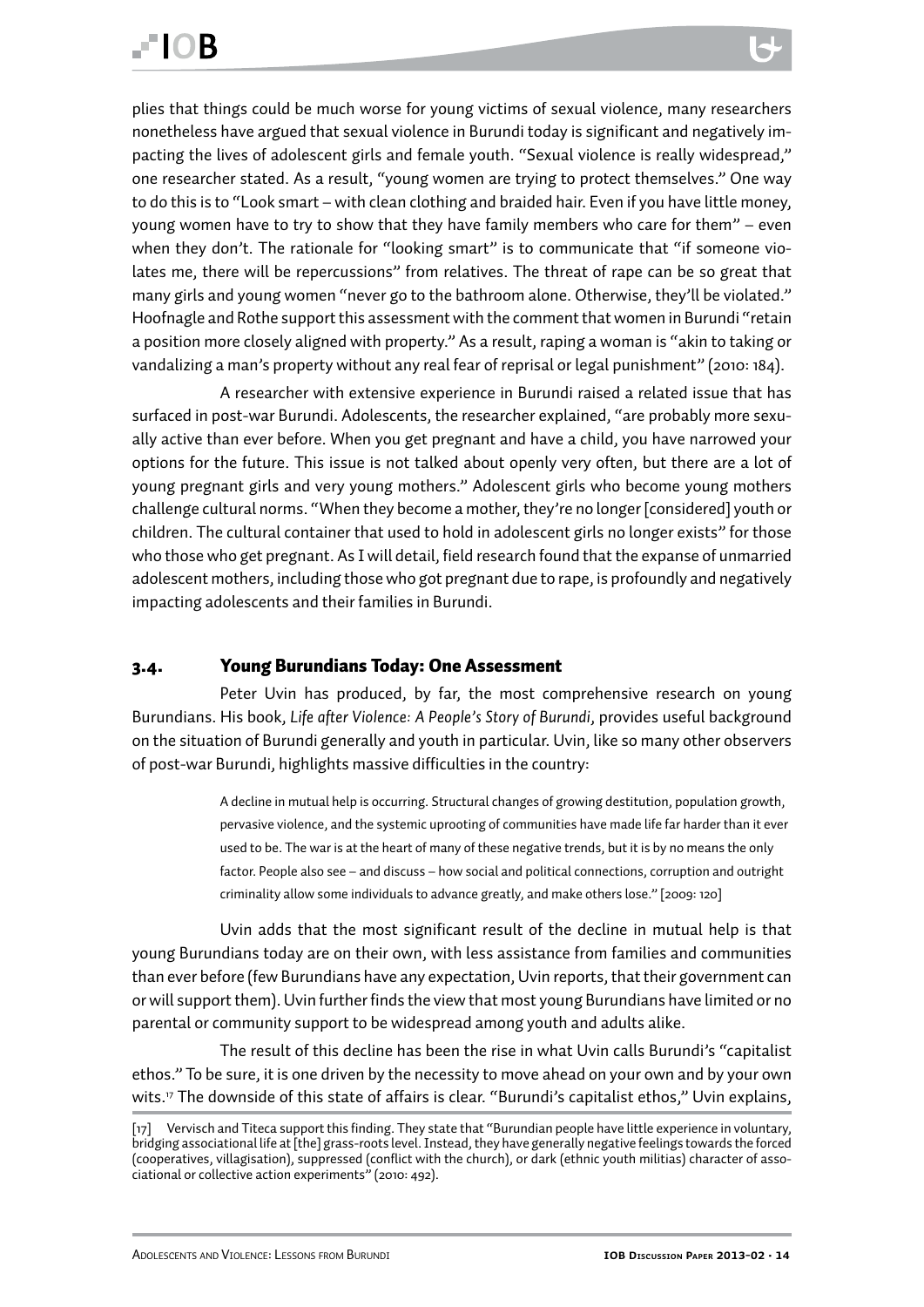<span id="page-13-0"></span>plies that things could be much worse for young victims of sexual violence, many researchers nonetheless have argued that sexual violence in Burundi today is significant and negatively impacting the lives of adolescent girls and female youth. "Sexual violence is really widespread," one researcher stated. As a result, "young women are trying to protect themselves." One way to do this is to "Look smart – with clean clothing and braided hair. Even if you have little money, young women have to try to show that they have family members who care for them" – even when they don't. The rationale for "looking smart" is to communicate that "if someone violates me, there will be repercussions" from relatives. The threat of rape can be so great that many girls and young women "never go to the bathroom alone. Otherwise, they'll be violated." Hoofnagle and Rothe support this assessment with the comment that women in Burundi "retain a position more closely aligned with property." As a result, raping a woman is "akin to taking or vandalizing a man's property without any real fear of reprisal or legal punishment" (2010: 184).

A researcher with extensive experience in Burundi raised a related issue that has surfaced in post-war Burundi. Adolescents, the researcher explained, "are probably more sexually active than ever before. When you get pregnant and have a child, you have narrowed your options for the future. This issue is not talked about openly very often, but there are a lot of young pregnant girls and very young mothers." Adolescent girls who become young mothers challenge cultural norms. "When they become a mother, they're no longer [considered] youth or children. The cultural container that used to hold in adolescent girls no longer exists" for those who those who get pregnant. As I will detail, field research found that the expanse of unmarried adolescent mothers, including those who got pregnant due to rape, is profoundly and negatively impacting adolescents and their families in Burundi.

#### 3.4. Young Burundians Today: One Assessment

Peter Uvin has produced, by far, the most comprehensive research on young Burundians. His book, *Life after Violence: A People's Story of Burundi*, provides useful background on the situation of Burundi generally and youth in particular. Uvin, like so many other observers of post-war Burundi, highlights massive difficulties in the country:

> A decline in mutual help is occurring. Structural changes of growing destitution, population growth, pervasive violence, and the systemic uprooting of communities have made life far harder than it ever used to be. The war is at the heart of many of these negative trends, but it is by no means the only factor. People also see – and discuss – how social and political connections, corruption and outright criminality allow some individuals to advance greatly, and make others lose." [2009: 120]

Uvin adds that the most significant result of the decline in mutual help is that young Burundians today are on their own, with less assistance from families and communities than ever before (few Burundians have any expectation, Uvin reports, that their government can or will support them). Uvin further finds the view that most young Burundians have limited or no parental or community support to be widespread among youth and adults alike.

The result of this decline has been the rise in what Uvin calls Burundi's "capitalist ethos." To be sure, it is one driven by the necessity to move ahead on your own and by your own wits.<sup>17</sup> The downside of this state of affairs is clear. "Burundi's capitalist ethos," Uvin explains,

<sup>[17]</sup> Vervisch and Titeca support this finding. They state that "Burundian people have little experience in voluntary, bridging associational life at [the] grass-roots level. Instead, they have generally negative feelings towards the forced (cooperatives, villagisation), suppressed (conflict with the church), or dark (ethnic youth militias) character of associational or collective action experiments" (2010: 492).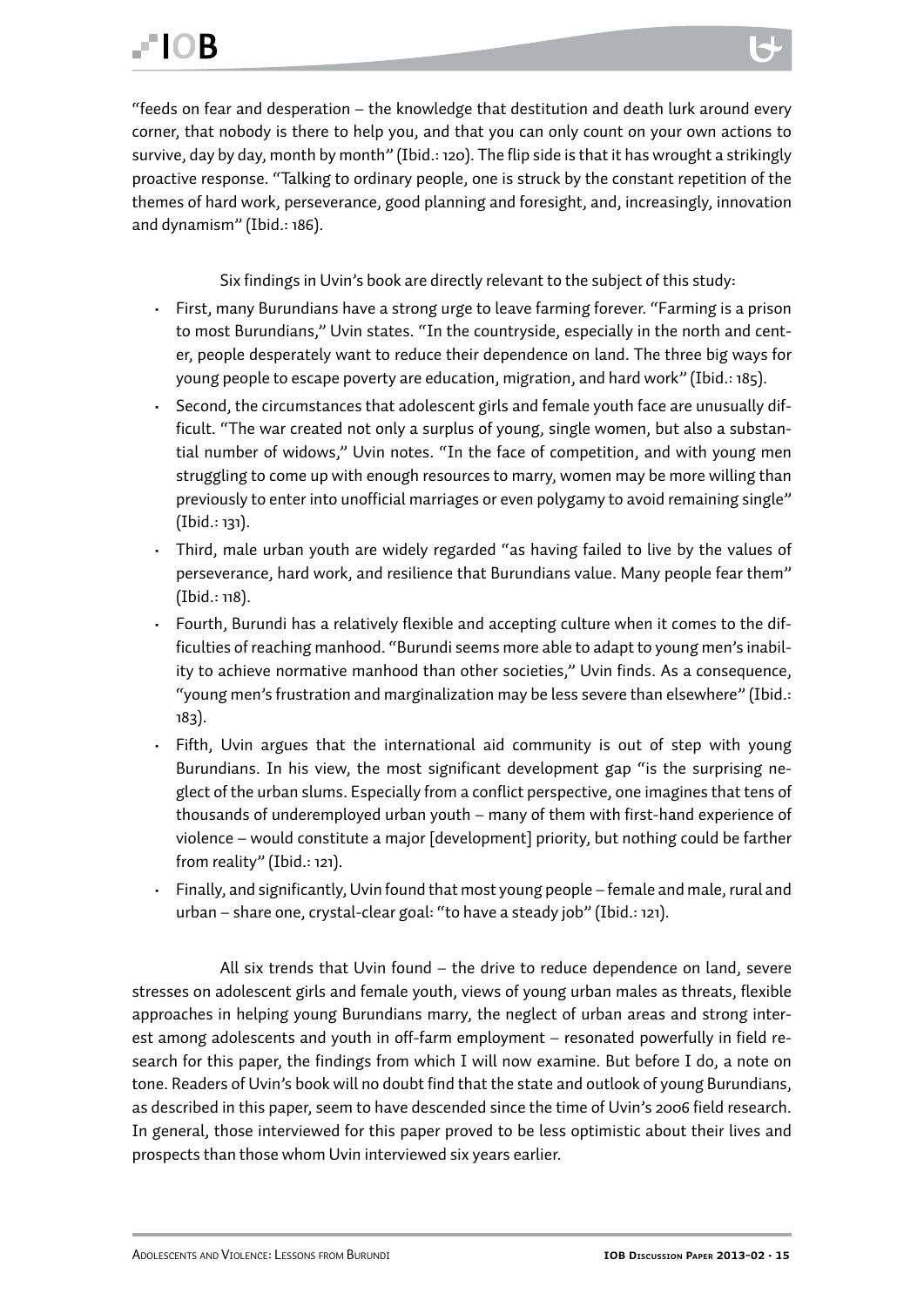"feeds on fear and desperation – the knowledge that destitution and death lurk around every corner, that nobody is there to help you, and that you can only count on your own actions to survive, day by day, month by month" (Ibid.: 120). The flip side is that it has wrought a strikingly proactive response. "Talking to ordinary people, one is struck by the constant repetition of the themes of hard work, perseverance, good planning and foresight, and, increasingly, innovation and dynamism" (Ibid.: 186).

Six findings in Uvin's book are directly relevant to the subject of this study:

- First, many Burundians have a strong urge to leave farming forever. "Farming is a prison to most Burundians," Uvin states. "In the countryside, especially in the north and center, people desperately want to reduce their dependence on land. The three big ways for young people to escape poverty are education, migration, and hard work" (Ibid.: 185).
- Second, the circumstances that adolescent girls and female youth face are unusually difficult. "The war created not only a surplus of young, single women, but also a substantial number of widows," Uvin notes. "In the face of competition, and with young men struggling to come up with enough resources to marry, women may be more willing than previously to enter into unofficial marriages or even polygamy to avoid remaining single" (Ibid.: 131).
- Third, male urban youth are widely regarded "as having failed to live by the values of perseverance, hard work, and resilience that Burundians value. Many people fear them" (Ibid.: 118).
- Fourth, Burundi has a relatively flexible and accepting culture when it comes to the difficulties of reaching manhood. "Burundi seems more able to adapt to young men's inability to achieve normative manhood than other societies," Uvin finds. As a consequence, "young men's frustration and marginalization may be less severe than elsewhere" (Ibid.: 183).
- Fifth, Uvin argues that the international aid community is out of step with young Burundians. In his view, the most significant development gap "is the surprising neglect of the urban slums. Especially from a conflict perspective, one imagines that tens of thousands of underemployed urban youth – many of them with first-hand experience of violence – would constitute a major [development] priority, but nothing could be farther from reality" (Ibid.: 121).
- Finally, and significantly, Uvin found that most young people female and male, rural and urban – share one, crystal-clear goal: "to have a steady job" (Ibid.: 121).

All six trends that Uvin found – the drive to reduce dependence on land, severe stresses on adolescent girls and female youth, views of young urban males as threats, flexible approaches in helping young Burundians marry, the neglect of urban areas and strong interest among adolescents and youth in off-farm employment – resonated powerfully in field research for this paper, the findings from which I will now examine. But before I do, a note on tone. Readers of Uvin's book will no doubt find that the state and outlook of young Burundians, as described in this paper, seem to have descended since the time of Uvin's 2006 field research. In general, those interviewed for this paper proved to be less optimistic about their lives and prospects than those whom Uvin interviewed six years earlier.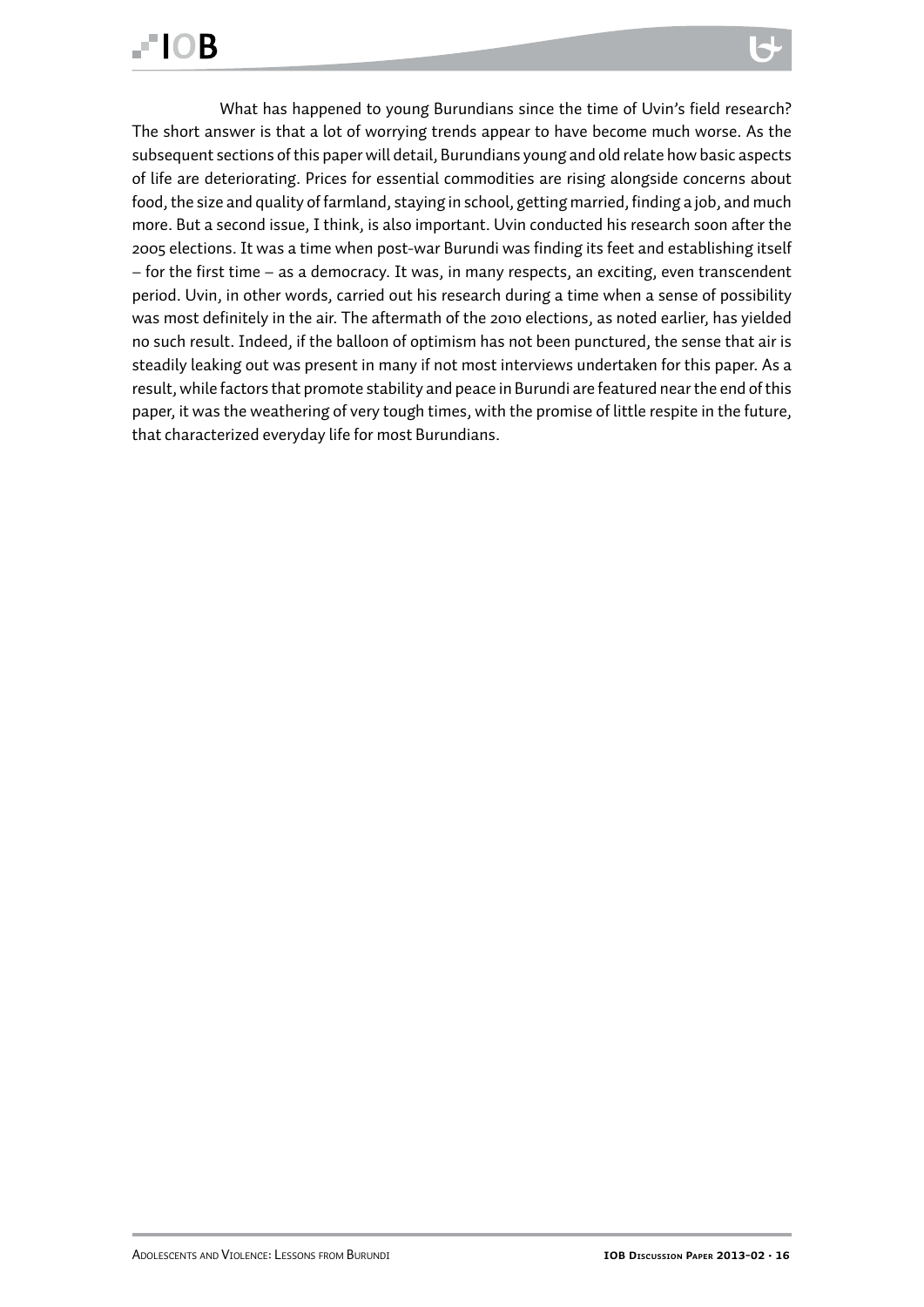### **FIOR**

What has happened to young Burundians since the time of Uvin's field research? The short answer is that a lot of worrying trends appear to have become much worse. As the subsequent sections of this paper will detail, Burundians young and old relate how basic aspects of life are deteriorating. Prices for essential commodities are rising alongside concerns about food, the size and quality of farmland, staying in school, getting married, finding a job, and much more. But a second issue, I think, is also important. Uvin conducted his research soon after the 2005 elections. It was a time when post-war Burundi was finding its feet and establishing itself – for the first time – as a democracy. It was, in many respects, an exciting, even transcendent period. Uvin, in other words, carried out his research during a time when a sense of possibility was most definitely in the air. The aftermath of the 2010 elections, as noted earlier, has yielded no such result. Indeed, if the balloon of optimism has not been punctured, the sense that air is steadily leaking out was present in many if not most interviews undertaken for this paper. As a result, while factors that promote stability and peace in Burundi are featured near the end of this paper, it was the weathering of very tough times, with the promise of little respite in the future, that characterized everyday life for most Burundians.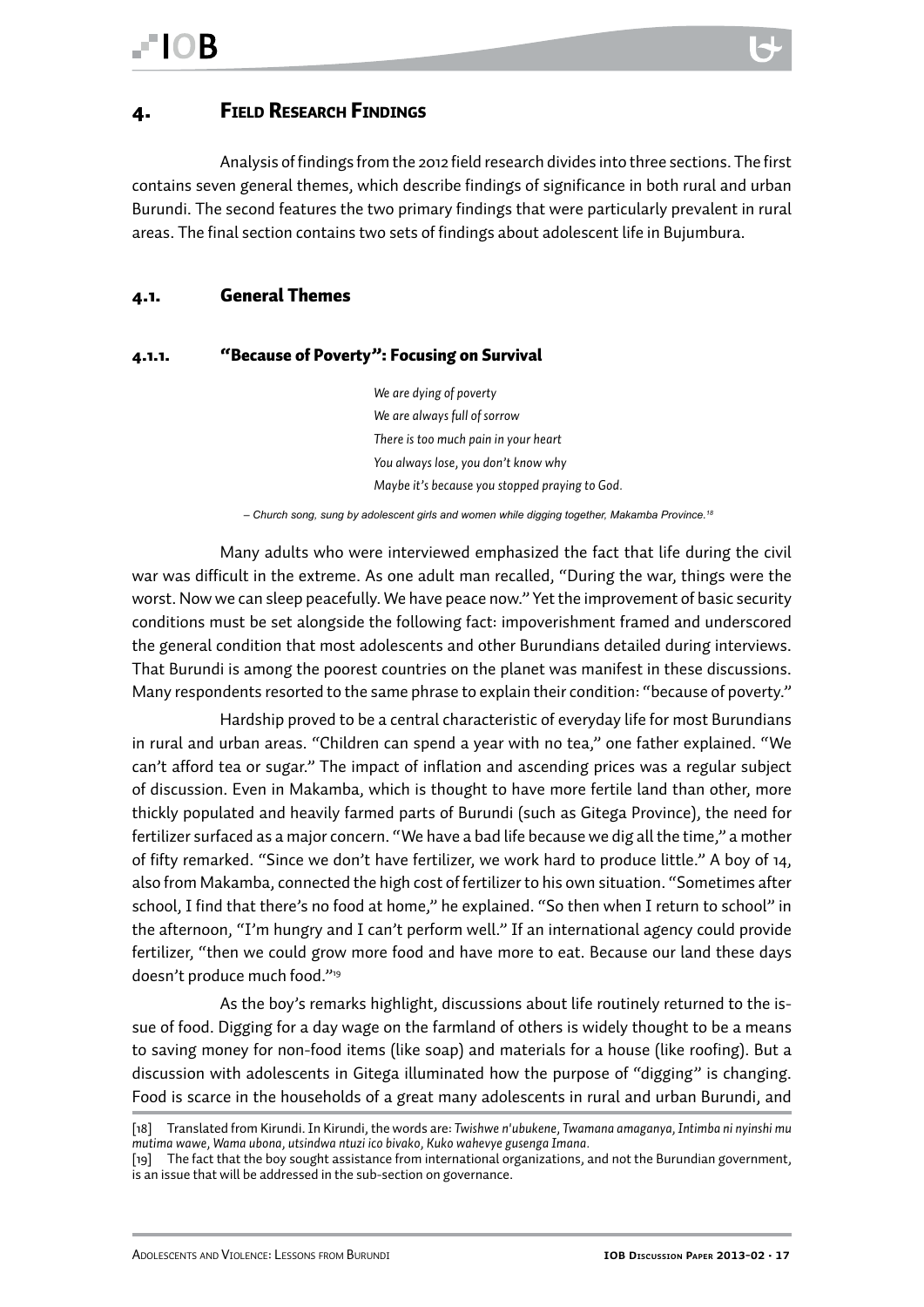#### <span id="page-16-0"></span>4. Field Research Findings

Analysis of findings from the 2012 field research divides into three sections. The first contains seven general themes, which describe findings of significance in both rural and urban Burundi. The second features the two primary findings that were particularly prevalent in rural areas. The final section contains two sets of findings about adolescent life in Bujumbura.

#### 4.1. General Themes

#### 4.1.1. "Because of Poverty": Focusing on Survival

*We are dying of poverty We are always full of sorrow There is too much pain in your heart You always lose, you don't know why Maybe it's because you stopped praying to God.*

 *– Church song, sung by adolescent girls and women while digging together, Makamba Province.18*

Many adults who were interviewed emphasized the fact that life during the civil war was difficult in the extreme. As one adult man recalled, "During the war, things were the worst. Now we can sleep peacefully. We have peace now." Yet the improvement of basic security conditions must be set alongside the following fact: impoverishment framed and underscored the general condition that most adolescents and other Burundians detailed during interviews. That Burundi is among the poorest countries on the planet was manifest in these discussions. Many respondents resorted to the same phrase to explain their condition: "because of poverty."

Hardship proved to be a central characteristic of everyday life for most Burundians in rural and urban areas. "Children can spend a year with no tea," one father explained. "We can't afford tea or sugar." The impact of inflation and ascending prices was a regular subject of discussion. Even in Makamba, which is thought to have more fertile land than other, more thickly populated and heavily farmed parts of Burundi (such as Gitega Province), the need for fertilizer surfaced as a major concern. "We have a bad life because we dig all the time," a mother of fifty remarked. "Since we don't have fertilizer, we work hard to produce little." A boy of 14, also from Makamba, connected the high cost of fertilizer to his own situation. "Sometimes after school, I find that there's no food at home," he explained. "So then when I return to school" in the afternoon, "I'm hungry and I can't perform well." If an international agency could provide fertilizer, "then we could grow more food and have more to eat. Because our land these days doesn't produce much food."19

As the boy's remarks highlight, discussions about life routinely returned to the issue of food. Digging for a day wage on the farmland of others is widely thought to be a means to saving money for non-food items (like soap) and materials for a house (like roofing). But a discussion with adolescents in Gitega illuminated how the purpose of "digging" is changing. Food is scarce in the households of a great many adolescents in rural and urban Burundi, and

<sup>[18]</sup> Translated from Kirundi. In Kirundi, the words are: *Twishwe n'ubukene, Twamana amaganya, Intimba ni nyinshi mu mutima wawe, Wama ubona, utsindwa ntuzi ico bivako, Kuko wahevye gusenga Imana.*

<sup>[19]</sup> The fact that the boy sought assistance from international organizations, and not the Burundian government, is an issue that will be addressed in the sub-section on governance.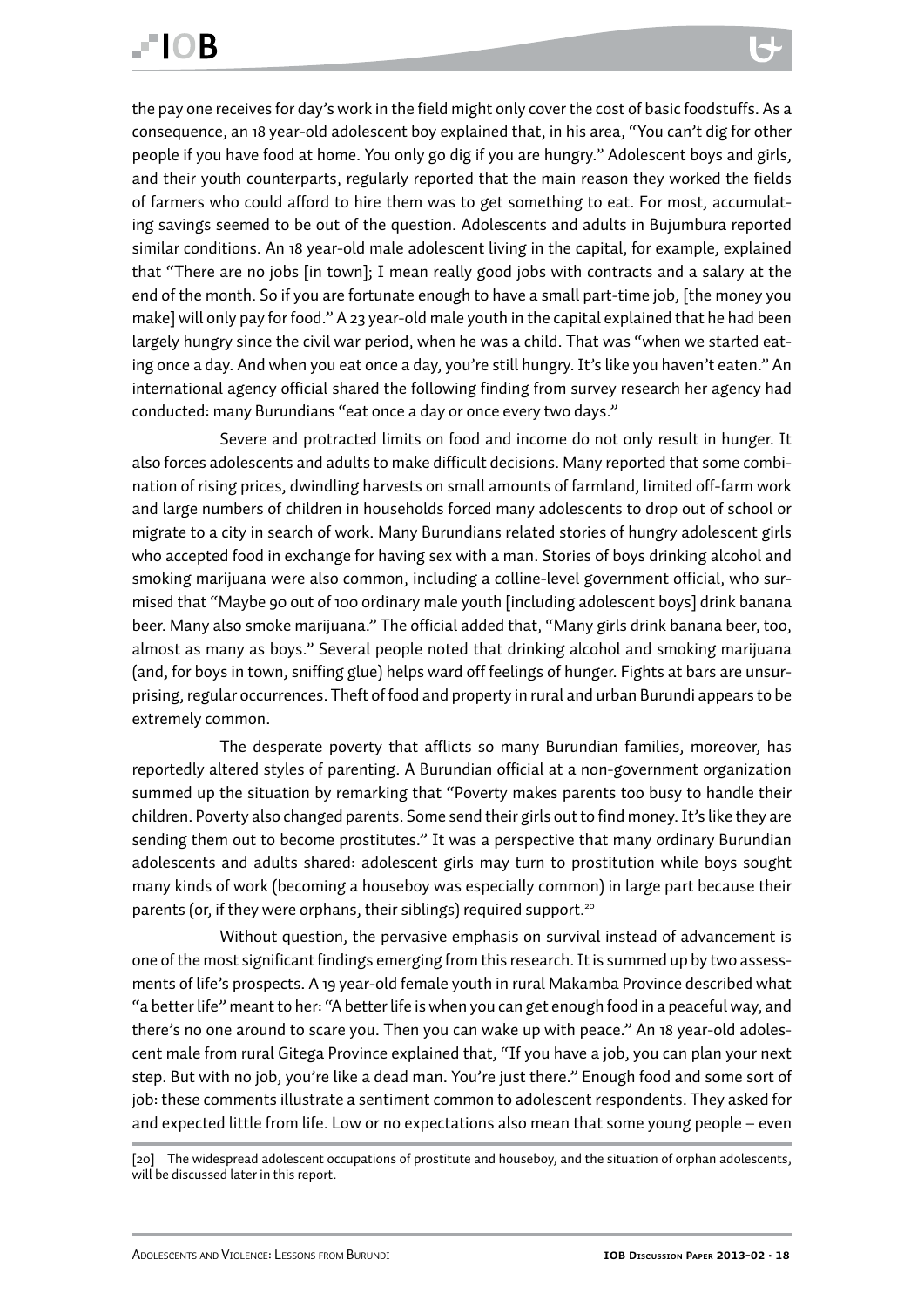the pay one receives for day's work in the field might only cover the cost of basic foodstuffs. As a consequence, an 18 year-old adolescent boy explained that, in his area, "You can't dig for other people if you have food at home. You only go dig if you are hungry." Adolescent boys and girls, and their youth counterparts, regularly reported that the main reason they worked the fields of farmers who could afford to hire them was to get something to eat. For most, accumulating savings seemed to be out of the question. Adolescents and adults in Bujumbura reported similar conditions. An 18 year-old male adolescent living in the capital, for example, explained that "There are no jobs [in town]; I mean really good jobs with contracts and a salary at the end of the month. So if you are fortunate enough to have a small part-time job, [the money you make] will only pay for food." A 23 year-old male youth in the capital explained that he had been largely hungry since the civil war period, when he was a child. That was "when we started eating once a day. And when you eat once a day, you're still hungry. It's like you haven't eaten." An international agency official shared the following finding from survey research her agency had conducted: many Burundians "eat once a day or once every two days."

Severe and protracted limits on food and income do not only result in hunger. It also forces adolescents and adults to make difficult decisions. Many reported that some combination of rising prices, dwindling harvests on small amounts of farmland, limited off-farm work and large numbers of children in households forced many adolescents to drop out of school or migrate to a city in search of work. Many Burundians related stories of hungry adolescent girls who accepted food in exchange for having sex with a man. Stories of boys drinking alcohol and smoking marijuana were also common, including a colline-level government official, who surmised that "Maybe 90 out of 100 ordinary male youth [including adolescent boys] drink banana beer. Many also smoke marijuana." The official added that, "Many girls drink banana beer, too, almost as many as boys." Several people noted that drinking alcohol and smoking marijuana (and, for boys in town, sniffing glue) helps ward off feelings of hunger. Fights at bars are unsurprising, regular occurrences. Theft of food and property in rural and urban Burundi appears to be extremely common.

The desperate poverty that afflicts so many Burundian families, moreover, has reportedly altered styles of parenting. A Burundian official at a non-government organization summed up the situation by remarking that "Poverty makes parents too busy to handle their children. Poverty also changed parents. Some send their girls out to find money. It's like they are sending them out to become prostitutes." It was a perspective that many ordinary Burundian adolescents and adults shared: adolescent girls may turn to prostitution while boys sought many kinds of work (becoming a houseboy was especially common) in large part because their parents (or, if they were orphans, their siblings) required support.<sup>20</sup>

Without question, the pervasive emphasis on survival instead of advancement is one of the most significant findings emerging from this research. It is summed up by two assessments of life's prospects. A 19 year-old female youth in rural Makamba Province described what "a better life" meant to her: "A better life is when you can get enough food in a peaceful way, and there's no one around to scare you. Then you can wake up with peace." An 18 year-old adolescent male from rural Gitega Province explained that, "If you have a job, you can plan your next step. But with no job, you're like a dead man. You're just there." Enough food and some sort of job: these comments illustrate a sentiment common to adolescent respondents. They asked for and expected little from life. Low or no expectations also mean that some young people – even

<sup>[20]</sup> The widespread adolescent occupations of prostitute and houseboy, and the situation of orphan adolescents, will be discussed later in this report.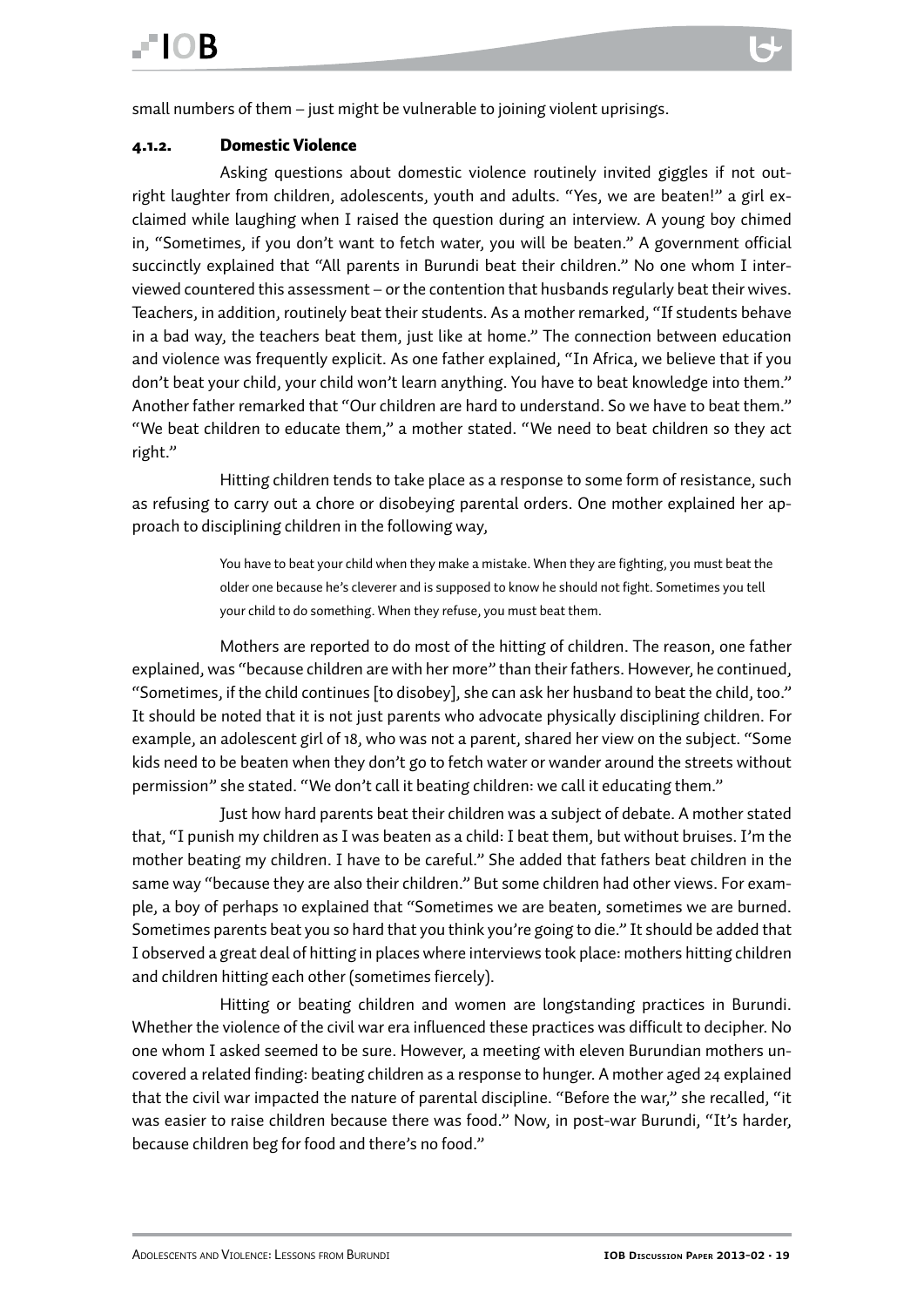#### <span id="page-18-0"></span>4.1.2. Domestic Violence

Asking questions about domestic violence routinely invited giggles if not outright laughter from children, adolescents, youth and adults. "Yes, we are beaten!" a girl exclaimed while laughing when I raised the question during an interview. A young boy chimed in, "Sometimes, if you don't want to fetch water, you will be beaten." A government official succinctly explained that "All parents in Burundi beat their children." No one whom I interviewed countered this assessment – or the contention that husbands regularly beat their wives. Teachers, in addition, routinely beat their students. As a mother remarked, "If students behave in a bad way, the teachers beat them, just like at home." The connection between education and violence was frequently explicit. As one father explained, "In Africa, we believe that if you don't beat your child, your child won't learn anything. You have to beat knowledge into them." Another father remarked that "Our children are hard to understand. So we have to beat them." "We beat children to educate them," a mother stated. "We need to beat children so they act right."

Hitting children tends to take place as a response to some form of resistance, such as refusing to carry out a chore or disobeying parental orders. One mother explained her approach to disciplining children in the following way,

> You have to beat your child when they make a mistake. When they are fighting, you must beat the older one because he's cleverer and is supposed to know he should not fight. Sometimes you tell your child to do something. When they refuse, you must beat them.

Mothers are reported to do most of the hitting of children. The reason, one father explained, was "because children are with her more" than their fathers. However, he continued, "Sometimes, if the child continues [to disobey], she can ask her husband to beat the child, too." It should be noted that it is not just parents who advocate physically disciplining children. For example, an adolescent girl of 18, who was not a parent, shared her view on the subject. "Some kids need to be beaten when they don't go to fetch water or wander around the streets without permission" she stated. "We don't call it beating children: we call it educating them."

Just how hard parents beat their children was a subject of debate. A mother stated that, "I punish my children as I was beaten as a child: I beat them, but without bruises. I'm the mother beating my children. I have to be careful." She added that fathers beat children in the same way "because they are also their children." But some children had other views. For example, a boy of perhaps 10 explained that "Sometimes we are beaten, sometimes we are burned. Sometimes parents beat you so hard that you think you're going to die." It should be added that I observed a great deal of hitting in places where interviews took place: mothers hitting children and children hitting each other (sometimes fiercely).

Hitting or beating children and women are longstanding practices in Burundi. Whether the violence of the civil war era influenced these practices was difficult to decipher. No one whom I asked seemed to be sure. However, a meeting with eleven Burundian mothers uncovered a related finding: beating children as a response to hunger. A mother aged 24 explained that the civil war impacted the nature of parental discipline. "Before the war," she recalled, "it was easier to raise children because there was food." Now, in post-war Burundi, "It's harder, because children beg for food and there's no food."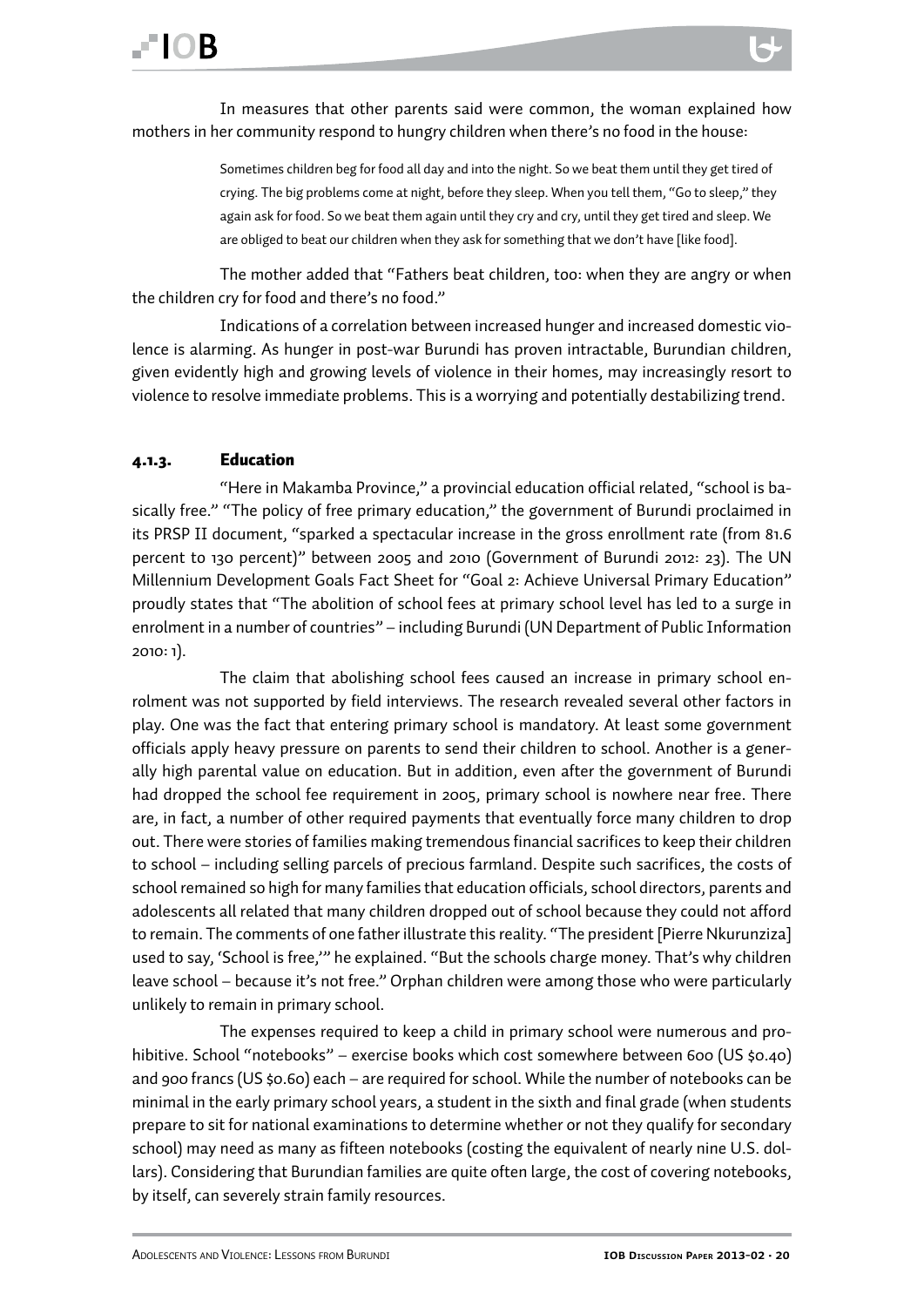### <span id="page-19-0"></span>FIOR

In measures that other parents said were common, the woman explained how mothers in her community respond to hungry children when there's no food in the house:

> Sometimes children beg for food all day and into the night. So we beat them until they get tired of crying. The big problems come at night, before they sleep. When you tell them, "Go to sleep," they again ask for food. So we beat them again until they cry and cry, until they get tired and sleep. We are obliged to beat our children when they ask for something that we don't have [like food].

The mother added that "Fathers beat children, too: when they are angry or when the children cry for food and there's no food."

Indications of a correlation between increased hunger and increased domestic violence is alarming. As hunger in post-war Burundi has proven intractable, Burundian children, given evidently high and growing levels of violence in their homes, may increasingly resort to violence to resolve immediate problems. This is a worrying and potentially destabilizing trend.

#### 4.1.3. Education

"Here in Makamba Province," a provincial education official related, "school is basically free." "The policy of free primary education," the government of Burundi proclaimed in its PRSP II document, "sparked a spectacular increase in the gross enrollment rate (from 81.6 percent to 130 percent)" between 2005 and 2010 (Government of Burundi 2012: 23). The UN Millennium Development Goals Fact Sheet for "Goal 2: Achieve Universal Primary Education" proudly states that "The abolition of school fees at primary school level has led to a surge in enrolment in a number of countries" – including Burundi (UN Department of Public Information 2010: 1).

The claim that abolishing school fees caused an increase in primary school enrolment was not supported by field interviews. The research revealed several other factors in play. One was the fact that entering primary school is mandatory. At least some government officials apply heavy pressure on parents to send their children to school. Another is a generally high parental value on education. But in addition, even after the government of Burundi had dropped the school fee requirement in 2005, primary school is nowhere near free. There are, in fact, a number of other required payments that eventually force many children to drop out. There were stories of families making tremendous financial sacrifices to keep their children to school – including selling parcels of precious farmland. Despite such sacrifices, the costs of school remained so high for many families that education officials, school directors, parents and adolescents all related that many children dropped out of school because they could not afford to remain. The comments of one father illustrate this reality. "The president [Pierre Nkurunziza] used to say, 'School is free,'" he explained. "But the schools charge money. That's why children leave school – because it's not free." Orphan children were among those who were particularly unlikely to remain in primary school.

The expenses required to keep a child in primary school were numerous and prohibitive. School "notebooks" – exercise books which cost somewhere between 600 (US \$0.40) and 900 francs (US \$0.60) each – are required for school. While the number of notebooks can be minimal in the early primary school years, a student in the sixth and final grade (when students prepare to sit for national examinations to determine whether or not they qualify for secondary school) may need as many as fifteen notebooks (costing the equivalent of nearly nine U.S. dollars). Considering that Burundian families are quite often large, the cost of covering notebooks, by itself, can severely strain family resources.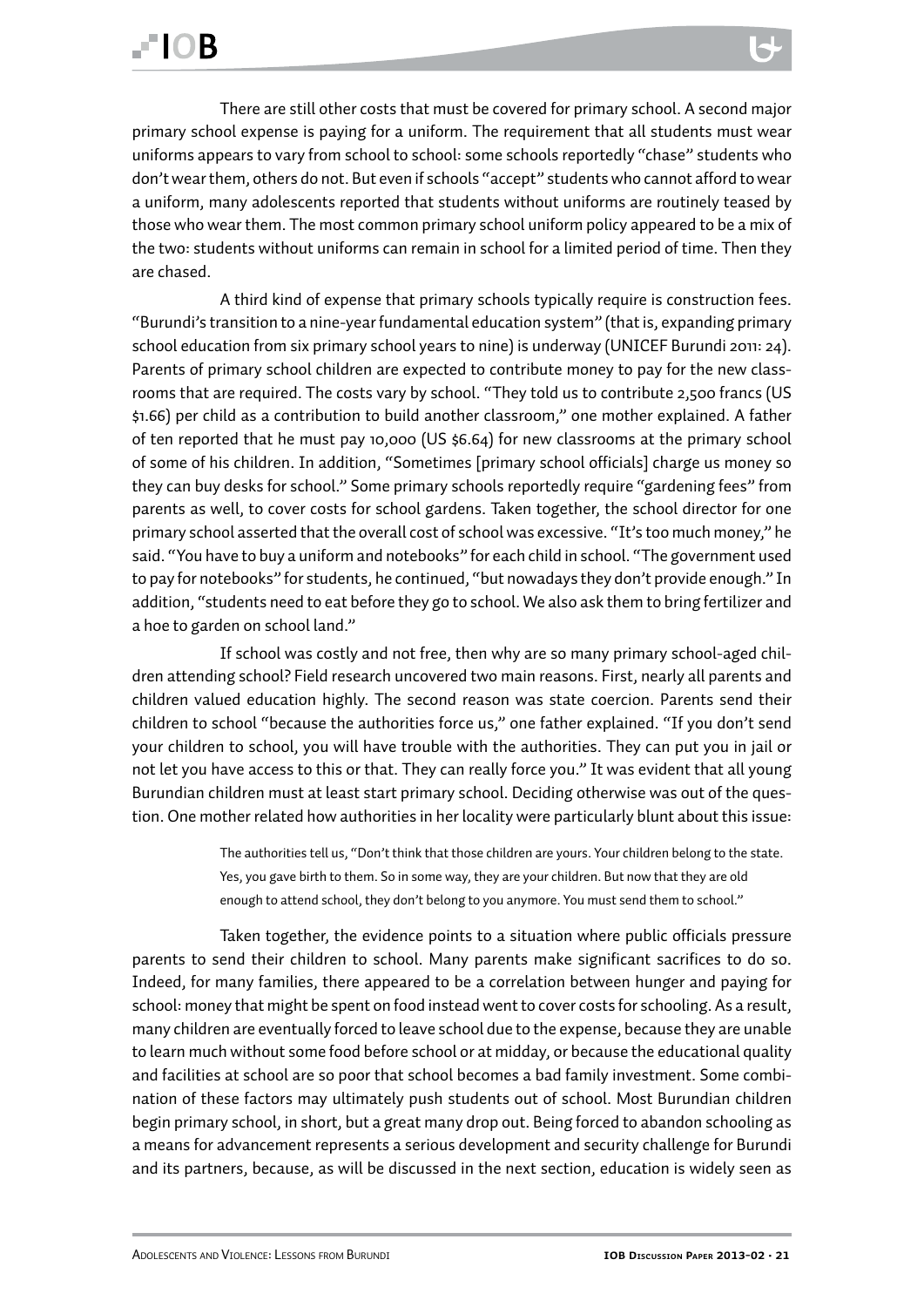### FIOR

There are still other costs that must be covered for primary school. A second major primary school expense is paying for a uniform. The requirement that all students must wear uniforms appears to vary from school to school: some schools reportedly "chase" students who don't wear them, others do not. But even if schools "accept" students who cannot afford to wear a uniform, many adolescents reported that students without uniforms are routinely teased by those who wear them. The most common primary school uniform policy appeared to be a mix of the two: students without uniforms can remain in school for a limited period of time. Then they are chased.

A third kind of expense that primary schools typically require is construction fees. "Burundi's transition to a nine-year fundamental education system" (that is, expanding primary school education from six primary school years to nine) is underway (UNICEF Burundi 2011: 24). Parents of primary school children are expected to contribute money to pay for the new classrooms that are required. The costs vary by school. "They told us to contribute 2,500 francs (US \$1.66) per child as a contribution to build another classroom," one mother explained. A father of ten reported that he must pay 10,000 (US \$6.64) for new classrooms at the primary school of some of his children. In addition, "Sometimes [primary school officials] charge us money so they can buy desks for school." Some primary schools reportedly require "gardening fees" from parents as well, to cover costs for school gardens. Taken together, the school director for one primary school asserted that the overall cost of school was excessive. "It's too much money," he said. "You have to buy a uniform and notebooks" for each child in school. "The government used to pay for notebooks" for students, he continued, "but nowadays they don't provide enough." In addition, "students need to eat before they go to school. We also ask them to bring fertilizer and a hoe to garden on school land."

If school was costly and not free, then why are so many primary school-aged children attending school? Field research uncovered two main reasons. First, nearly all parents and children valued education highly. The second reason was state coercion. Parents send their children to school "because the authorities force us," one father explained. "If you don't send your children to school, you will have trouble with the authorities. They can put you in jail or not let you have access to this or that. They can really force you." It was evident that all young Burundian children must at least start primary school. Deciding otherwise was out of the question. One mother related how authorities in her locality were particularly blunt about this issue:

> The authorities tell us, "Don't think that those children are yours. Your children belong to the state. Yes, you gave birth to them. So in some way, they are your children. But now that they are old enough to attend school, they don't belong to you anymore. You must send them to school."

Taken together, the evidence points to a situation where public officials pressure parents to send their children to school. Many parents make significant sacrifices to do so. Indeed, for many families, there appeared to be a correlation between hunger and paying for school: money that might be spent on food instead went to cover costs for schooling. As a result, many children are eventually forced to leave school due to the expense, because they are unable to learn much without some food before school or at midday, or because the educational quality and facilities at school are so poor that school becomes a bad family investment. Some combination of these factors may ultimately push students out of school. Most Burundian children begin primary school, in short, but a great many drop out. Being forced to abandon schooling as a means for advancement represents a serious development and security challenge for Burundi and its partners, because, as will be discussed in the next section, education is widely seen as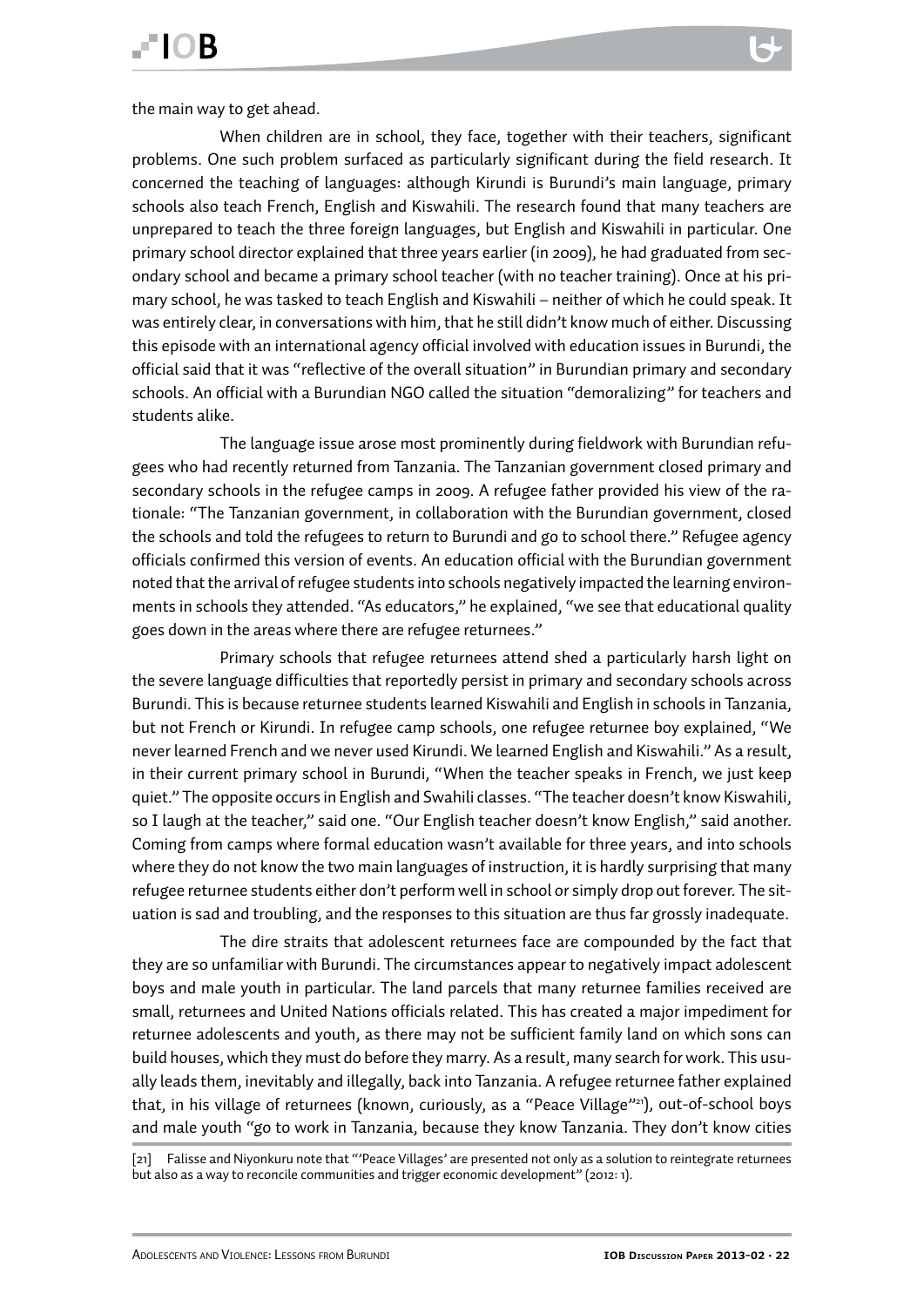the main way to get ahead.

When children are in school, they face, together with their teachers, significant problems. One such problem surfaced as particularly significant during the field research. It concerned the teaching of languages: although Kirundi is Burundi's main language, primary schools also teach French, English and Kiswahili. The research found that many teachers are unprepared to teach the three foreign languages, but English and Kiswahili in particular. One primary school director explained that three years earlier (in 2009), he had graduated from secondary school and became a primary school teacher (with no teacher training). Once at his primary school, he was tasked to teach English and Kiswahili – neither of which he could speak. It was entirely clear, in conversations with him, that he still didn't know much of either. Discussing this episode with an international agency official involved with education issues in Burundi, the official said that it was "reflective of the overall situation" in Burundian primary and secondary schools. An official with a Burundian NGO called the situation "demoralizing" for teachers and students alike.

The language issue arose most prominently during fieldwork with Burundian refugees who had recently returned from Tanzania. The Tanzanian government closed primary and secondary schools in the refugee camps in 2009. A refugee father provided his view of the rationale: "The Tanzanian government, in collaboration with the Burundian government, closed the schools and told the refugees to return to Burundi and go to school there." Refugee agency officials confirmed this version of events. An education official with the Burundian government noted that the arrival of refugee students into schools negatively impacted the learning environments in schools they attended. "As educators," he explained, "we see that educational quality goes down in the areas where there are refugee returnees."

Primary schools that refugee returnees attend shed a particularly harsh light on the severe language difficulties that reportedly persist in primary and secondary schools across Burundi. This is because returnee students learned Kiswahili and English in schools in Tanzania, but not French or Kirundi. In refugee camp schools, one refugee returnee boy explained, "We never learned French and we never used Kirundi. We learned English and Kiswahili." As a result, in their current primary school in Burundi, "When the teacher speaks in French, we just keep quiet." The opposite occurs in English and Swahili classes. "The teacher doesn't know Kiswahili, so I laugh at the teacher," said one. "Our English teacher doesn't know English," said another. Coming from camps where formal education wasn't available for three years, and into schools where they do not know the two main languages of instruction, it is hardly surprising that many refugee returnee students either don't perform well in school or simply drop out forever. The situation is sad and troubling, and the responses to this situation are thus far grossly inadequate.

The dire straits that adolescent returnees face are compounded by the fact that they are so unfamiliar with Burundi. The circumstances appear to negatively impact adolescent boys and male youth in particular. The land parcels that many returnee families received are small, returnees and United Nations officials related. This has created a major impediment for returnee adolescents and youth, as there may not be sufficient family land on which sons can build houses, which they must do before they marry. As a result, many search for work. This usually leads them, inevitably and illegally, back into Tanzania. A refugee returnee father explained that, in his village of returnees (known, curiously, as a "Peace Village"<sup>21</sup>), out-of-school boys and male youth "go to work in Tanzania, because they know Tanzania. They don't know cities

<sup>[21]</sup> Falisse and Niyonkuru note that "'Peace Villages' are presented not only as a solution to reintegrate returnees but also as a way to reconcile communities and trigger economic development" (2012: 1).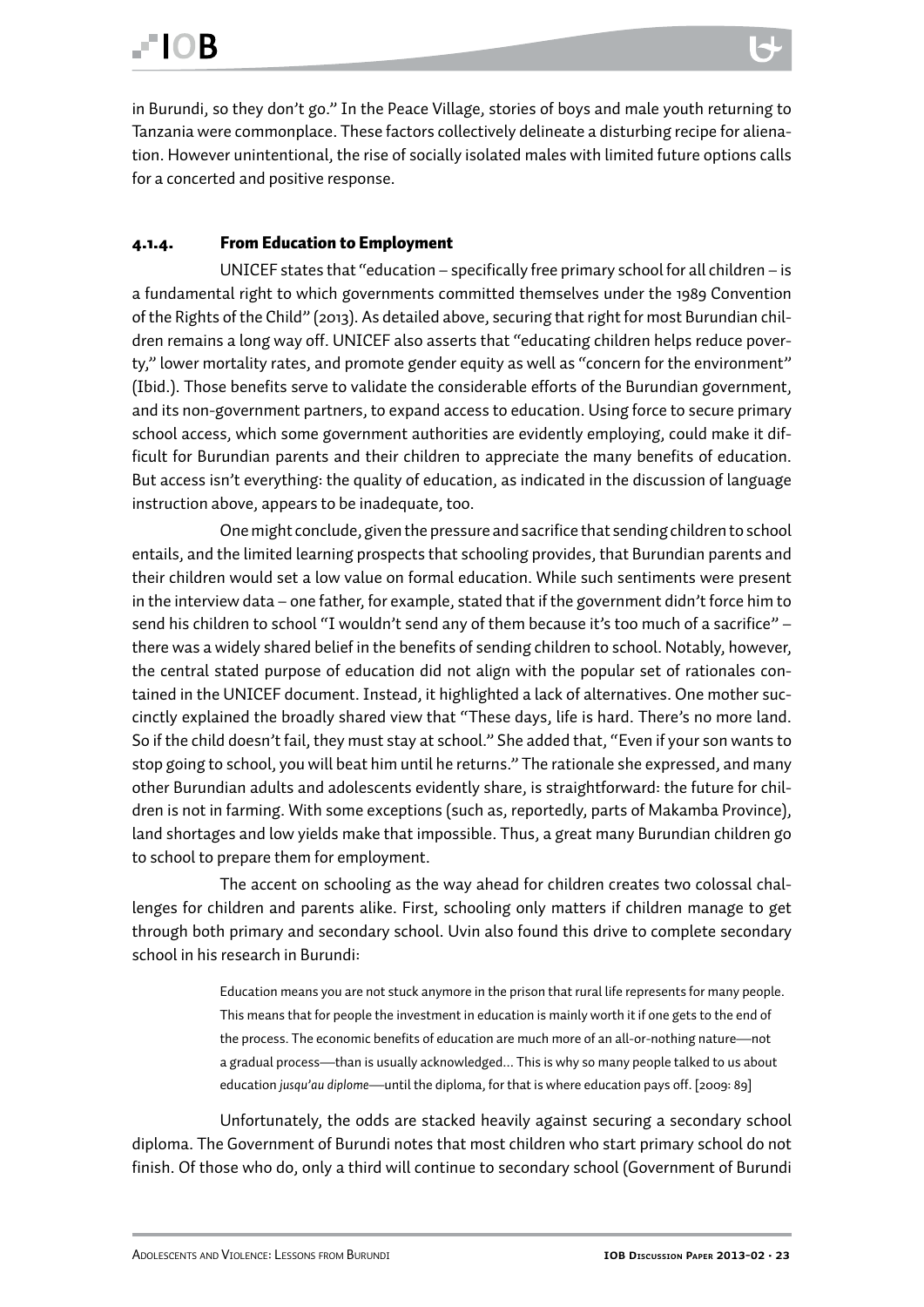<span id="page-22-0"></span>in Burundi, so they don't go." In the Peace Village, stories of boys and male youth returning to Tanzania were commonplace. These factors collectively delineate a disturbing recipe for alienation. However unintentional, the rise of socially isolated males with limited future options calls for a concerted and positive response.

#### 4.1.4. From Education to Employment

UNICEF states that "education – specifically free primary school for all children – is a fundamental right to which governments committed themselves under the 1989 Convention of the Rights of the Child" (2013). As detailed above, securing that right for most Burundian children remains a long way off. UNICEF also asserts that "educating children helps reduce poverty," lower mortality rates, and promote gender equity as well as "concern for the environment" (Ibid.). Those benefits serve to validate the considerable efforts of the Burundian government, and its non-government partners, to expand access to education. Using force to secure primary school access, which some government authorities are evidently employing, could make it difficult for Burundian parents and their children to appreciate the many benefits of education. But access isn't everything: the quality of education, as indicated in the discussion of language instruction above, appears to be inadequate, too.

One might conclude, given the pressure and sacrifice that sending children to school entails, and the limited learning prospects that schooling provides, that Burundian parents and their children would set a low value on formal education. While such sentiments were present in the interview data – one father, for example, stated that if the government didn't force him to send his children to school "I wouldn't send any of them because it's too much of a sacrifice" – there was a widely shared belief in the benefits of sending children to school. Notably, however, the central stated purpose of education did not align with the popular set of rationales contained in the UNICEF document. Instead, it highlighted a lack of alternatives. One mother succinctly explained the broadly shared view that "These days, life is hard. There's no more land. So if the child doesn't fail, they must stay at school." She added that, "Even if your son wants to stop going to school, you will beat him until he returns." The rationale she expressed, and many other Burundian adults and adolescents evidently share, is straightforward: the future for children is not in farming. With some exceptions (such as, reportedly, parts of Makamba Province), land shortages and low yields make that impossible. Thus, a great many Burundian children go to school to prepare them for employment.

The accent on schooling as the way ahead for children creates two colossal challenges for children and parents alike. First, schooling only matters if children manage to get through both primary and secondary school. Uvin also found this drive to complete secondary school in his research in Burundi:

> Education means you are not stuck anymore in the prison that rural life represents for many people. This means that for people the investment in education is mainly worth it if one gets to the end of the process. The economic benefits of education are much more of an all-or-nothing nature—not a gradual process—than is usually acknowledged... This is why so many people talked to us about education *jusqu'au diplome*—until the diploma, for that is where education pays off. [2009: 89]

Unfortunately, the odds are stacked heavily against securing a secondary school diploma. The Government of Burundi notes that most children who start primary school do not finish. Of those who do, only a third will continue to secondary school (Government of Burundi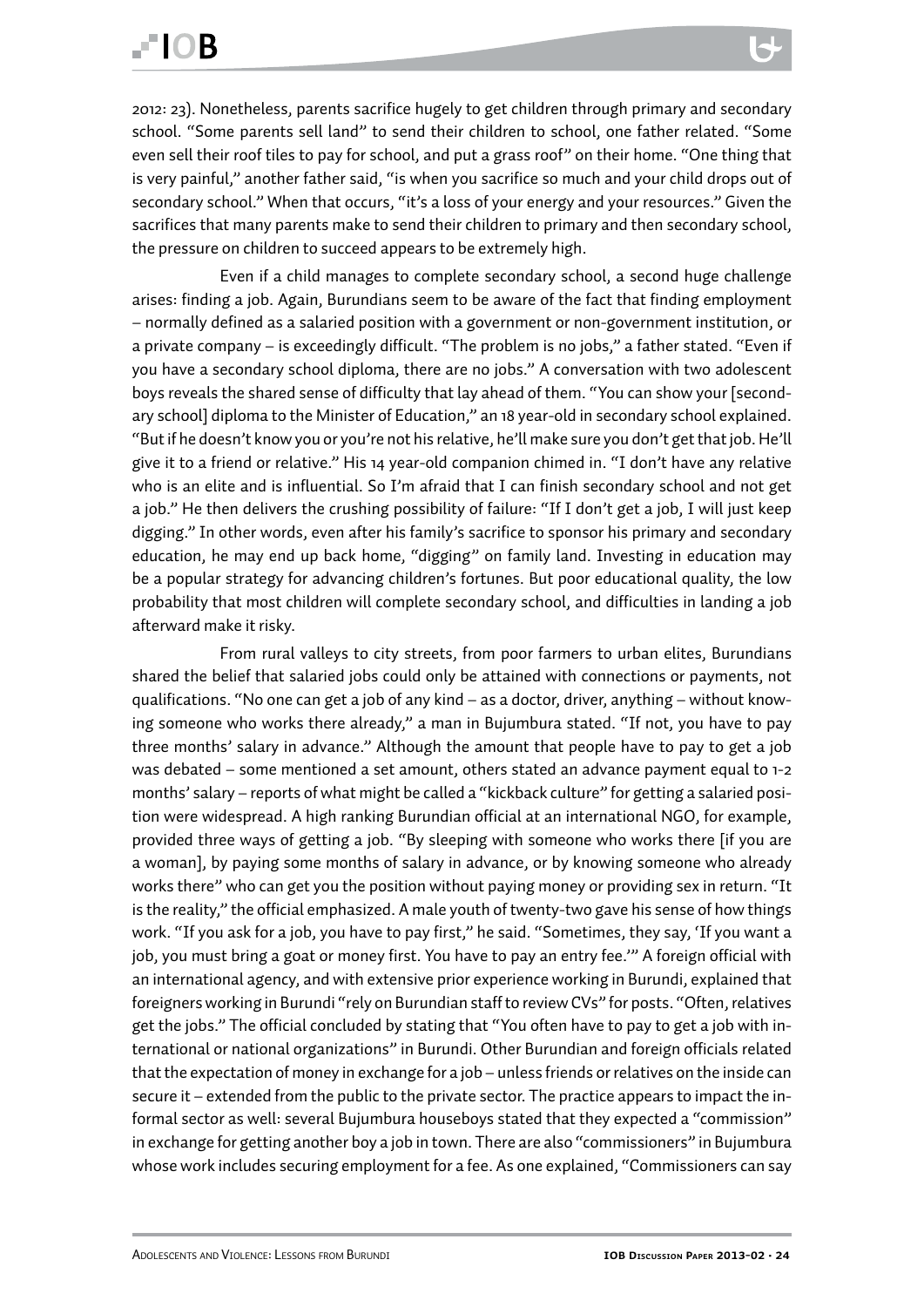2012: 23). Nonetheless, parents sacrifice hugely to get children through primary and secondary school. "Some parents sell land" to send their children to school, one father related. "Some even sell their roof tiles to pay for school, and put a grass roof" on their home. "One thing that is very painful," another father said, "is when you sacrifice so much and your child drops out of secondary school." When that occurs, "it's a loss of your energy and your resources." Given the sacrifices that many parents make to send their children to primary and then secondary school, the pressure on children to succeed appears to be extremely high.

Even if a child manages to complete secondary school, a second huge challenge arises: finding a job. Again, Burundians seem to be aware of the fact that finding employment – normally defined as a salaried position with a government or non-government institution, or a private company – is exceedingly difficult. "The problem is no jobs," a father stated. "Even if you have a secondary school diploma, there are no jobs." A conversation with two adolescent boys reveals the shared sense of difficulty that lay ahead of them. "You can show your [secondary school] diploma to the Minister of Education," an 18 year-old in secondary school explained. "But if he doesn't know you or you're not his relative, he'll make sure you don't get that job. He'll give it to a friend or relative." His 14 year-old companion chimed in. "I don't have any relative who is an elite and is influential. So I'm afraid that I can finish secondary school and not get a job." He then delivers the crushing possibility of failure: "If I don't get a job, I will just keep digging." In other words, even after his family's sacrifice to sponsor his primary and secondary education, he may end up back home, "digging" on family land. Investing in education may be a popular strategy for advancing children's fortunes. But poor educational quality, the low probability that most children will complete secondary school, and difficulties in landing a job afterward make it risky.

From rural valleys to city streets, from poor farmers to urban elites, Burundians shared the belief that salaried jobs could only be attained with connections or payments, not qualifications. "No one can get a job of any kind – as a doctor, driver, anything – without knowing someone who works there already," a man in Bujumbura stated. "If not, you have to pay three months' salary in advance." Although the amount that people have to pay to get a job was debated – some mentioned a set amount, others stated an advance payment equal to 1-2 months' salary – reports of what might be called a "kickback culture" for getting a salaried position were widespread. A high ranking Burundian official at an international NGO, for example, provided three ways of getting a job. "By sleeping with someone who works there [if you are a woman], by paying some months of salary in advance, or by knowing someone who already works there" who can get you the position without paying money or providing sex in return. "It is the reality," the official emphasized. A male youth of twenty-two gave his sense of how things work. "If you ask for a job, you have to pay first," he said. "Sometimes, they say, 'If you want a job, you must bring a goat or money first. You have to pay an entry fee.'" A foreign official with an international agency, and with extensive prior experience working in Burundi, explained that foreigners working in Burundi "rely on Burundian staff to review CVs" for posts. "Often, relatives get the jobs." The official concluded by stating that "You often have to pay to get a job with international or national organizations" in Burundi. Other Burundian and foreign officials related that the expectation of money in exchange for a job – unless friends or relatives on the inside can secure it – extended from the public to the private sector. The practice appears to impact the informal sector as well: several Bujumbura houseboys stated that they expected a "commission" in exchange for getting another boy a job in town. There are also "commissioners" in Bujumbura whose work includes securing employment for a fee. As one explained, "Commissioners can say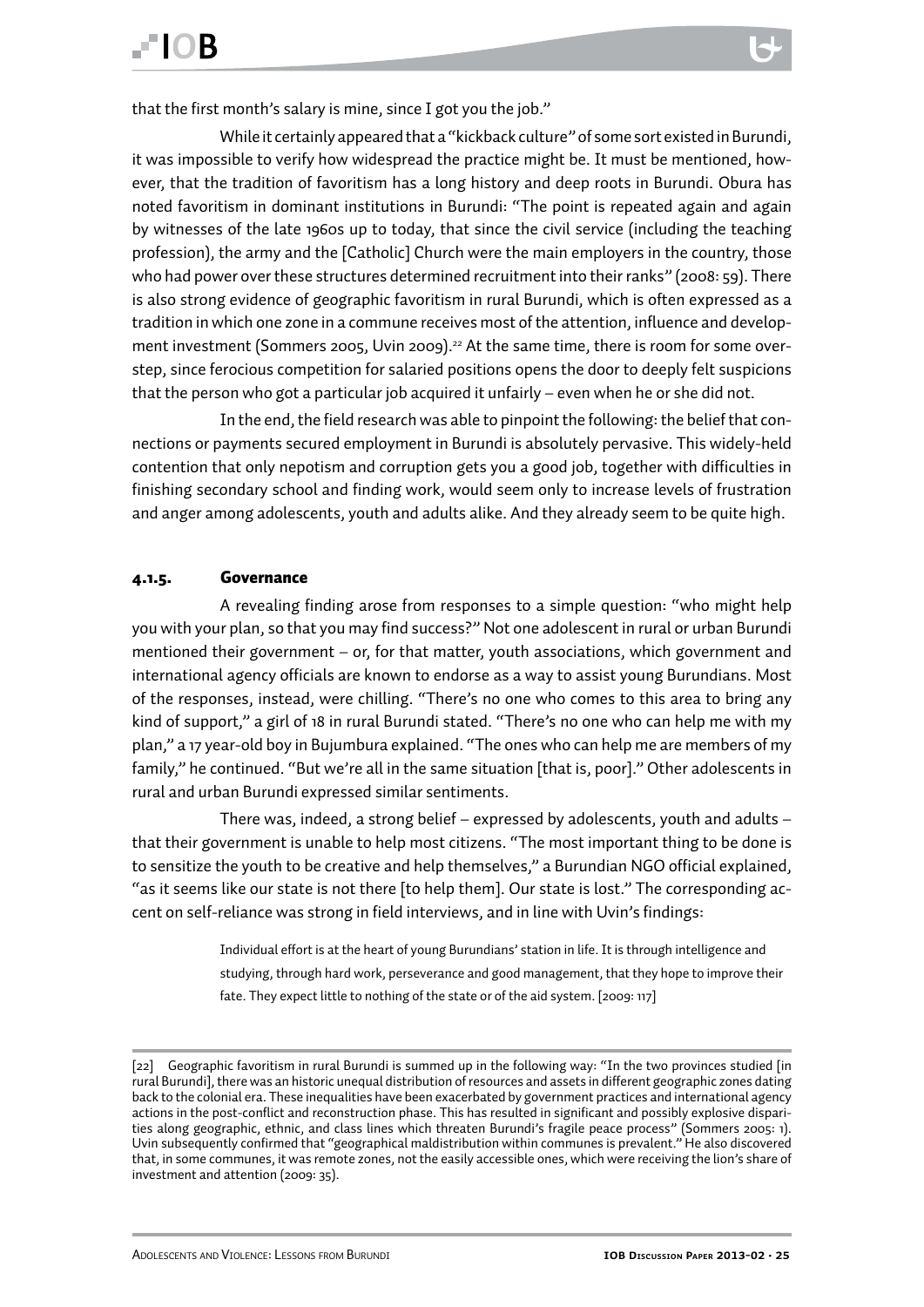<span id="page-24-0"></span>that the first month's salary is mine, since I got you the job."

While it certainly appeared that a "kickback culture" of some sort existed in Burundi, it was impossible to verify how widespread the practice might be. It must be mentioned, however, that the tradition of favoritism has a long history and deep roots in Burundi. Obura has noted favoritism in dominant institutions in Burundi: "The point is repeated again and again by witnesses of the late 1960s up to today, that since the civil service (including the teaching profession), the army and the [Catholic] Church were the main employers in the country, those who had power over these structures determined recruitment into their ranks" (2008: 59). There is also strong evidence of geographic favoritism in rural Burundi, which is often expressed as a tradition in which one zone in a commune receives most of the attention, influence and development investment (Sommers 2005, Uvin 2009).<sup>22</sup> At the same time, there is room for some overstep, since ferocious competition for salaried positions opens the door to deeply felt suspicions that the person who got a particular job acquired it unfairly – even when he or she did not.

In the end, the field research was able to pinpoint the following: the belief that connections or payments secured employment in Burundi is absolutely pervasive. This widely-held contention that only nepotism and corruption gets you a good job, together with difficulties in finishing secondary school and finding work, would seem only to increase levels of frustration and anger among adolescents, youth and adults alike. And they already seem to be quite high.

#### 4.1.5. Governance

A revealing finding arose from responses to a simple question: "who might help you with your plan, so that you may find success?" Not one adolescent in rural or urban Burundi mentioned their government – or, for that matter, youth associations, which government and international agency officials are known to endorse as a way to assist young Burundians. Most of the responses, instead, were chilling. "There's no one who comes to this area to bring any kind of support," a girl of 18 in rural Burundi stated. "There's no one who can help me with my plan," a 17 year-old boy in Bujumbura explained. "The ones who can help me are members of my family," he continued. "But we're all in the same situation [that is, poor]." Other adolescents in rural and urban Burundi expressed similar sentiments.

There was, indeed, a strong belief – expressed by adolescents, youth and adults – that their government is unable to help most citizens. "The most important thing to be done is to sensitize the youth to be creative and help themselves," a Burundian NGO official explained, "as it seems like our state is not there [to help them]. Our state is lost." The corresponding accent on self-reliance was strong in field interviews, and in line with Uvin's findings:

> Individual effort is at the heart of young Burundians' station in life. It is through intelligence and studying, through hard work, perseverance and good management, that they hope to improve their fate. They expect little to nothing of the state or of the aid system. [2009: 117]

<sup>[22]</sup> Geographic favoritism in rural Burundi is summed up in the following way: "In the two provinces studied [in rural Burundi], there was an historic unequal distribution of resources and assets in different geographic zones dating back to the colonial era. These inequalities have been exacerbated by government practices and international agency actions in the post-conflict and reconstruction phase. This has resulted in significant and possibly explosive disparities along geographic, ethnic, and class lines which threaten Burundi's fragile peace process" (Sommers 2005: 1). Uvin subsequently confirmed that "geographical maldistribution within communes is prevalent." He also discovered that, in some communes, it was remote zones, not the easily accessible ones, which were receiving the lion's share of investment and attention (2009: 35).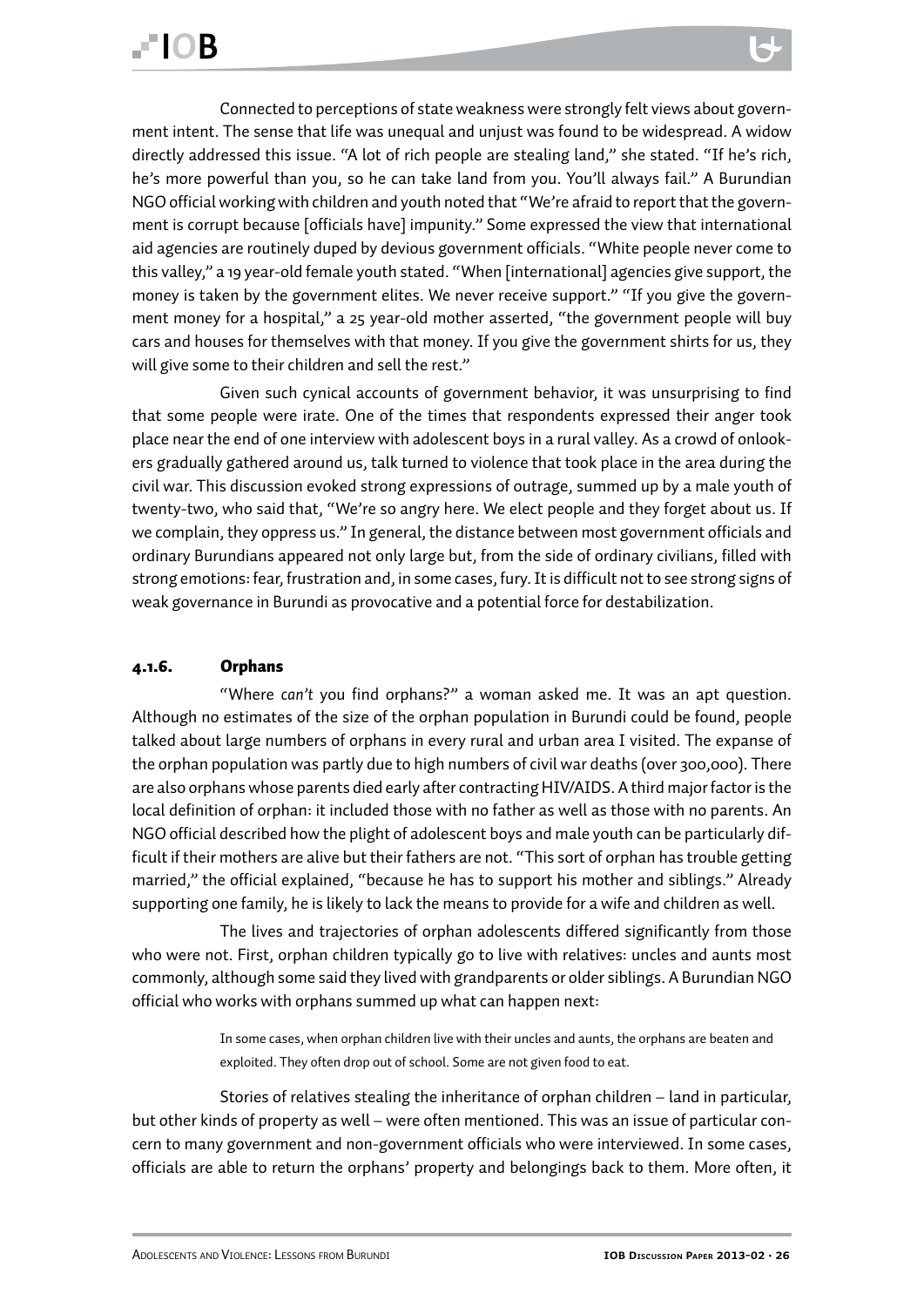<span id="page-25-0"></span>Connected to perceptions of state weakness were strongly felt views about government intent. The sense that life was unequal and unjust was found to be widespread. A widow directly addressed this issue. "A lot of rich people are stealing land," she stated. "If he's rich, he's more powerful than you, so he can take land from you. You'll always fail." A Burundian NGO official working with children and youth noted that "We're afraid to report that the government is corrupt because [officials have] impunity." Some expressed the view that international aid agencies are routinely duped by devious government officials. "White people never come to this valley," a 19 year-old female youth stated. "When [international] agencies give support, the money is taken by the government elites. We never receive support." "If you give the government money for a hospital," a 25 year-old mother asserted, "the government people will buy cars and houses for themselves with that money. If you give the government shirts for us, they will give some to their children and sell the rest."

Given such cynical accounts of government behavior, it was unsurprising to find that some people were irate. One of the times that respondents expressed their anger took place near the end of one interview with adolescent boys in a rural valley. As a crowd of onlookers gradually gathered around us, talk turned to violence that took place in the area during the civil war. This discussion evoked strong expressions of outrage, summed up by a male youth of twenty-two, who said that, "We're so angry here. We elect people and they forget about us. If we complain, they oppress us." In general, the distance between most government officials and ordinary Burundians appeared not only large but, from the side of ordinary civilians, filled with strong emotions: fear, frustration and, in some cases, fury. It is difficult not to see strong signs of weak governance in Burundi as provocative and a potential force for destabilization.

#### 4.1.6. Orphans

"Where *can't* you find orphans?" a woman asked me. It was an apt question. Although no estimates of the size of the orphan population in Burundi could be found, people talked about large numbers of orphans in every rural and urban area I visited. The expanse of the orphan population was partly due to high numbers of civil war deaths (over 300,000). There are also orphans whose parents died early after contracting HIV/AIDS. A third major factor is the local definition of orphan: it included those with no father as well as those with no parents. An NGO official described how the plight of adolescent boys and male youth can be particularly difficult if their mothers are alive but their fathers are not. "This sort of orphan has trouble getting married," the official explained, "because he has to support his mother and siblings." Already supporting one family, he is likely to lack the means to provide for a wife and children as well.

The lives and trajectories of orphan adolescents differed significantly from those who were not. First, orphan children typically go to live with relatives: uncles and aunts most commonly, although some said they lived with grandparents or older siblings. A Burundian NGO official who works with orphans summed up what can happen next:

> In some cases, when orphan children live with their uncles and aunts, the orphans are beaten and exploited. They often drop out of school. Some are not given food to eat.

Stories of relatives stealing the inheritance of orphan children – land in particular, but other kinds of property as well – were often mentioned. This was an issue of particular concern to many government and non-government officials who were interviewed. In some cases, officials are able to return the orphans' property and belongings back to them. More often, it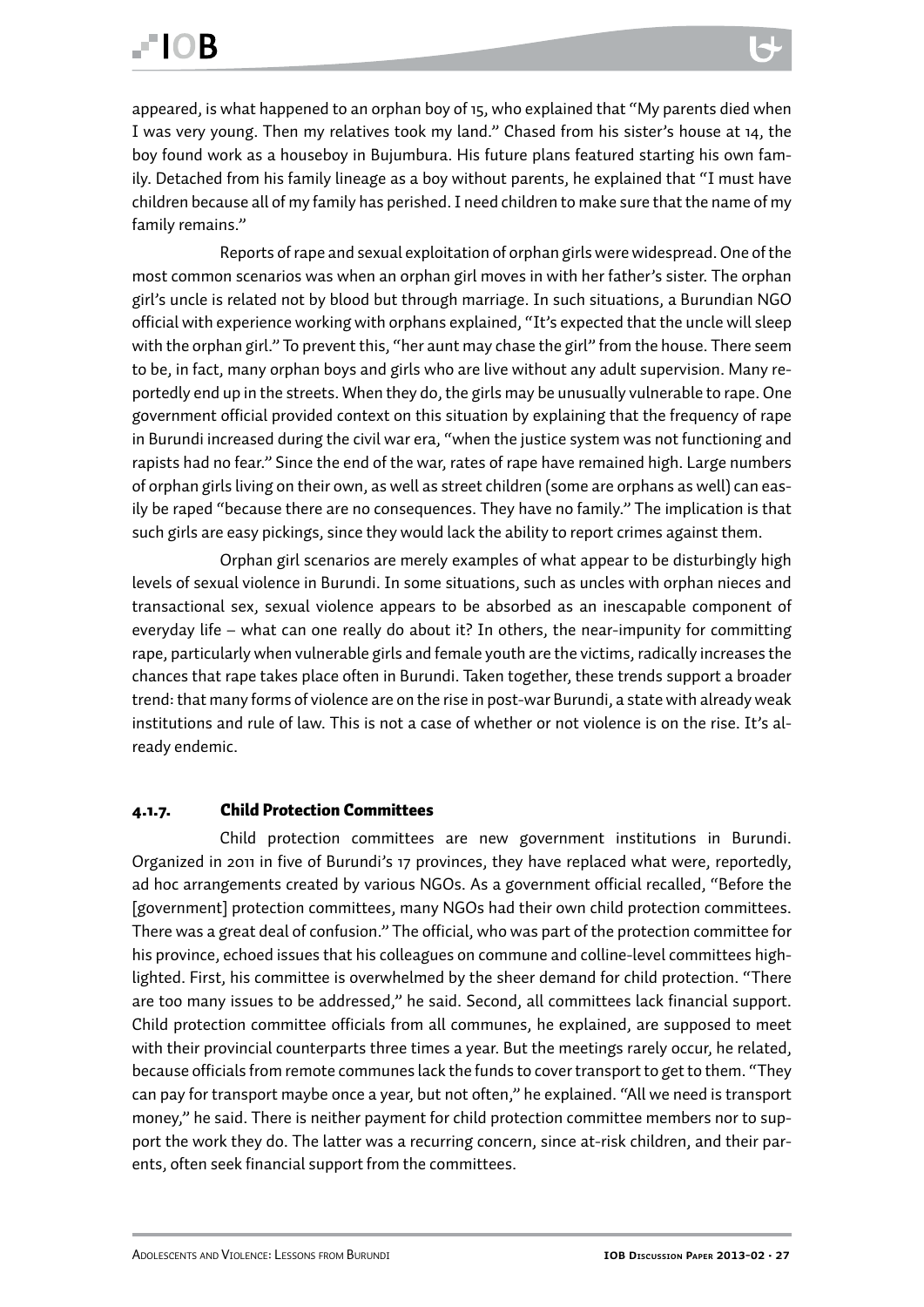<span id="page-26-0"></span>appeared, is what happened to an orphan boy of 15, who explained that "My parents died when I was very young. Then my relatives took my land." Chased from his sister's house at 14, the boy found work as a houseboy in Bujumbura. His future plans featured starting his own family. Detached from his family lineage as a boy without parents, he explained that "I must have children because all of my family has perished. I need children to make sure that the name of my family remains."

Reports of rape and sexual exploitation of orphan girls were widespread. One of the most common scenarios was when an orphan girl moves in with her father's sister. The orphan girl's uncle is related not by blood but through marriage. In such situations, a Burundian NGO official with experience working with orphans explained, "It's expected that the uncle will sleep with the orphan girl." To prevent this, "her aunt may chase the girl" from the house. There seem to be, in fact, many orphan boys and girls who are live without any adult supervision. Many reportedly end up in the streets. When they do, the girls may be unusually vulnerable to rape. One government official provided context on this situation by explaining that the frequency of rape in Burundi increased during the civil war era, "when the justice system was not functioning and rapists had no fear." Since the end of the war, rates of rape have remained high. Large numbers of orphan girls living on their own, as well as street children (some are orphans as well) can easily be raped "because there are no consequences. They have no family." The implication is that such girls are easy pickings, since they would lack the ability to report crimes against them.

Orphan girl scenarios are merely examples of what appear to be disturbingly high levels of sexual violence in Burundi. In some situations, such as uncles with orphan nieces and transactional sex, sexual violence appears to be absorbed as an inescapable component of everyday life – what can one really do about it? In others, the near-impunity for committing rape, particularly when vulnerable girls and female youth are the victims, radically increases the chances that rape takes place often in Burundi. Taken together, these trends support a broader trend: that many forms of violence are on the rise in post-war Burundi, a state with already weak institutions and rule of law. This is not a case of whether or not violence is on the rise. It's already endemic.

#### 4.1.7. Child Protection Committees

Child protection committees are new government institutions in Burundi. Organized in 2011 in five of Burundi's 17 provinces, they have replaced what were, reportedly, ad hoc arrangements created by various NGOs. As a government official recalled, "Before the [government] protection committees, many NGOs had their own child protection committees. There was a great deal of confusion." The official, who was part of the protection committee for his province, echoed issues that his colleagues on commune and colline-level committees highlighted. First, his committee is overwhelmed by the sheer demand for child protection. "There are too many issues to be addressed," he said. Second, all committees lack financial support. Child protection committee officials from all communes, he explained, are supposed to meet with their provincial counterparts three times a year. But the meetings rarely occur, he related, because officials from remote communes lack the funds to cover transport to get to them. "They can pay for transport maybe once a year, but not often," he explained. "All we need is transport money," he said. There is neither payment for child protection committee members nor to support the work they do. The latter was a recurring concern, since at-risk children, and their parents, often seek financial support from the committees.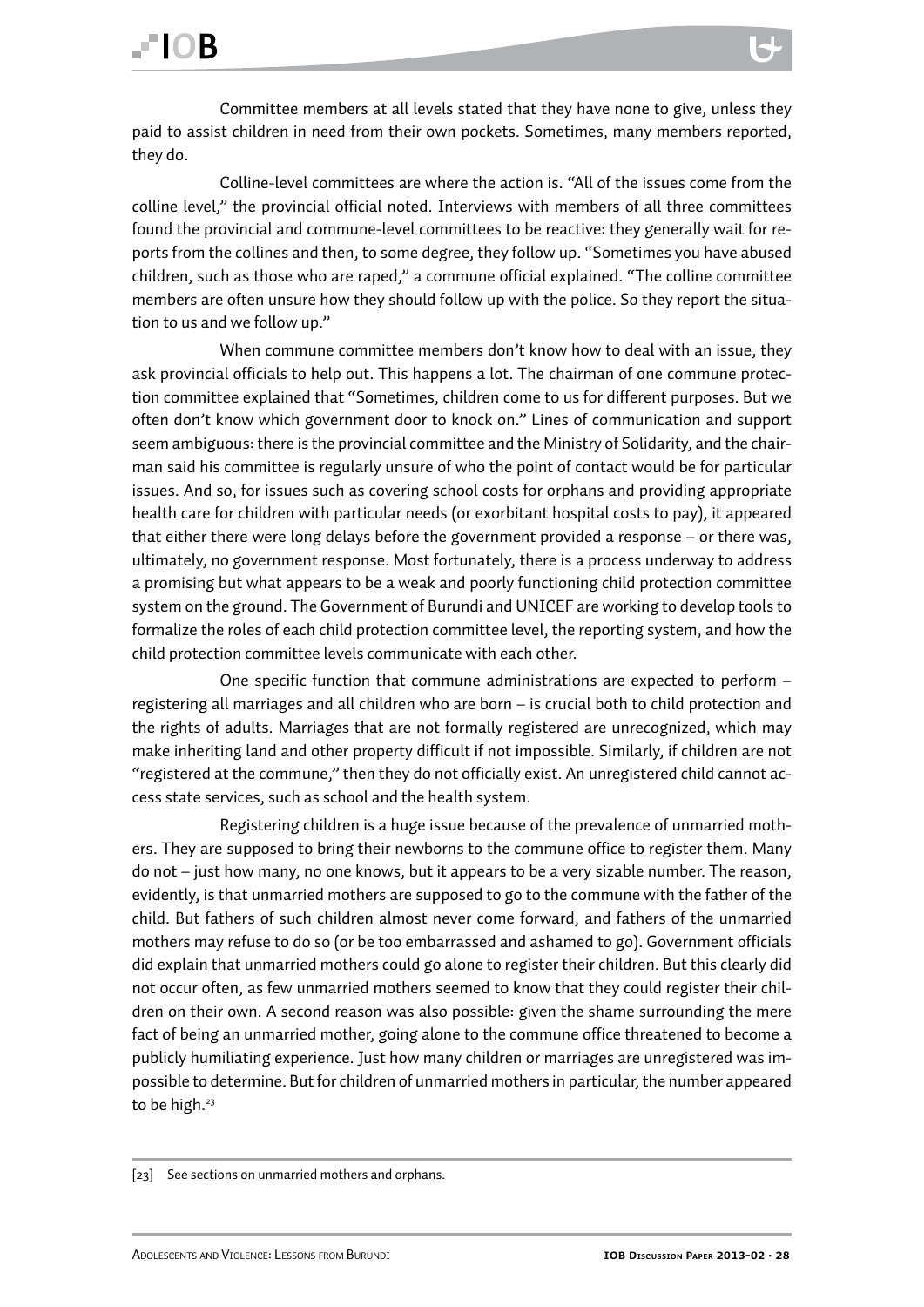Committee members at all levels stated that they have none to give, unless they paid to assist children in need from their own pockets. Sometimes, many members reported, they do.

Colline-level committees are where the action is. "All of the issues come from the colline level," the provincial official noted. Interviews with members of all three committees found the provincial and commune-level committees to be reactive: they generally wait for reports from the collines and then, to some degree, they follow up. "Sometimes you have abused children, such as those who are raped," a commune official explained. "The colline committee members are often unsure how they should follow up with the police. So they report the situation to us and we follow up."

When commune committee members don't know how to deal with an issue, they ask provincial officials to help out. This happens a lot. The chairman of one commune protection committee explained that "Sometimes, children come to us for different purposes. But we often don't know which government door to knock on." Lines of communication and support seem ambiguous: there is the provincial committee and the Ministry of Solidarity, and the chairman said his committee is regularly unsure of who the point of contact would be for particular issues. And so, for issues such as covering school costs for orphans and providing appropriate health care for children with particular needs (or exorbitant hospital costs to pay), it appeared that either there were long delays before the government provided a response – or there was, ultimately, no government response. Most fortunately, there is a process underway to address a promising but what appears to be a weak and poorly functioning child protection committee system on the ground. The Government of Burundi and UNICEF are working to develop tools to formalize the roles of each child protection committee level, the reporting system, and how the child protection committee levels communicate with each other.

One specific function that commune administrations are expected to perform – registering all marriages and all children who are born – is crucial both to child protection and the rights of adults. Marriages that are not formally registered are unrecognized, which may make inheriting land and other property difficult if not impossible. Similarly, if children are not "registered at the commune," then they do not officially exist. An unregistered child cannot access state services, such as school and the health system.

Registering children is a huge issue because of the prevalence of unmarried mothers. They are supposed to bring their newborns to the commune office to register them. Many do not – just how many, no one knows, but it appears to be a very sizable number. The reason, evidently, is that unmarried mothers are supposed to go to the commune with the father of the child. But fathers of such children almost never come forward, and fathers of the unmarried mothers may refuse to do so (or be too embarrassed and ashamed to go). Government officials did explain that unmarried mothers could go alone to register their children. But this clearly did not occur often, as few unmarried mothers seemed to know that they could register their children on their own. A second reason was also possible: given the shame surrounding the mere fact of being an unmarried mother, going alone to the commune office threatened to become a publicly humiliating experience. Just how many children or marriages are unregistered was impossible to determine. But for children of unmarried mothers in particular, the number appeared to be high.<sup>23</sup>

<sup>[23]</sup> See sections on unmarried mothers and orphans.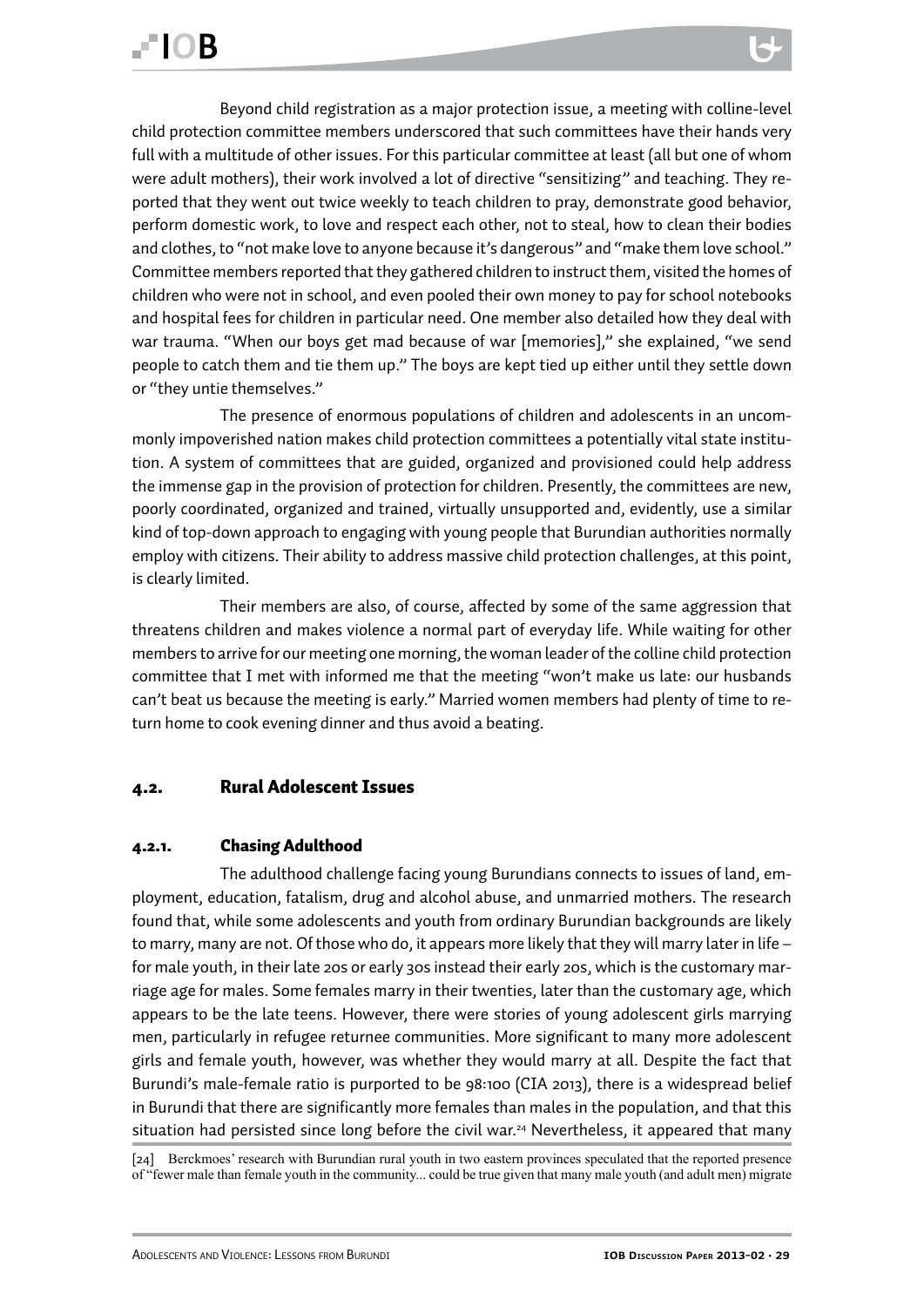<span id="page-28-0"></span>Beyond child registration as a major protection issue, a meeting with colline-level child protection committee members underscored that such committees have their hands very full with a multitude of other issues. For this particular committee at least (all but one of whom were adult mothers), their work involved a lot of directive "sensitizing" and teaching. They reported that they went out twice weekly to teach children to pray, demonstrate good behavior, perform domestic work, to love and respect each other, not to steal, how to clean their bodies and clothes, to "not make love to anyone because it's dangerous" and "make them love school." Committee members reported that they gathered children to instruct them, visited the homes of children who were not in school, and even pooled their own money to pay for school notebooks and hospital fees for children in particular need. One member also detailed how they deal with war trauma. "When our boys get mad because of war [memories]," she explained, "we send people to catch them and tie them up." The boys are kept tied up either until they settle down or "they untie themselves."

The presence of enormous populations of children and adolescents in an uncommonly impoverished nation makes child protection committees a potentially vital state institution. A system of committees that are guided, organized and provisioned could help address the immense gap in the provision of protection for children. Presently, the committees are new, poorly coordinated, organized and trained, virtually unsupported and, evidently, use a similar kind of top-down approach to engaging with young people that Burundian authorities normally employ with citizens. Their ability to address massive child protection challenges, at this point, is clearly limited.

Their members are also, of course, affected by some of the same aggression that threatens children and makes violence a normal part of everyday life. While waiting for other members to arrive for our meeting one morning, the woman leader of the colline child protection committee that I met with informed me that the meeting "won't make us late: our husbands can't beat us because the meeting is early." Married women members had plenty of time to return home to cook evening dinner and thus avoid a beating.

#### 4.2. Rural Adolescent Issues

#### 4.2.1. Chasing Adulthood

The adulthood challenge facing young Burundians connects to issues of land, employment, education, fatalism, drug and alcohol abuse, and unmarried mothers. The research found that, while some adolescents and youth from ordinary Burundian backgrounds are likely to marry, many are not. Of those who do, it appears more likely that they will marry later in life – for male youth, in their late 20s or early 30s instead their early 20s, which is the customary marriage age for males. Some females marry in their twenties, later than the customary age, which appears to be the late teens. However, there were stories of young adolescent girls marrying men, particularly in refugee returnee communities. More significant to many more adolescent girls and female youth, however, was whether they would marry at all. Despite the fact that Burundi's male-female ratio is purported to be 98:100 (CIA 2013), there is a widespread belief in Burundi that there are significantly more females than males in the population, and that this situation had persisted since long before the civil war.<sup>24</sup> Nevertheless, it appeared that many

[24] Berckmoes' research with Burundian rural youth in two eastern provinces speculated that the reported presence of "fewer male than female youth in the community... could be true given that many male youth (and adult men) migrate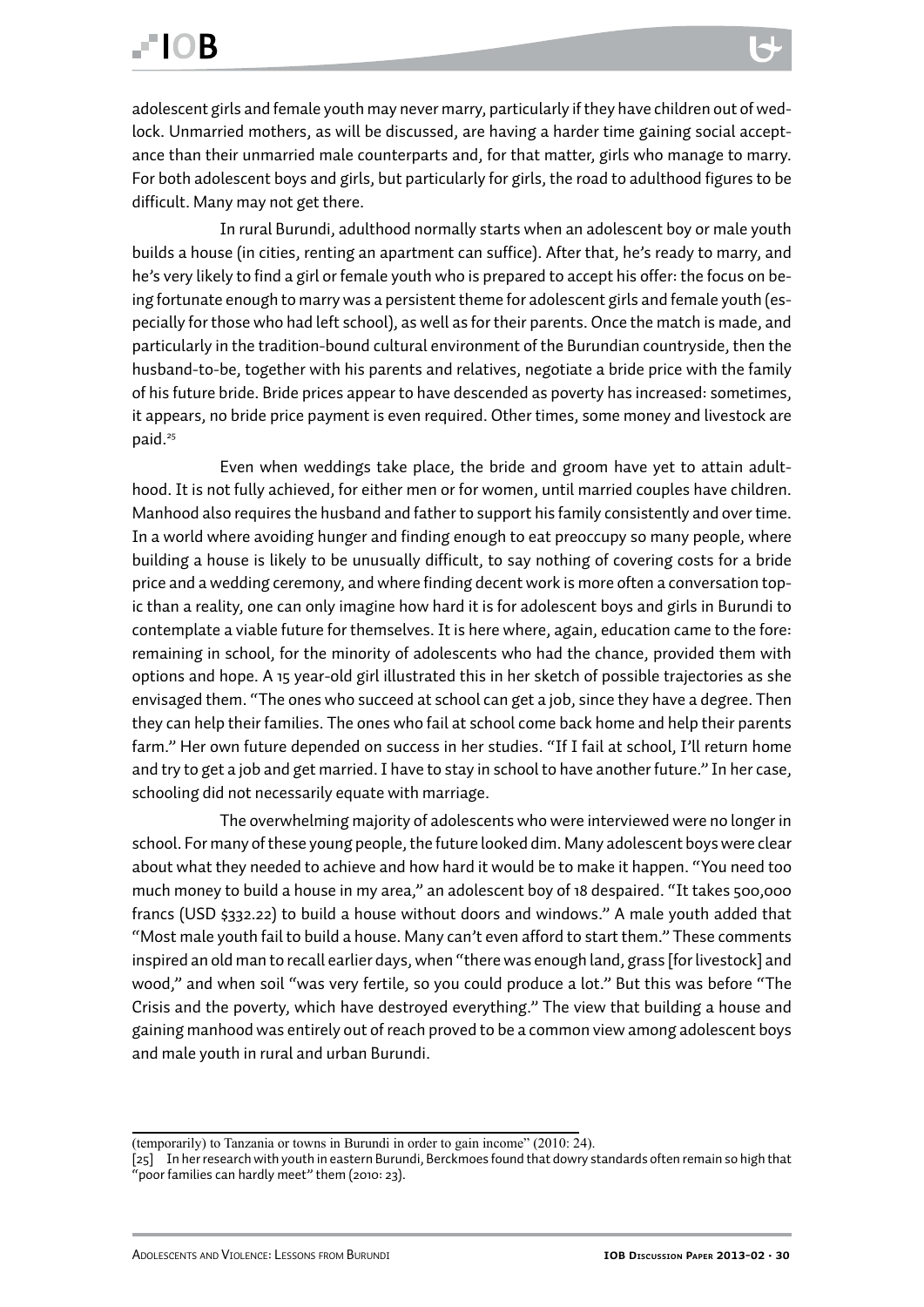adolescent girls and female youth may never marry, particularly if they have children out of wedlock. Unmarried mothers, as will be discussed, are having a harder time gaining social acceptance than their unmarried male counterparts and, for that matter, girls who manage to marry. For both adolescent boys and girls, but particularly for girls, the road to adulthood figures to be difficult. Many may not get there.

In rural Burundi, adulthood normally starts when an adolescent boy or male youth builds a house (in cities, renting an apartment can suffice). After that, he's ready to marry, and he's very likely to find a girl or female youth who is prepared to accept his offer: the focus on being fortunate enough to marry was a persistent theme for adolescent girls and female youth (especially for those who had left school), as well as for their parents. Once the match is made, and particularly in the tradition-bound cultural environment of the Burundian countryside, then the husband-to-be, together with his parents and relatives, negotiate a bride price with the family of his future bride. Bride prices appear to have descended as poverty has increased: sometimes, it appears, no bride price payment is even required. Other times, some money and livestock are paid.<sup>25</sup>

Even when weddings take place, the bride and groom have yet to attain adulthood. It is not fully achieved, for either men or for women, until married couples have children. Manhood also requires the husband and father to support his family consistently and over time. In a world where avoiding hunger and finding enough to eat preoccupy so many people, where building a house is likely to be unusually difficult, to say nothing of covering costs for a bride price and a wedding ceremony, and where finding decent work is more often a conversation topic than a reality, one can only imagine how hard it is for adolescent boys and girls in Burundi to contemplate a viable future for themselves. It is here where, again, education came to the fore: remaining in school, for the minority of adolescents who had the chance, provided them with options and hope. A 15 year-old girl illustrated this in her sketch of possible trajectories as she envisaged them. "The ones who succeed at school can get a job, since they have a degree. Then they can help their families. The ones who fail at school come back home and help their parents farm." Her own future depended on success in her studies. "If I fail at school, I'll return home and try to get a job and get married. I have to stay in school to have another future." In her case, schooling did not necessarily equate with marriage.

The overwhelming majority of adolescents who were interviewed were no longer in school. For many of these young people, the future looked dim. Many adolescent boys were clear about what they needed to achieve and how hard it would be to make it happen. "You need too much money to build a house in my area," an adolescent boy of 18 despaired. "It takes 500,000 francs (USD \$332.22) to build a house without doors and windows." A male youth added that "Most male youth fail to build a house. Many can't even afford to start them." These comments inspired an old man to recall earlier days, when "there was enough land, grass [for livestock] and wood," and when soil "was very fertile, so you could produce a lot." But this was before "The Crisis and the poverty, which have destroyed everything." The view that building a house and gaining manhood was entirely out of reach proved to be a common view among adolescent boys and male youth in rural and urban Burundi.

<sup>(</sup>temporarily) to Tanzania or towns in Burundi in order to gain income" (2010: 24).

<sup>[25]</sup> In her research with youth in eastern Burundi, Berckmoes found that dowry standards often remain so high that "poor families can hardly meet" them (2010: 23).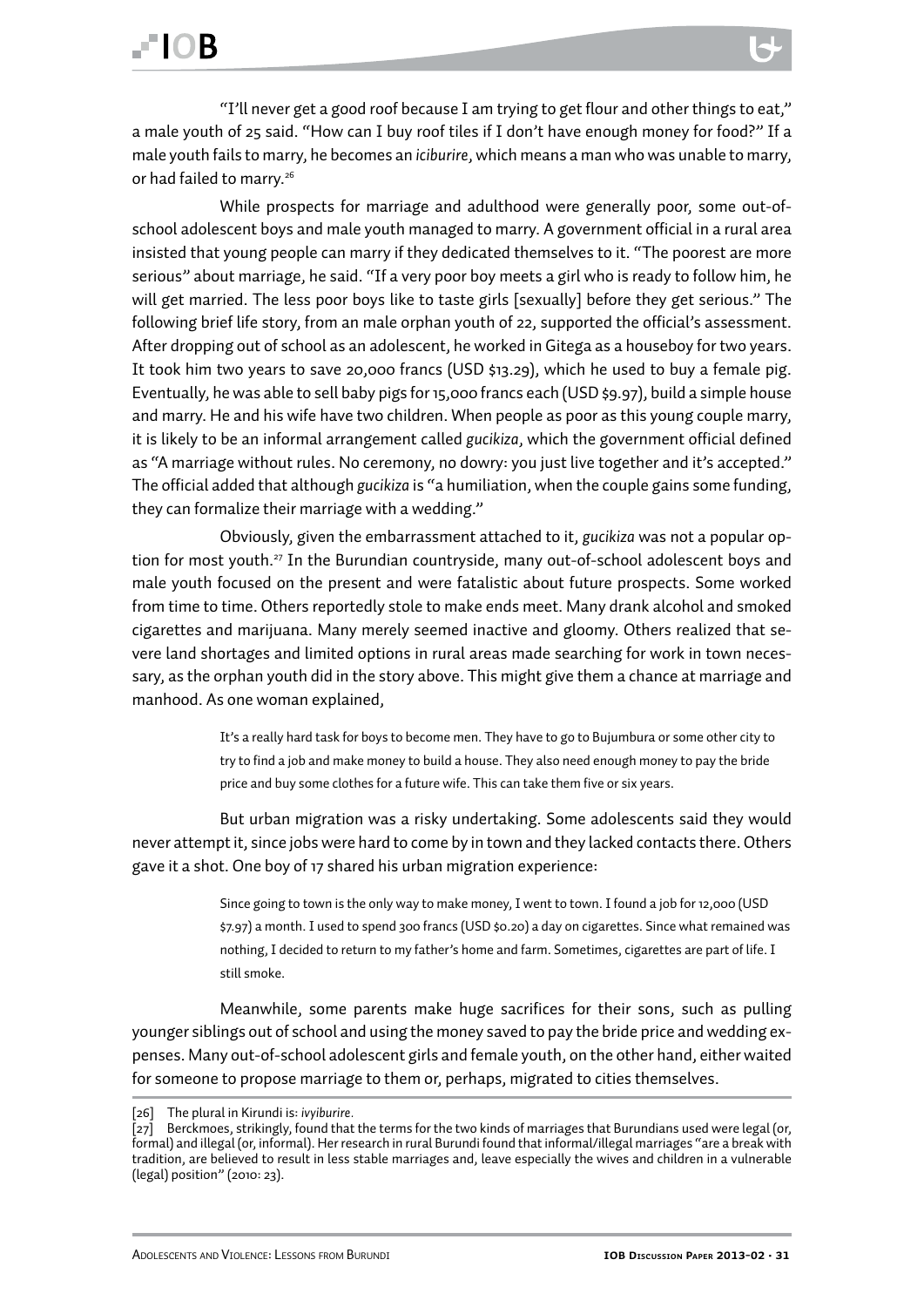### **FIOR**

"I'll never get a good roof because I am trying to get flour and other things to eat," a male youth of 25 said. "How can I buy roof tiles if I don't have enough money for food?" If a male youth fails to marry, he becomes an *iciburire*, which means a man who was unable to marry, or had failed to marry.<sup>26</sup>

While prospects for marriage and adulthood were generally poor, some out-ofschool adolescent boys and male youth managed to marry. A government official in a rural area insisted that young people can marry if they dedicated themselves to it. "The poorest are more serious" about marriage, he said. "If a very poor boy meets a girl who is ready to follow him, he will get married. The less poor boys like to taste girls [sexually] before they get serious." The following brief life story, from an male orphan youth of 22, supported the official's assessment. After dropping out of school as an adolescent, he worked in Gitega as a houseboy for two years. It took him two years to save 20,000 francs (USD \$13.29), which he used to buy a female pig. Eventually, he was able to sell baby pigs for 15,000 francs each (USD \$9.97), build a simple house and marry. He and his wife have two children. When people as poor as this young couple marry, it is likely to be an informal arrangement called *gucikiza*, which the government official defined as "A marriage without rules. No ceremony, no dowry: you just live together and it's accepted." The official added that although *gucikiza* is "a humiliation, when the couple gains some funding, they can formalize their marriage with a wedding."

Obviously, given the embarrassment attached to it, *gucikiza* was not a popular option for most youth.27 In the Burundian countryside, many out-of-school adolescent boys and male youth focused on the present and were fatalistic about future prospects. Some worked from time to time. Others reportedly stole to make ends meet. Many drank alcohol and smoked cigarettes and marijuana. Many merely seemed inactive and gloomy. Others realized that severe land shortages and limited options in rural areas made searching for work in town necessary, as the orphan youth did in the story above. This might give them a chance at marriage and manhood. As one woman explained,

> It's a really hard task for boys to become men. They have to go to Bujumbura or some other city to try to find a job and make money to build a house. They also need enough money to pay the bride price and buy some clothes for a future wife. This can take them five or six years.

But urban migration was a risky undertaking. Some adolescents said they would never attempt it, since jobs were hard to come by in town and they lacked contacts there. Others gave it a shot. One boy of 17 shared his urban migration experience:

> Since going to town is the only way to make money, I went to town. I found a job for 12,000 (USD \$7.97) a month. I used to spend 300 francs (USD \$0.20) a day on cigarettes. Since what remained was nothing, I decided to return to my father's home and farm. Sometimes, cigarettes are part of life. I still smoke.

Meanwhile, some parents make huge sacrifices for their sons, such as pulling younger siblings out of school and using the money saved to pay the bride price and wedding expenses. Many out-of-school adolescent girls and female youth, on the other hand, either waited for someone to propose marriage to them or, perhaps, migrated to cities themselves.

<sup>[26]</sup> The plural in Kirundi is: *ivyiburire.*

 $\bar{z}$ 7] Berckmoes, strikingly, found that the terms for the two kinds of marriages that Burundians used were legal (or, formal) and illegal (or, informal). Her research in rural Burundi found that informal/illegal marriages "are a break with tradition, are believed to result in less stable marriages and, leave especially the wives and children in a vulnerable (legal) position" (2010: 23).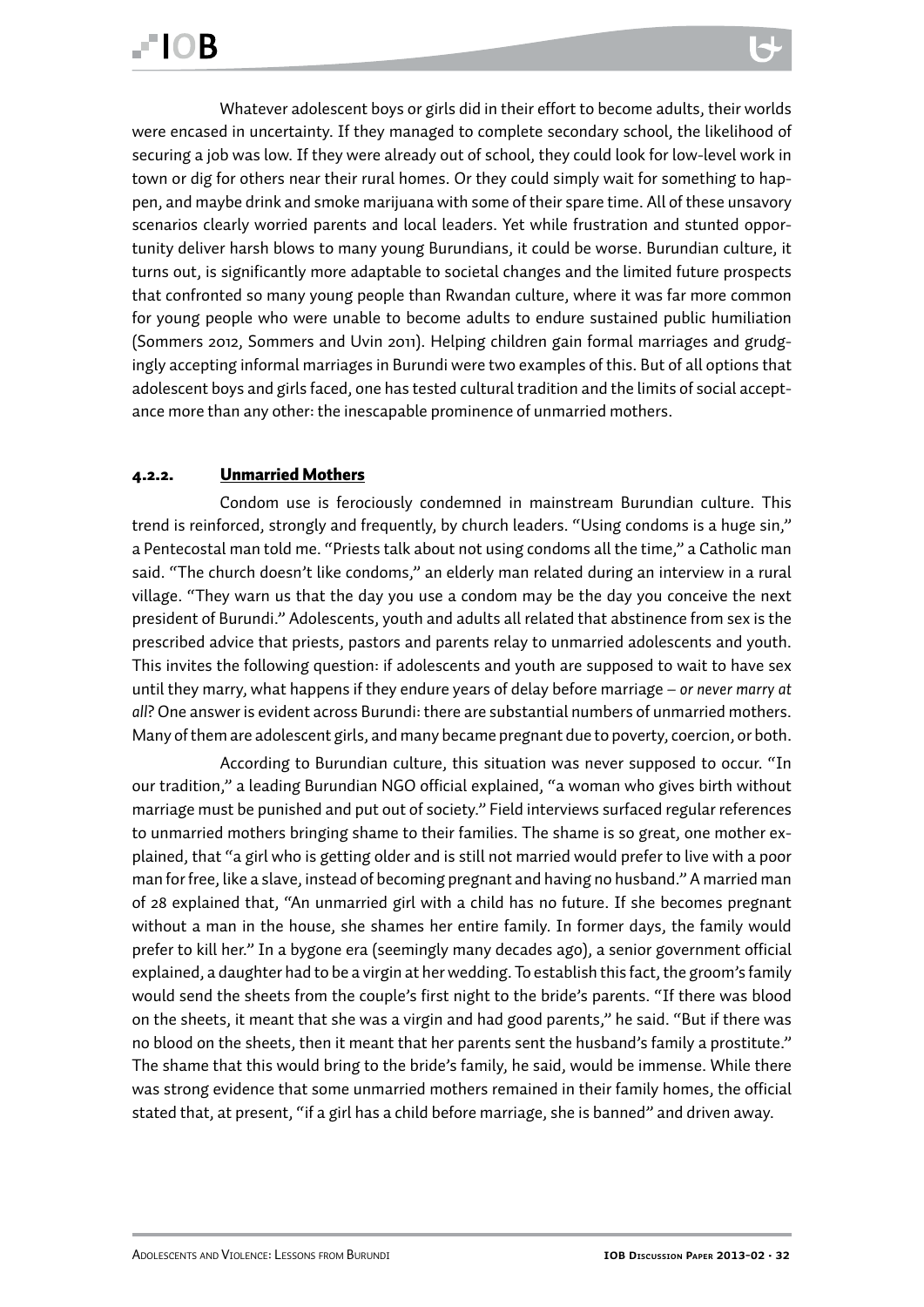<span id="page-31-0"></span>Whatever adolescent boys or girls did in their effort to become adults, their worlds were encased in uncertainty. If they managed to complete secondary school, the likelihood of securing a job was low. If they were already out of school, they could look for low-level work in town or dig for others near their rural homes. Or they could simply wait for something to happen, and maybe drink and smoke marijuana with some of their spare time. All of these unsavory scenarios clearly worried parents and local leaders. Yet while frustration and stunted opportunity deliver harsh blows to many young Burundians, it could be worse. Burundian culture, it turns out, is significantly more adaptable to societal changes and the limited future prospects that confronted so many young people than Rwandan culture, where it was far more common for young people who were unable to become adults to endure sustained public humiliation (Sommers 2012, Sommers and Uvin 2011). Helping children gain formal marriages and grudgingly accepting informal marriages in Burundi were two examples of this. But of all options that adolescent boys and girls faced, one has tested cultural tradition and the limits of social accept-

ance more than any other: the inescapable prominence of unmarried mothers.

#### 4.2.2. Unmarried Mothers

Condom use is ferociously condemned in mainstream Burundian culture. This trend is reinforced, strongly and frequently, by church leaders. "Using condoms is a huge sin," a Pentecostal man told me. "Priests talk about not using condoms all the time," a Catholic man said. "The church doesn't like condoms," an elderly man related during an interview in a rural village. "They warn us that the day you use a condom may be the day you conceive the next president of Burundi." Adolescents, youth and adults all related that abstinence from sex is the prescribed advice that priests, pastors and parents relay to unmarried adolescents and youth. This invites the following question: if adolescents and youth are supposed to wait to have sex until they marry, what happens if they endure years of delay before marriage – *or never marry at all*? One answer is evident across Burundi: there are substantial numbers of unmarried mothers. Many of them are adolescent girls, and many became pregnant due to poverty, coercion, or both.

According to Burundian culture, this situation was never supposed to occur. "In our tradition," a leading Burundian NGO official explained, "a woman who gives birth without marriage must be punished and put out of society." Field interviews surfaced regular references to unmarried mothers bringing shame to their families. The shame is so great, one mother explained, that "a girl who is getting older and is still not married would prefer to live with a poor man for free, like a slave, instead of becoming pregnant and having no husband." A married man of 28 explained that, "An unmarried girl with a child has no future. If she becomes pregnant without a man in the house, she shames her entire family. In former days, the family would prefer to kill her." In a bygone era (seemingly many decades ago), a senior government official explained, a daughter had to be a virgin at her wedding. To establish this fact, the groom's family would send the sheets from the couple's first night to the bride's parents. "If there was blood on the sheets, it meant that she was a virgin and had good parents," he said. "But if there was no blood on the sheets, then it meant that her parents sent the husband's family a prostitute." The shame that this would bring to the bride's family, he said, would be immense. While there was strong evidence that some unmarried mothers remained in their family homes, the official stated that, at present, "if a girl has a child before marriage, she is banned" and driven away.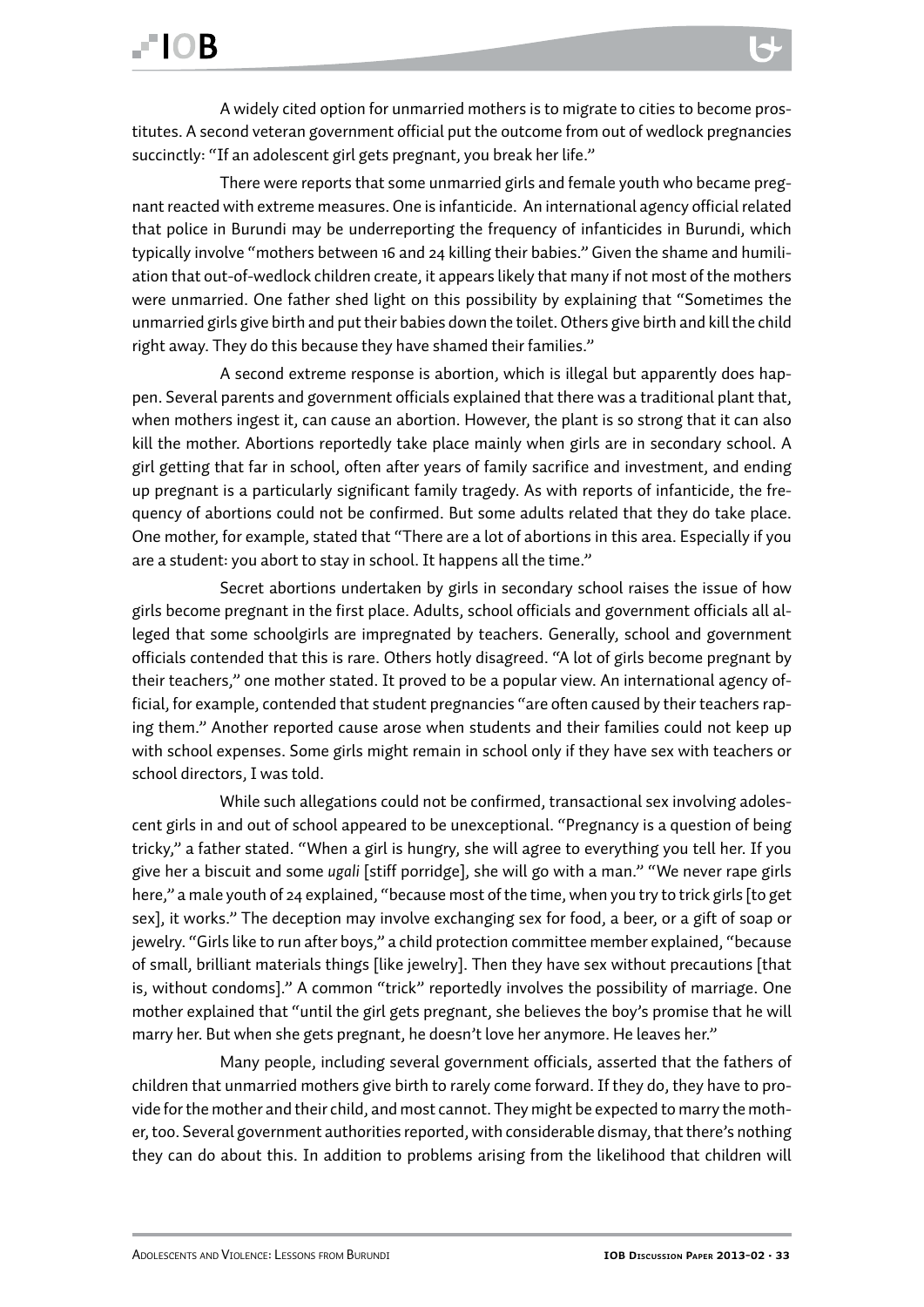A widely cited option for unmarried mothers is to migrate to cities to become prostitutes. A second veteran government official put the outcome from out of wedlock pregnancies succinctly: "If an adolescent girl gets pregnant, you break her life."

There were reports that some unmarried girls and female youth who became pregnant reacted with extreme measures. One is infanticide. An international agency official related that police in Burundi may be underreporting the frequency of infanticides in Burundi, which typically involve "mothers between 16 and 24 killing their babies." Given the shame and humiliation that out-of-wedlock children create, it appears likely that many if not most of the mothers were unmarried. One father shed light on this possibility by explaining that "Sometimes the unmarried girls give birth and put their babies down the toilet. Others give birth and kill the child right away. They do this because they have shamed their families."

A second extreme response is abortion, which is illegal but apparently does happen. Several parents and government officials explained that there was a traditional plant that, when mothers ingest it, can cause an abortion. However, the plant is so strong that it can also kill the mother. Abortions reportedly take place mainly when girls are in secondary school. A girl getting that far in school, often after years of family sacrifice and investment, and ending up pregnant is a particularly significant family tragedy. As with reports of infanticide, the frequency of abortions could not be confirmed. But some adults related that they do take place. One mother, for example, stated that "There are a lot of abortions in this area. Especially if you are a student: you abort to stay in school. It happens all the time."

Secret abortions undertaken by girls in secondary school raises the issue of how girls become pregnant in the first place. Adults, school officials and government officials all alleged that some schoolgirls are impregnated by teachers. Generally, school and government officials contended that this is rare. Others hotly disagreed. "A lot of girls become pregnant by their teachers," one mother stated. It proved to be a popular view. An international agency official, for example, contended that student pregnancies "are often caused by their teachers raping them." Another reported cause arose when students and their families could not keep up with school expenses. Some girls might remain in school only if they have sex with teachers or school directors, I was told.

While such allegations could not be confirmed, transactional sex involving adolescent girls in and out of school appeared to be unexceptional. "Pregnancy is a question of being tricky," a father stated. "When a girl is hungry, she will agree to everything you tell her. If you give her a biscuit and some *ugali* [stiff porridge], she will go with a man." "We never rape girls here," a male youth of 24 explained, "because most of the time, when you try to trick girls [to get sex], it works." The deception may involve exchanging sex for food, a beer, or a gift of soap or jewelry. "Girls like to run after boys," a child protection committee member explained, "because of small, brilliant materials things [like jewelry]. Then they have sex without precautions [that is, without condoms]." A common "trick" reportedly involves the possibility of marriage. One mother explained that "until the girl gets pregnant, she believes the boy's promise that he will marry her. But when she gets pregnant, he doesn't love her anymore. He leaves her."

Many people, including several government officials, asserted that the fathers of children that unmarried mothers give birth to rarely come forward. If they do, they have to provide for the mother and their child, and most cannot. They might be expected to marry the mother, too. Several government authorities reported, with considerable dismay, that there's nothing they can do about this. In addition to problems arising from the likelihood that children will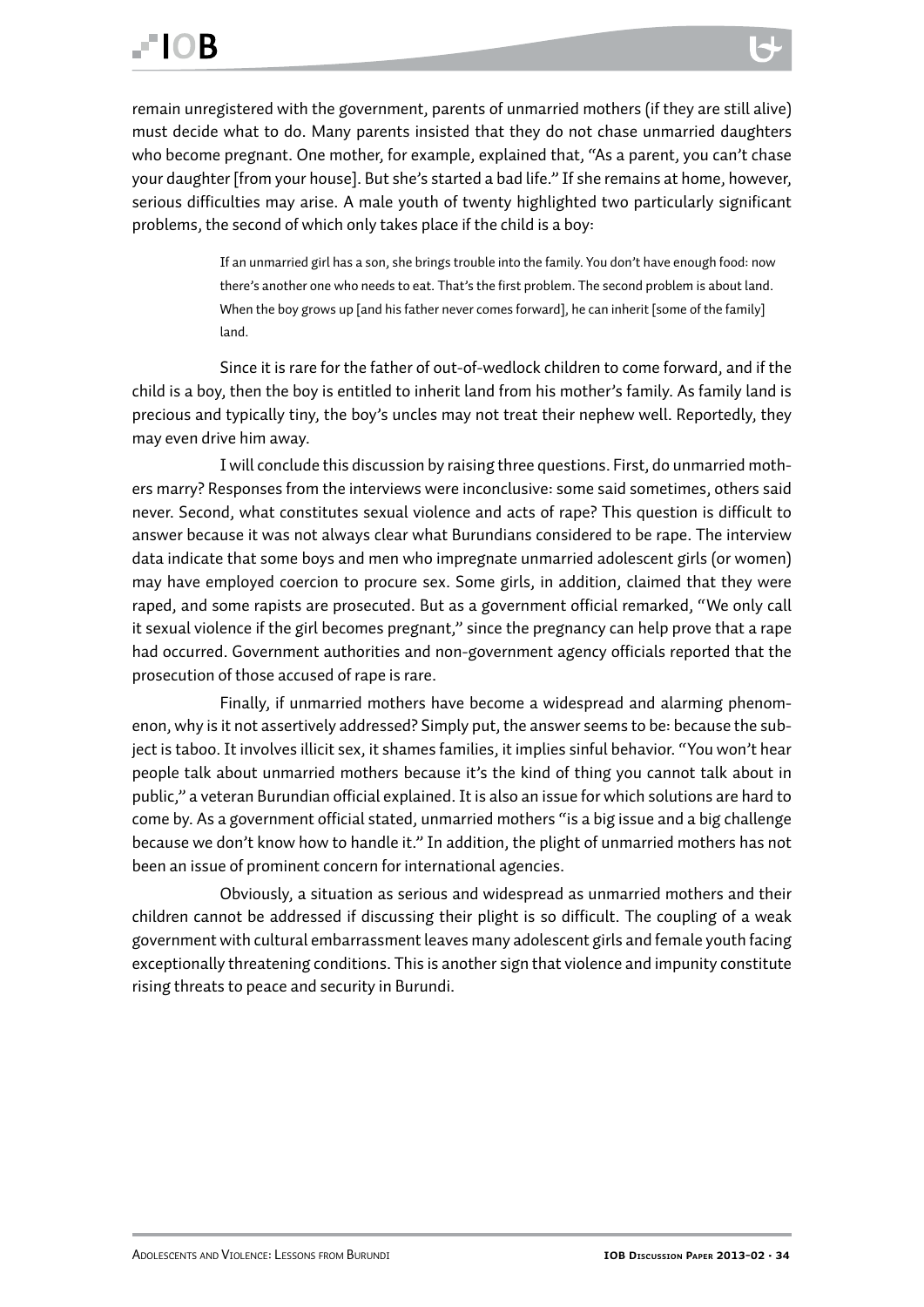remain unregistered with the government, parents of unmarried mothers (if they are still alive) must decide what to do. Many parents insisted that they do not chase unmarried daughters who become pregnant. One mother, for example, explained that, "As a parent, you can't chase your daughter [from your house]. But she's started a bad life." If she remains at home, however, serious difficulties may arise. A male youth of twenty highlighted two particularly significant problems, the second of which only takes place if the child is a boy:

> If an unmarried girl has a son, she brings trouble into the family. You don't have enough food: now there's another one who needs to eat. That's the first problem. The second problem is about land. When the boy grows up [and his father never comes forward], he can inherit [some of the family] land.

Since it is rare for the father of out-of-wedlock children to come forward, and if the child is a boy, then the boy is entitled to inherit land from his mother's family. As family land is precious and typically tiny, the boy's uncles may not treat their nephew well. Reportedly, they may even drive him away.

I will conclude this discussion by raising three questions. First, do unmarried mothers marry? Responses from the interviews were inconclusive: some said sometimes, others said never. Second, what constitutes sexual violence and acts of rape? This question is difficult to answer because it was not always clear what Burundians considered to be rape. The interview data indicate that some boys and men who impregnate unmarried adolescent girls (or women) may have employed coercion to procure sex. Some girls, in addition, claimed that they were raped, and some rapists are prosecuted. But as a government official remarked, "We only call it sexual violence if the girl becomes pregnant," since the pregnancy can help prove that a rape had occurred. Government authorities and non-government agency officials reported that the prosecution of those accused of rape is rare.

Finally, if unmarried mothers have become a widespread and alarming phenomenon, why is it not assertively addressed? Simply put, the answer seems to be: because the subject is taboo. It involves illicit sex, it shames families, it implies sinful behavior. "You won't hear people talk about unmarried mothers because it's the kind of thing you cannot talk about in public," a veteran Burundian official explained. It is also an issue for which solutions are hard to come by. As a government official stated, unmarried mothers "is a big issue and a big challenge because we don't know how to handle it." In addition, the plight of unmarried mothers has not been an issue of prominent concern for international agencies.

Obviously, a situation as serious and widespread as unmarried mothers and their children cannot be addressed if discussing their plight is so difficult. The coupling of a weak government with cultural embarrassment leaves many adolescent girls and female youth facing exceptionally threatening conditions. This is another sign that violence and impunity constitute rising threats to peace and security in Burundi.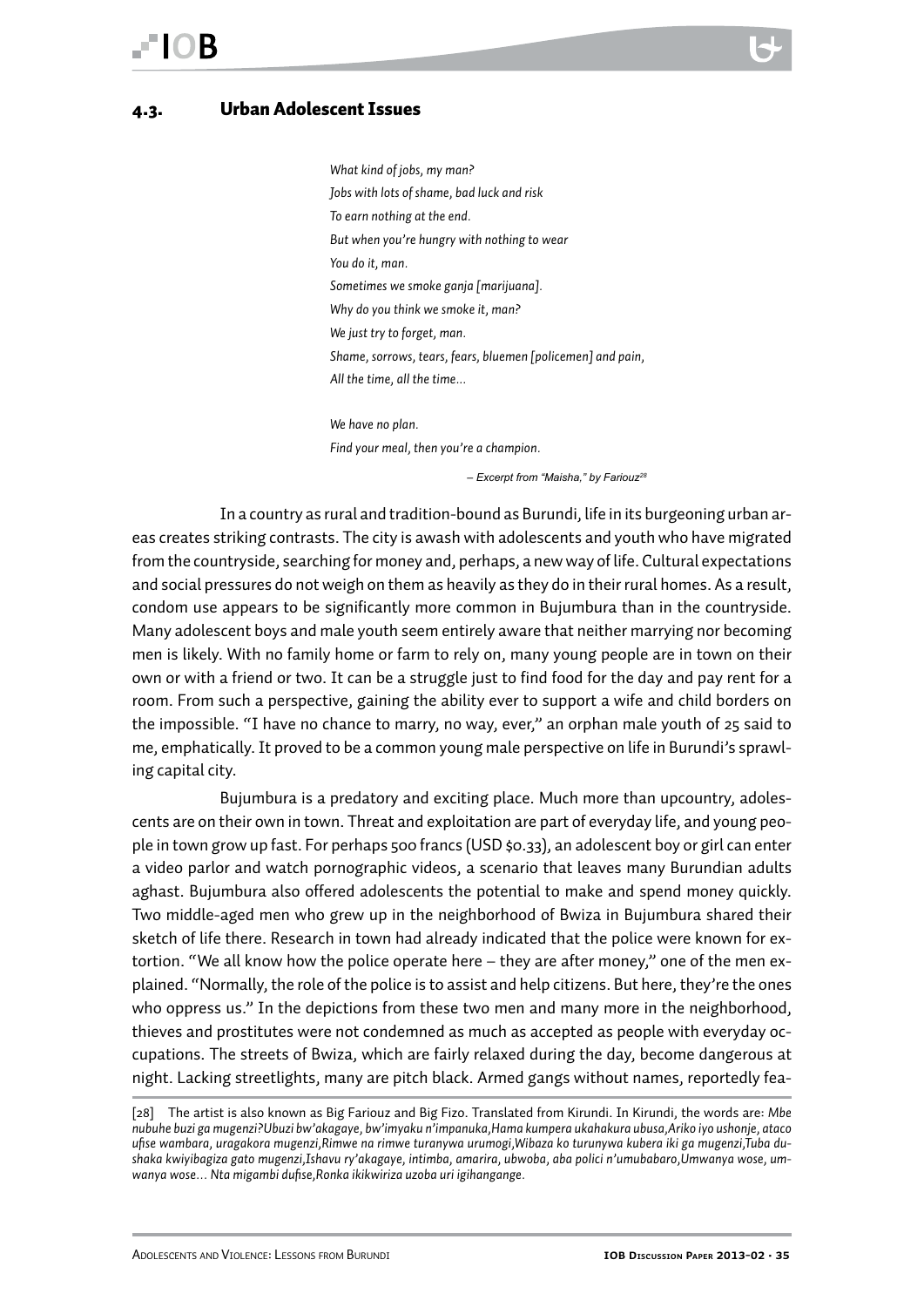#### <span id="page-34-0"></span>4.3. Urban Adolescent Issues

*What kind of jobs, my man? Jobs with lots of shame, bad luck and risk To earn nothing at the end. But when you're hungry with nothing to wear You do it, man. Sometimes we smoke ganja [marijuana]. Why do you think we smoke it, man? We just try to forget, man. Shame, sorrows, tears, fears, bluemen [policemen] and pain, All the time, all the time...*

*We have no plan. Find your meal, then you're a champion.*

 *– Excerpt from "Maisha," by Fariouz28*

In a country as rural and tradition-bound as Burundi, life in its burgeoning urban areas creates striking contrasts. The city is awash with adolescents and youth who have migrated from the countryside, searching for money and, perhaps, a new way of life. Cultural expectations and social pressures do not weigh on them as heavily as they do in their rural homes. As a result, condom use appears to be significantly more common in Bujumbura than in the countryside. Many adolescent boys and male youth seem entirely aware that neither marrying nor becoming men is likely. With no family home or farm to rely on, many young people are in town on their own or with a friend or two. It can be a struggle just to find food for the day and pay rent for a room. From such a perspective, gaining the ability ever to support a wife and child borders on the impossible. "I have no chance to marry, no way, ever," an orphan male youth of 25 said to me, emphatically. It proved to be a common young male perspective on life in Burundi's sprawling capital city.

Bujumbura is a predatory and exciting place. Much more than upcountry, adolescents are on their own in town. Threat and exploitation are part of everyday life, and young people in town grow up fast. For perhaps 500 francs (USD \$0.33), an adolescent boy or girl can enter a video parlor and watch pornographic videos, a scenario that leaves many Burundian adults aghast. Bujumbura also offered adolescents the potential to make and spend money quickly. Two middle-aged men who grew up in the neighborhood of Bwiza in Bujumbura shared their sketch of life there. Research in town had already indicated that the police were known for extortion. "We all know how the police operate here – they are after money," one of the men explained. "Normally, the role of the police is to assist and help citizens. But here, they're the ones who oppress us." In the depictions from these two men and many more in the neighborhood, thieves and prostitutes were not condemned as much as accepted as people with everyday occupations. The streets of Bwiza, which are fairly relaxed during the day, become dangerous at night. Lacking streetlights, many are pitch black. Armed gangs without names, reportedly fea-

<sup>[28]</sup> The artist is also known as Big Fariouz and Big Fizo. Translated from Kirundi. In Kirundi, the words are: *Mbe nubuhe buzi ga mugenzi?Ubuzi bw'akagaye, bw'imyaku n'impanuka,Hama kumpera ukahakura ubusa,Ariko iyo ushonje, ataco ufise wambara, uragakora mugenzi,Rimwe na rimwe turanywa urumogi,Wibaza ko turunywa kubera iki ga mugenzi,Tuba dushaka kwiyibagiza gato mugenzi,Ishavu ry'akagaye, intimba, amarira, ubwoba, aba polici n'umubabaro,Umwanya wose, umwanya wose… Nta migambi dufise,Ronka ikikwiriza uzoba uri igihangange.*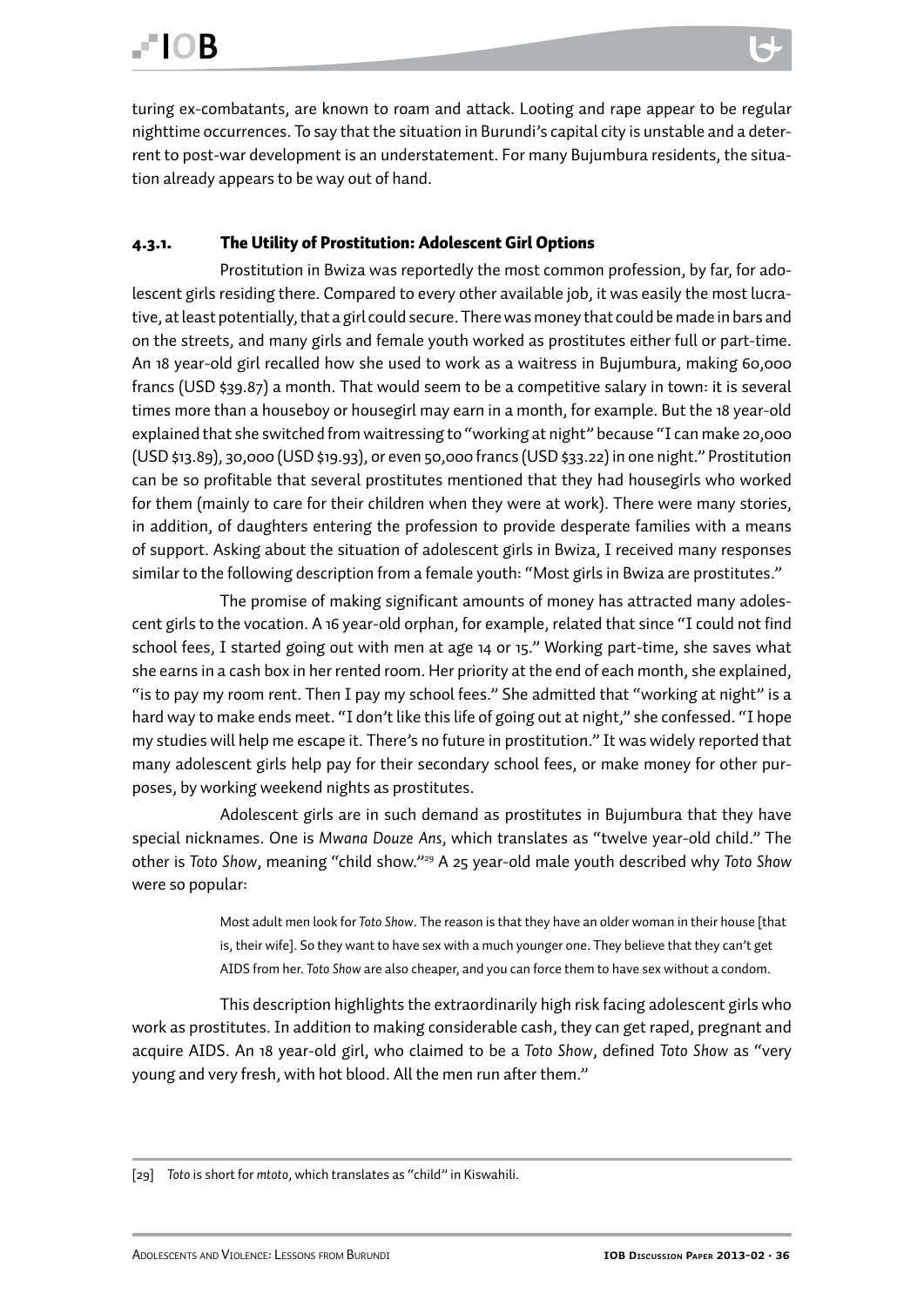<span id="page-35-0"></span>turing ex-combatants, are known to roam and attack. Looting and rape appear to be regular nighttime occurrences. To say that the situation in Burundi's capital city is unstable and a deterrent to post-war development is an understatement. For many Bujumbura residents, the situation already appears to be way out of hand.

#### 4.3.1. The Utility of Prostitution: Adolescent Girl Options

Prostitution in Bwiza was reportedly the most common profession, by far, for adolescent girls residing there. Compared to every other available job, it was easily the most lucrative, at least potentially, that a girl could secure. There was money that could be made in bars and on the streets, and many girls and female youth worked as prostitutes either full or part-time. An 18 year-old girl recalled how she used to work as a waitress in Bujumbura, making 60,000 francs (USD \$39.87) a month. That would seem to be a competitive salary in town: it is several times more than a houseboy or housegirl may earn in a month, for example. But the 18 year-old explained that she switched from waitressing to "working at night" because "I can make 20,000 (USD \$13.89), 30,000 (USD \$19.93), or even 50,000 francs (USD \$33.22) in one night." Prostitution can be so profitable that several prostitutes mentioned that they had housegirls who worked for them (mainly to care for their children when they were at work). There were many stories, in addition, of daughters entering the profession to provide desperate families with a means of support. Asking about the situation of adolescent girls in Bwiza, I received many responses similar to the following description from a female youth: "Most girls in Bwiza are prostitutes."

The promise of making significant amounts of money has attracted many adolescent girls to the vocation. A 16 year-old orphan, for example, related that since "I could not find school fees, I started going out with men at age 14 or 15." Working part-time, she saves what she earns in a cash box in her rented room. Her priority at the end of each month, she explained, "is to pay my room rent. Then I pay my school fees." She admitted that "working at night" is a hard way to make ends meet. "I don't like this life of going out at night," she confessed. "I hope my studies will help me escape it. There's no future in prostitution." It was widely reported that many adolescent girls help pay for their secondary school fees, or make money for other purposes, by working weekend nights as prostitutes.

Adolescent girls are in such demand as prostitutes in Bujumbura that they have special nicknames. One is *Mwana Douze Ans*, which translates as "twelve year-old child." The other is *Toto Show*, meaning "child show."29 A 25 year-old male youth described why *Toto Show* were so popular:

> Most adult men look for *Toto Show*. The reason is that they have an older woman in their house [that is, their wife]. So they want to have sex with a much younger one. They believe that they can't get AIDS from her. *Toto Show* are also cheaper, and you can force them to have sex without a condom.

This description highlights the extraordinarily high risk facing adolescent girls who work as prostitutes. In addition to making considerable cash, they can get raped, pregnant and acquire AIDS. An 18 year-old girl, who claimed to be a *Toto Show*, defined *Toto Show* as "very young and very fresh, with hot blood. All the men run after them."

[29] *Toto* is short for *mtoto*, which translates as "child" in Kiswahili.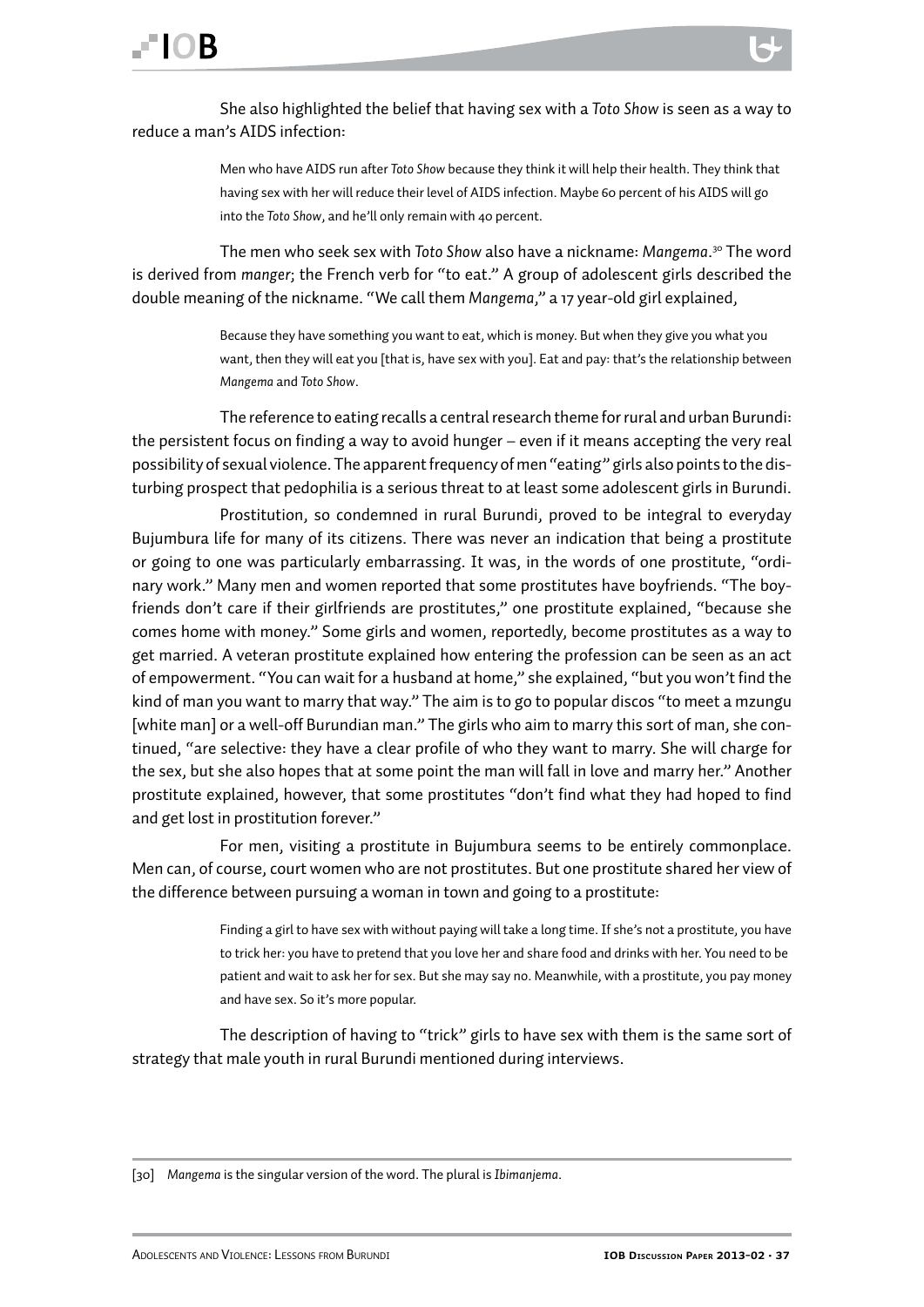She also highlighted the belief that having sex with a *Toto Show* is seen as a way to reduce a man's AIDS infection:

> Men who have AIDS run after *Toto Show* because they think it will help their health. They think that having sex with her will reduce their level of AIDS infection. Maybe 60 percent of his AIDS will go into the *Toto Show*, and he'll only remain with 40 percent.

The men who seek sex with *Toto Show* also have a nickname: *Mangema*. 30 The word is derived from *manger*; the French verb for "to eat." A group of adolescent girls described the double meaning of the nickname. "We call them *Mangema*," a 17 year-old girl explained,

> Because they have something you want to eat, which is money. But when they give you what you want, then they will eat you [that is, have sex with you]. Eat and pay: that's the relationship between *Mangema* and *Toto Show*.

The reference to eating recalls a central research theme for rural and urban Burundi: the persistent focus on finding a way to avoid hunger – even if it means accepting the very real possibility of sexual violence. The apparent frequency of men "eating" girls also points to the disturbing prospect that pedophilia is a serious threat to at least some adolescent girls in Burundi.

Prostitution, so condemned in rural Burundi, proved to be integral to everyday Bujumbura life for many of its citizens. There was never an indication that being a prostitute or going to one was particularly embarrassing. It was, in the words of one prostitute, "ordinary work." Many men and women reported that some prostitutes have boyfriends. "The boyfriends don't care if their girlfriends are prostitutes," one prostitute explained, "because she comes home with money." Some girls and women, reportedly, become prostitutes as a way to get married. A veteran prostitute explained how entering the profession can be seen as an act of empowerment. "You can wait for a husband at home," she explained, "but you won't find the kind of man you want to marry that way." The aim is to go to popular discos "to meet a mzungu [white man] or a well-off Burundian man." The girls who aim to marry this sort of man, she continued, "are selective: they have a clear profile of who they want to marry. She will charge for the sex, but she also hopes that at some point the man will fall in love and marry her." Another prostitute explained, however, that some prostitutes "don't find what they had hoped to find and get lost in prostitution forever."

For men, visiting a prostitute in Bujumbura seems to be entirely commonplace. Men can, of course, court women who are not prostitutes. But one prostitute shared her view of the difference between pursuing a woman in town and going to a prostitute:

> Finding a girl to have sex with without paying will take a long time. If she's not a prostitute, you have to trick her: you have to pretend that you love her and share food and drinks with her. You need to be patient and wait to ask her for sex. But she may say no. Meanwhile, with a prostitute, you pay money and have sex. So it's more popular.

The description of having to "trick" girls to have sex with them is the same sort of strategy that male youth in rural Burundi mentioned during interviews.

<sup>[30]</sup> *Mangema* is the singular version of the word. The plural is *Ibimanjema*.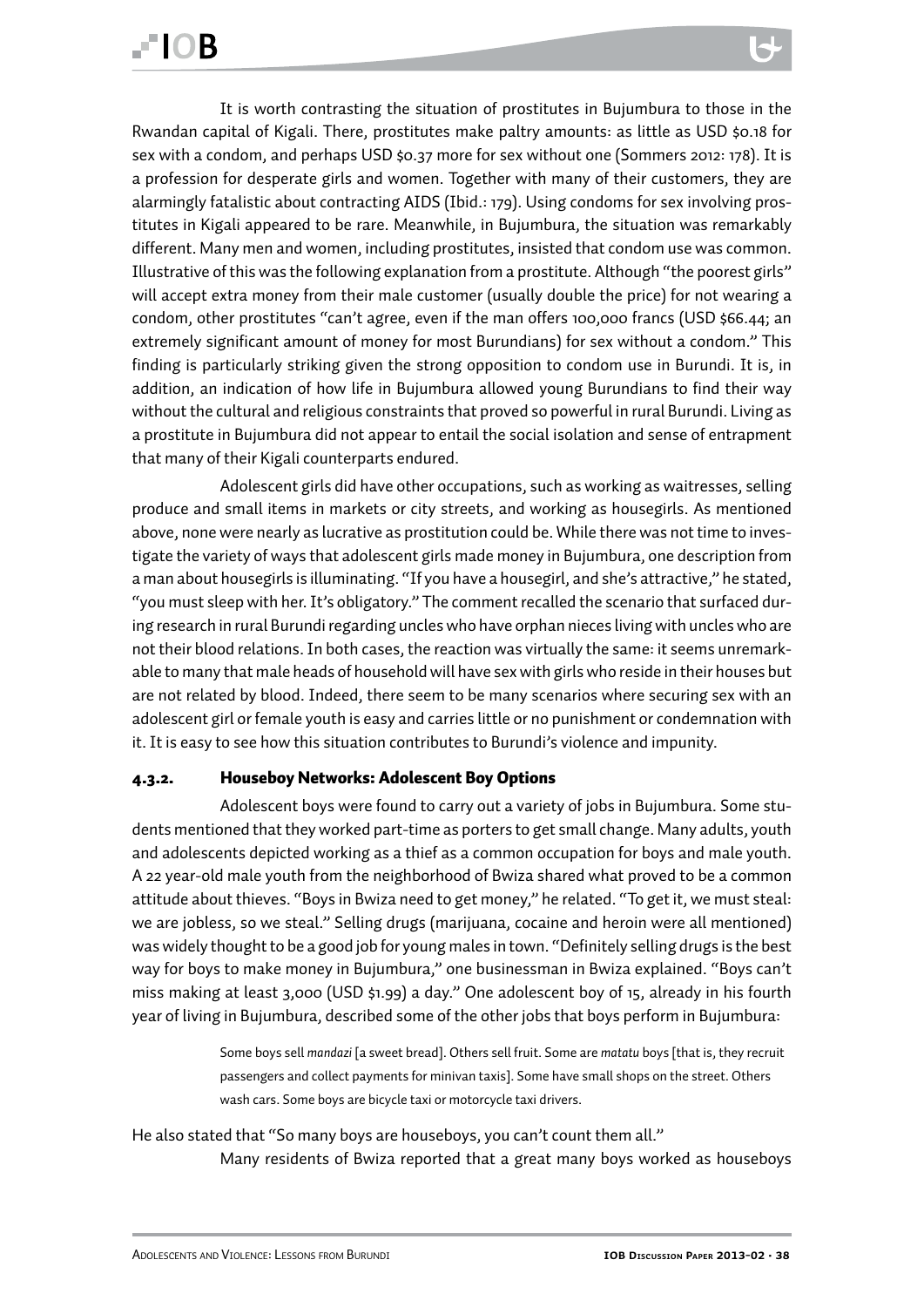<span id="page-37-0"></span>It is worth contrasting the situation of prostitutes in Bujumbura to those in the Rwandan capital of Kigali. There, prostitutes make paltry amounts: as little as USD \$0.18 for sex with a condom, and perhaps USD \$0.37 more for sex without one (Sommers 2012: 178). It is a profession for desperate girls and women. Together with many of their customers, they are alarmingly fatalistic about contracting AIDS (Ibid.: 179). Using condoms for sex involving prostitutes in Kigali appeared to be rare. Meanwhile, in Bujumbura, the situation was remarkably different. Many men and women, including prostitutes, insisted that condom use was common. Illustrative of this was the following explanation from a prostitute. Although "the poorest girls" will accept extra money from their male customer (usually double the price) for not wearing a condom, other prostitutes "can't agree, even if the man offers 100,000 francs (USD \$66.44; an extremely significant amount of money for most Burundians) for sex without a condom." This finding is particularly striking given the strong opposition to condom use in Burundi. It is, in addition, an indication of how life in Bujumbura allowed young Burundians to find their way without the cultural and religious constraints that proved so powerful in rural Burundi. Living as a prostitute in Bujumbura did not appear to entail the social isolation and sense of entrapment that many of their Kigali counterparts endured.

Adolescent girls did have other occupations, such as working as waitresses, selling produce and small items in markets or city streets, and working as housegirls. As mentioned above, none were nearly as lucrative as prostitution could be. While there was not time to investigate the variety of ways that adolescent girls made money in Bujumbura, one description from a man about housegirls is illuminating. "If you have a housegirl, and she's attractive," he stated, "you must sleep with her. It's obligatory." The comment recalled the scenario that surfaced during research in rural Burundi regarding uncles who have orphan nieces living with uncles who are not their blood relations. In both cases, the reaction was virtually the same: it seems unremarkable to many that male heads of household will have sex with girls who reside in their houses but are not related by blood. Indeed, there seem to be many scenarios where securing sex with an adolescent girl or female youth is easy and carries little or no punishment or condemnation with it. It is easy to see how this situation contributes to Burundi's violence and impunity.

#### 4.3.2. Houseboy Networks: Adolescent Boy Options

Adolescent boys were found to carry out a variety of jobs in Bujumbura. Some students mentioned that they worked part-time as porters to get small change. Many adults, youth and adolescents depicted working as a thief as a common occupation for boys and male youth. A 22 year-old male youth from the neighborhood of Bwiza shared what proved to be a common attitude about thieves. "Boys in Bwiza need to get money," he related. "To get it, we must steal: we are jobless, so we steal." Selling drugs (marijuana, cocaine and heroin were all mentioned) was widely thought to be a good job for young males in town. "Definitely selling drugs is the best way for boys to make money in Bujumbura," one businessman in Bwiza explained. "Boys can't miss making at least 3,000 (USD \$1.99) a day." One adolescent boy of 15, already in his fourth year of living in Bujumbura, described some of the other jobs that boys perform in Bujumbura:

> Some boys sell *mandazi* [a sweet bread]. Others sell fruit. Some are *matatu* boys [that is, they recruit passengers and collect payments for minivan taxis]. Some have small shops on the street. Others wash cars. Some boys are bicycle taxi or motorcycle taxi drivers.

He also stated that "So many boys are houseboys, you can't count them all." Many residents of Bwiza reported that a great many boys worked as houseboys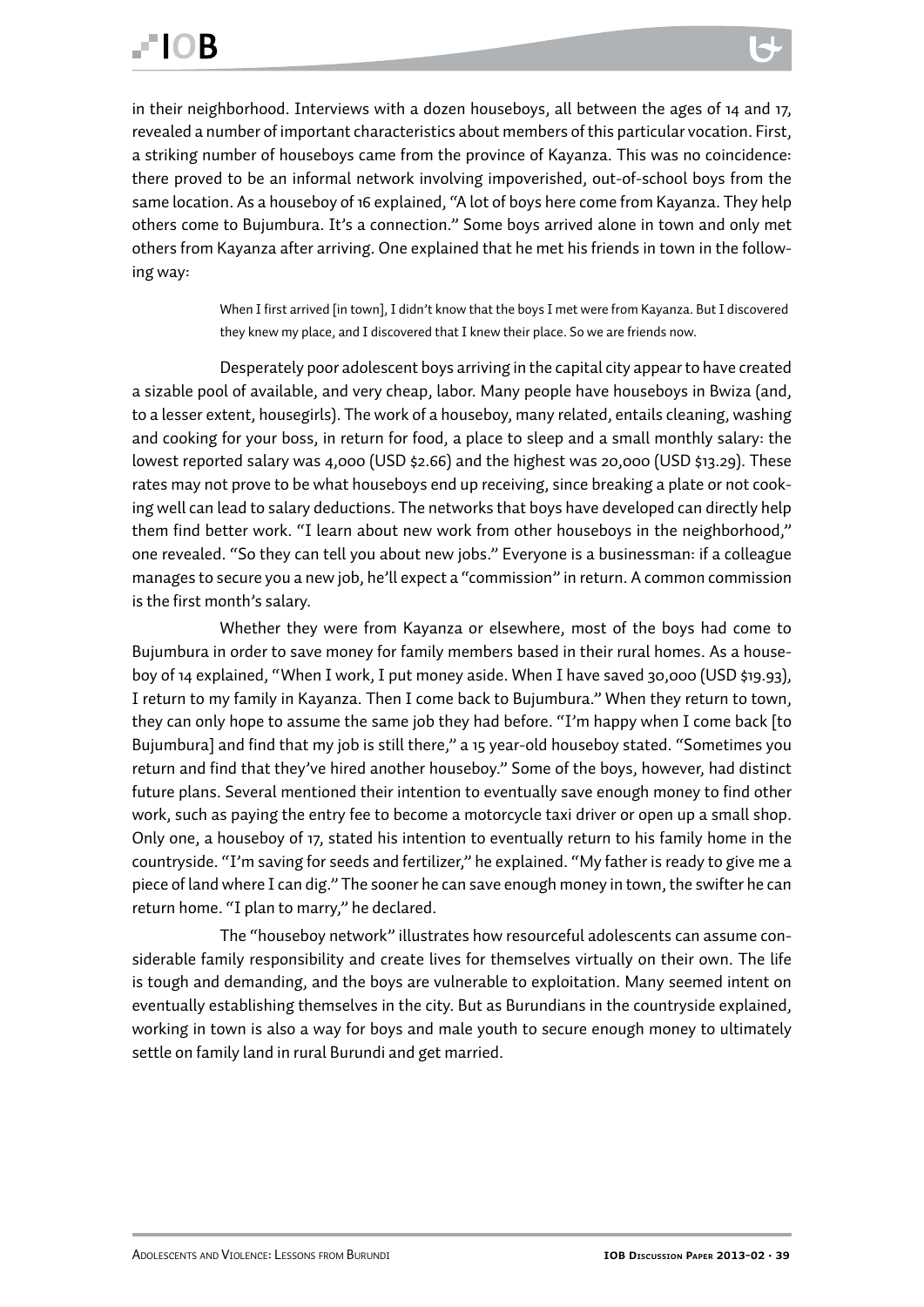in their neighborhood. Interviews with a dozen houseboys, all between the ages of 14 and 17, revealed a number of important characteristics about members of this particular vocation. First, a striking number of houseboys came from the province of Kayanza. This was no coincidence: there proved to be an informal network involving impoverished, out-of-school boys from the same location. As a houseboy of 16 explained, "A lot of boys here come from Kayanza. They help others come to Bujumbura. It's a connection." Some boys arrived alone in town and only met others from Kayanza after arriving. One explained that he met his friends in town in the following way:

> When I first arrived [in town], I didn't know that the boys I met were from Kayanza. But I discovered they knew my place, and I discovered that I knew their place. So we are friends now.

Desperately poor adolescent boys arriving in the capital city appear to have created a sizable pool of available, and very cheap, labor. Many people have houseboys in Bwiza (and, to a lesser extent, housegirls). The work of a houseboy, many related, entails cleaning, washing and cooking for your boss, in return for food, a place to sleep and a small monthly salary: the lowest reported salary was 4,000 (USD \$2.66) and the highest was 20,000 (USD \$13.29). These rates may not prove to be what houseboys end up receiving, since breaking a plate or not cooking well can lead to salary deductions. The networks that boys have developed can directly help them find better work. "I learn about new work from other houseboys in the neighborhood," one revealed. "So they can tell you about new jobs." Everyone is a businessman: if a colleague manages to secure you a new job, he'll expect a "commission" in return. A common commission is the first month's salary.

Whether they were from Kayanza or elsewhere, most of the boys had come to Bujumbura in order to save money for family members based in their rural homes. As a houseboy of 14 explained, "When I work, I put money aside. When I have saved 30,000 (USD \$19.93), I return to my family in Kayanza. Then I come back to Bujumbura." When they return to town, they can only hope to assume the same job they had before. "I'm happy when I come back [to Bujumbura] and find that my job is still there," a 15 year-old houseboy stated. "Sometimes you return and find that they've hired another houseboy." Some of the boys, however, had distinct future plans. Several mentioned their intention to eventually save enough money to find other work, such as paying the entry fee to become a motorcycle taxi driver or open up a small shop. Only one, a houseboy of 17, stated his intention to eventually return to his family home in the countryside. "I'm saving for seeds and fertilizer," he explained. "My father is ready to give me a piece of land where I can dig." The sooner he can save enough money in town, the swifter he can return home. "I plan to marry," he declared.

The "houseboy network" illustrates how resourceful adolescents can assume considerable family responsibility and create lives for themselves virtually on their own. The life is tough and demanding, and the boys are vulnerable to exploitation. Many seemed intent on eventually establishing themselves in the city. But as Burundians in the countryside explained, working in town is also a way for boys and male youth to secure enough money to ultimately settle on family land in rural Burundi and get married.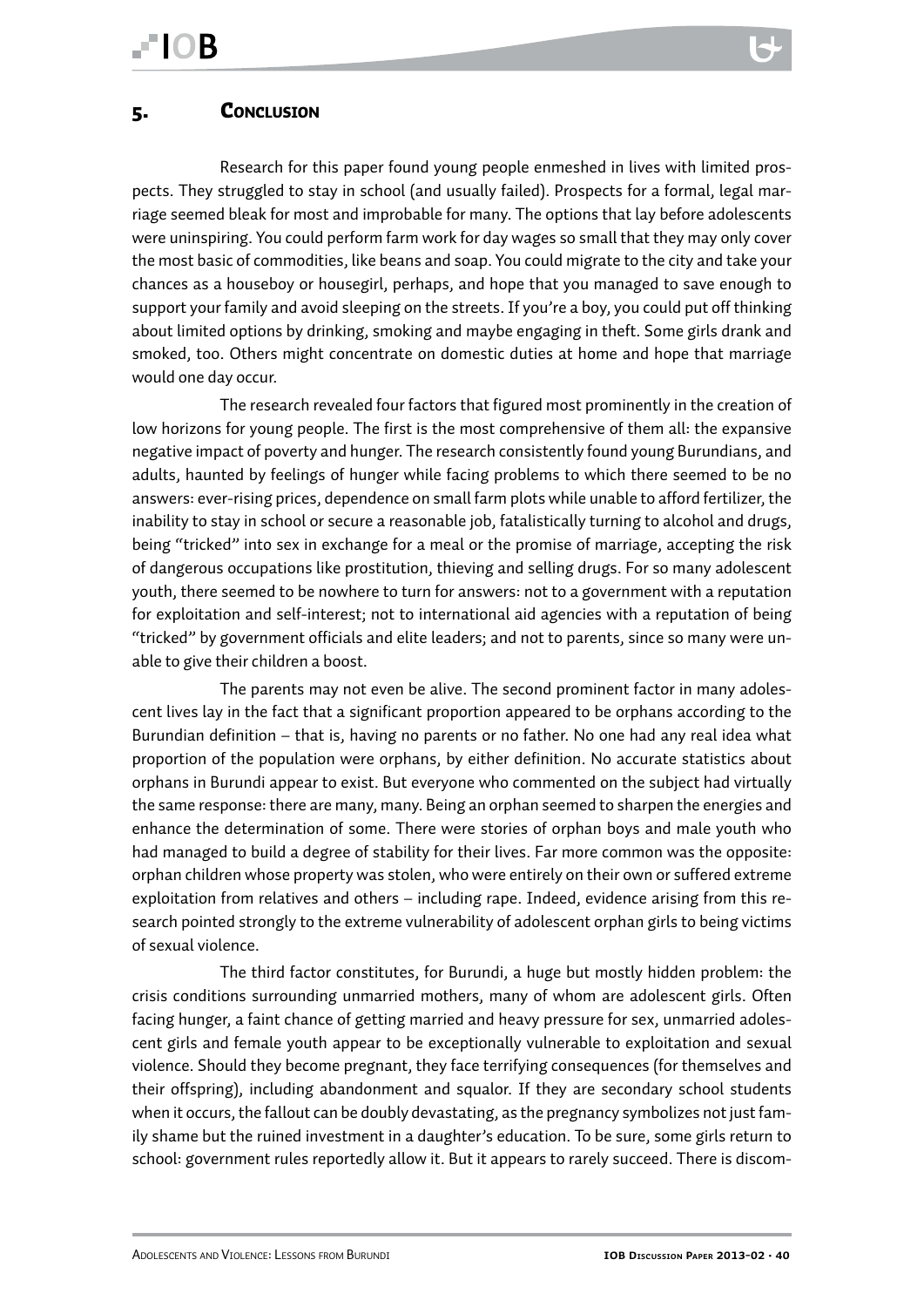<span id="page-39-0"></span>Research for this paper found young people enmeshed in lives with limited prospects. They struggled to stay in school (and usually failed). Prospects for a formal, legal marriage seemed bleak for most and improbable for many. The options that lay before adolescents were uninspiring. You could perform farm work for day wages so small that they may only cover the most basic of commodities, like beans and soap. You could migrate to the city and take your chances as a houseboy or housegirl, perhaps, and hope that you managed to save enough to support your family and avoid sleeping on the streets. If you're a boy, you could put off thinking about limited options by drinking, smoking and maybe engaging in theft. Some girls drank and smoked, too. Others might concentrate on domestic duties at home and hope that marriage would one day occur.

The research revealed four factors that figured most prominently in the creation of low horizons for young people. The first is the most comprehensive of them all: the expansive negative impact of poverty and hunger. The research consistently found young Burundians, and adults, haunted by feelings of hunger while facing problems to which there seemed to be no answers: ever-rising prices, dependence on small farm plots while unable to afford fertilizer, the inability to stay in school or secure a reasonable job, fatalistically turning to alcohol and drugs, being "tricked" into sex in exchange for a meal or the promise of marriage, accepting the risk of dangerous occupations like prostitution, thieving and selling drugs. For so many adolescent youth, there seemed to be nowhere to turn for answers: not to a government with a reputation for exploitation and self-interest; not to international aid agencies with a reputation of being "tricked" by government officials and elite leaders; and not to parents, since so many were unable to give their children a boost.

The parents may not even be alive. The second prominent factor in many adolescent lives lay in the fact that a significant proportion appeared to be orphans according to the Burundian definition – that is, having no parents or no father. No one had any real idea what proportion of the population were orphans, by either definition. No accurate statistics about orphans in Burundi appear to exist. But everyone who commented on the subject had virtually the same response: there are many, many. Being an orphan seemed to sharpen the energies and enhance the determination of some. There were stories of orphan boys and male youth who had managed to build a degree of stability for their lives. Far more common was the opposite: orphan children whose property was stolen, who were entirely on their own or suffered extreme exploitation from relatives and others – including rape. Indeed, evidence arising from this research pointed strongly to the extreme vulnerability of adolescent orphan girls to being victims of sexual violence.

The third factor constitutes, for Burundi, a huge but mostly hidden problem: the crisis conditions surrounding unmarried mothers, many of whom are adolescent girls. Often facing hunger, a faint chance of getting married and heavy pressure for sex, unmarried adolescent girls and female youth appear to be exceptionally vulnerable to exploitation and sexual violence. Should they become pregnant, they face terrifying consequences (for themselves and their offspring), including abandonment and squalor. If they are secondary school students when it occurs, the fallout can be doubly devastating, as the pregnancy symbolizes not just family shame but the ruined investment in a daughter's education. To be sure, some girls return to school: government rules reportedly allow it. But it appears to rarely succeed. There is discom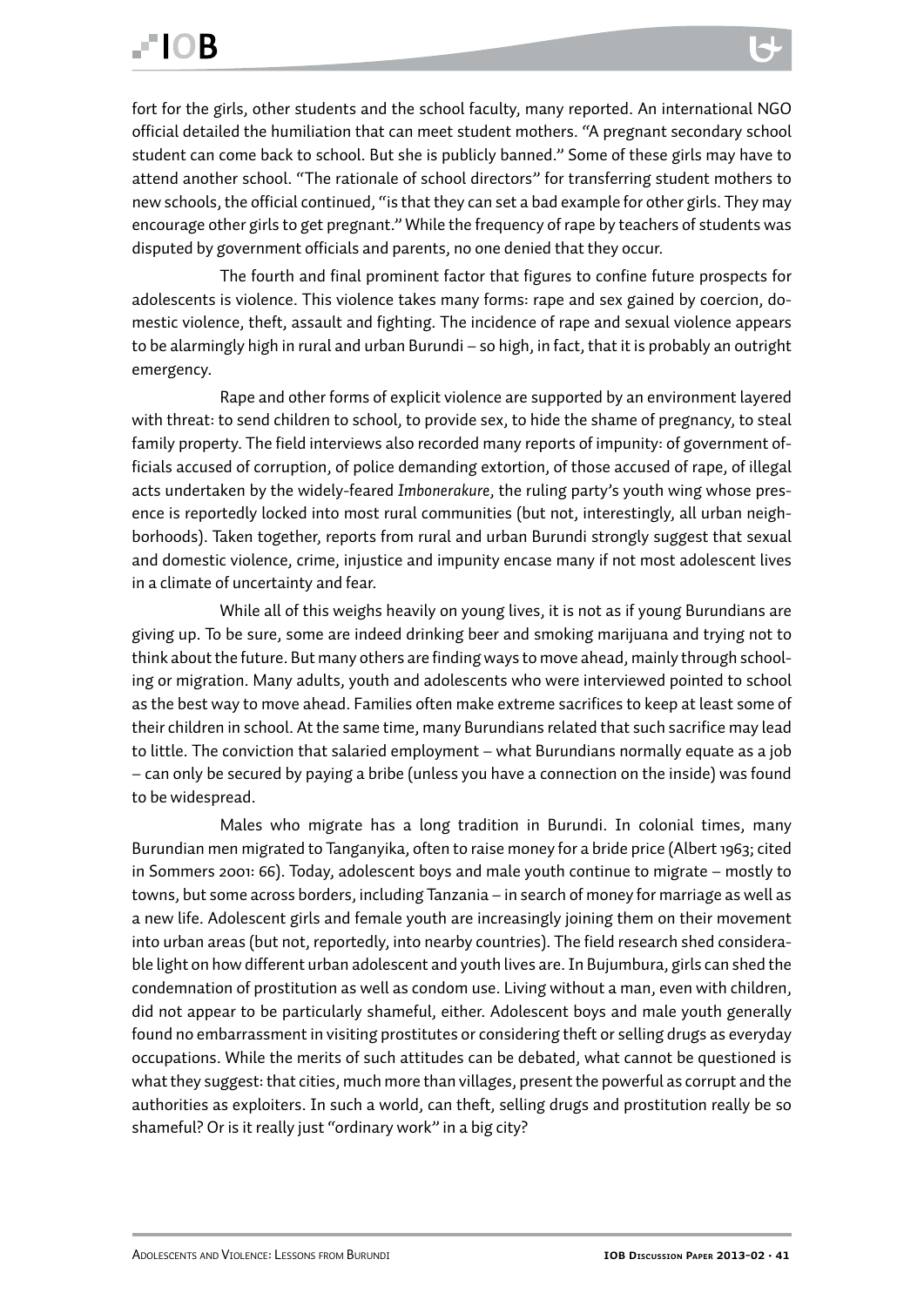fort for the girls, other students and the school faculty, many reported. An international NGO official detailed the humiliation that can meet student mothers. "A pregnant secondary school student can come back to school. But she is publicly banned." Some of these girls may have to attend another school. "The rationale of school directors" for transferring student mothers to new schools, the official continued, "is that they can set a bad example for other girls. They may encourage other girls to get pregnant." While the frequency of rape by teachers of students was disputed by government officials and parents, no one denied that they occur.

The fourth and final prominent factor that figures to confine future prospects for adolescents is violence. This violence takes many forms: rape and sex gained by coercion, domestic violence, theft, assault and fighting. The incidence of rape and sexual violence appears to be alarmingly high in rural and urban Burundi – so high, in fact, that it is probably an outright emergency.

Rape and other forms of explicit violence are supported by an environment layered with threat: to send children to school, to provide sex, to hide the shame of pregnancy, to steal family property. The field interviews also recorded many reports of impunity: of government officials accused of corruption, of police demanding extortion, of those accused of rape, of illegal acts undertaken by the widely-feared *Imbonerakure*, the ruling party's youth wing whose presence is reportedly locked into most rural communities (but not, interestingly, all urban neighborhoods). Taken together, reports from rural and urban Burundi strongly suggest that sexual and domestic violence, crime, injustice and impunity encase many if not most adolescent lives in a climate of uncertainty and fear.

While all of this weighs heavily on young lives, it is not as if young Burundians are giving up. To be sure, some are indeed drinking beer and smoking marijuana and trying not to think about the future. But many others are finding ways to move ahead, mainly through schooling or migration. Many adults, youth and adolescents who were interviewed pointed to school as the best way to move ahead. Families often make extreme sacrifices to keep at least some of their children in school. At the same time, many Burundians related that such sacrifice may lead to little. The conviction that salaried employment – what Burundians normally equate as a job – can only be secured by paying a bribe (unless you have a connection on the inside) was found to be widespread.

Males who migrate has a long tradition in Burundi. In colonial times, many Burundian men migrated to Tanganyika, often to raise money for a bride price (Albert 1963; cited in Sommers 2001: 66). Today, adolescent boys and male youth continue to migrate – mostly to towns, but some across borders, including Tanzania – in search of money for marriage as well as a new life. Adolescent girls and female youth are increasingly joining them on their movement into urban areas (but not, reportedly, into nearby countries). The field research shed considerable light on how different urban adolescent and youth lives are. In Bujumbura, girls can shed the condemnation of prostitution as well as condom use. Living without a man, even with children, did not appear to be particularly shameful, either. Adolescent boys and male youth generally found no embarrassment in visiting prostitutes or considering theft or selling drugs as everyday occupations. While the merits of such attitudes can be debated, what cannot be questioned is what they suggest: that cities, much more than villages, present the powerful as corrupt and the authorities as exploiters. In such a world, can theft, selling drugs and prostitution really be so shameful? Or is it really just "ordinary work" in a big city?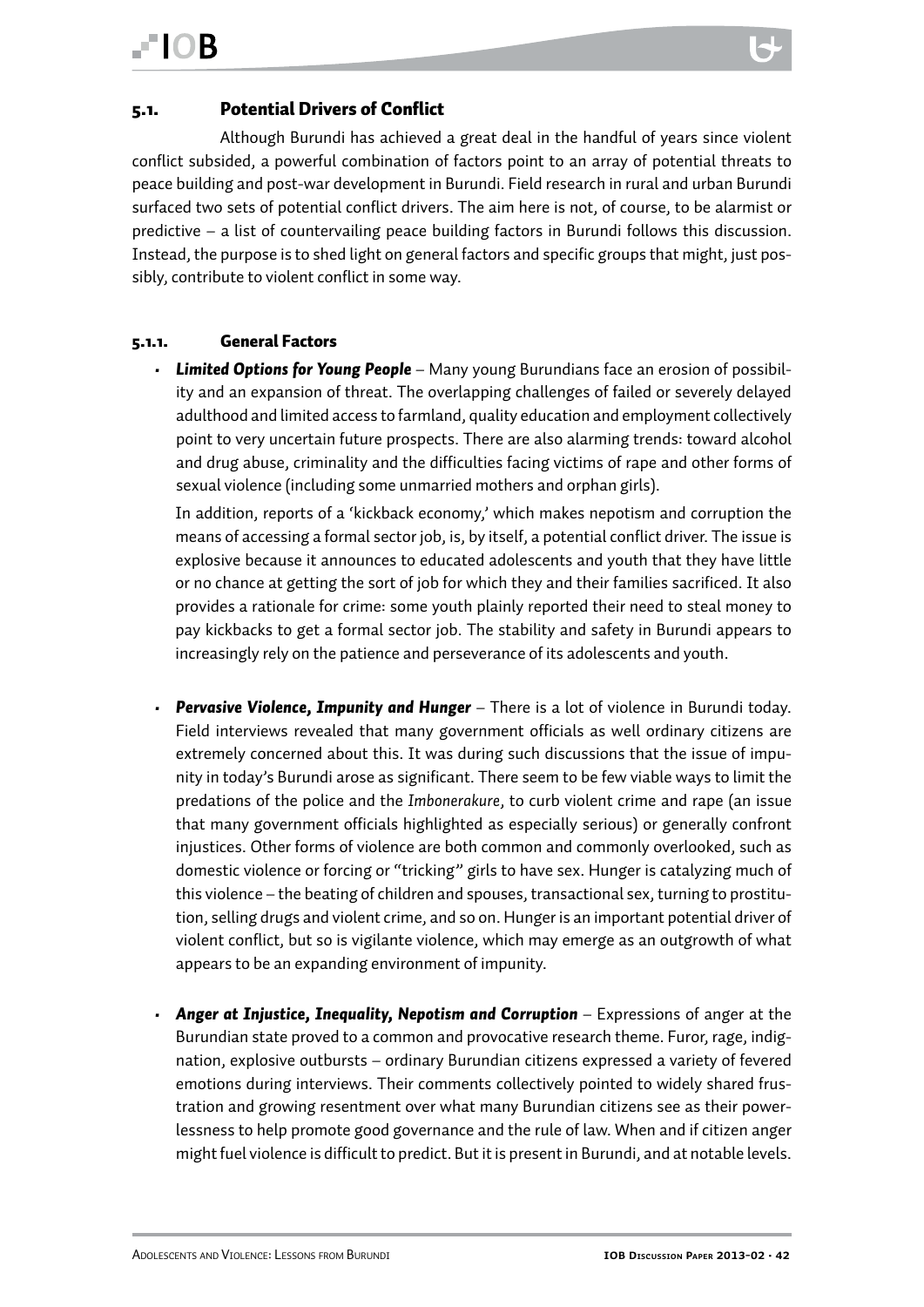<span id="page-41-0"></span>Although Burundi has achieved a great deal in the handful of years since violent conflict subsided, a powerful combination of factors point to an array of potential threats to peace building and post-war development in Burundi. Field research in rural and urban Burundi surfaced two sets of potential conflict drivers. The aim here is not, of course, to be alarmist or predictive – a list of countervailing peace building factors in Burundi follows this discussion. Instead, the purpose is to shed light on general factors and specific groups that might, just possibly, contribute to violent conflict in some way.

#### 5.1.1. General Factors

*• Limited Options for Young People* – Many young Burundians face an erosion of possibility and an expansion of threat. The overlapping challenges of failed or severely delayed adulthood and limited access to farmland, quality education and employment collectively point to very uncertain future prospects. There are also alarming trends: toward alcohol and drug abuse, criminality and the difficulties facing victims of rape and other forms of sexual violence (including some unmarried mothers and orphan girls).

In addition, reports of a 'kickback economy,' which makes nepotism and corruption the means of accessing a formal sector job, is, by itself, a potential conflict driver. The issue is explosive because it announces to educated adolescents and youth that they have little or no chance at getting the sort of job for which they and their families sacrificed. It also provides a rationale for crime: some youth plainly reported their need to steal money to pay kickbacks to get a formal sector job. The stability and safety in Burundi appears to increasingly rely on the patience and perseverance of its adolescents and youth.

- **• Pervasive Violence, Impunity and Hunger** There is a lot of violence in Burundi today. Field interviews revealed that many government officials as well ordinary citizens are extremely concerned about this. It was during such discussions that the issue of impunity in today's Burundi arose as significant. There seem to be few viable ways to limit the predations of the police and the *Imbonerakure*, to curb violent crime and rape (an issue that many government officials highlighted as especially serious) or generally confront injustices. Other forms of violence are both common and commonly overlooked, such as domestic violence or forcing or "tricking" girls to have sex. Hunger is catalyzing much of this violence – the beating of children and spouses, transactional sex, turning to prostitution, selling drugs and violent crime, and so on. Hunger is an important potential driver of violent conflict, but so is vigilante violence, which may emerge as an outgrowth of what appears to be an expanding environment of impunity.
- *• Anger at Injustice, Inequality, Nepotism and Corruption* Expressions of anger at the Burundian state proved to a common and provocative research theme. Furor, rage, indignation, explosive outbursts – ordinary Burundian citizens expressed a variety of fevered emotions during interviews. Their comments collectively pointed to widely shared frustration and growing resentment over what many Burundian citizens see as their powerlessness to help promote good governance and the rule of law. When and if citizen anger might fuel violence is difficult to predict. But it is present in Burundi, and at notable levels.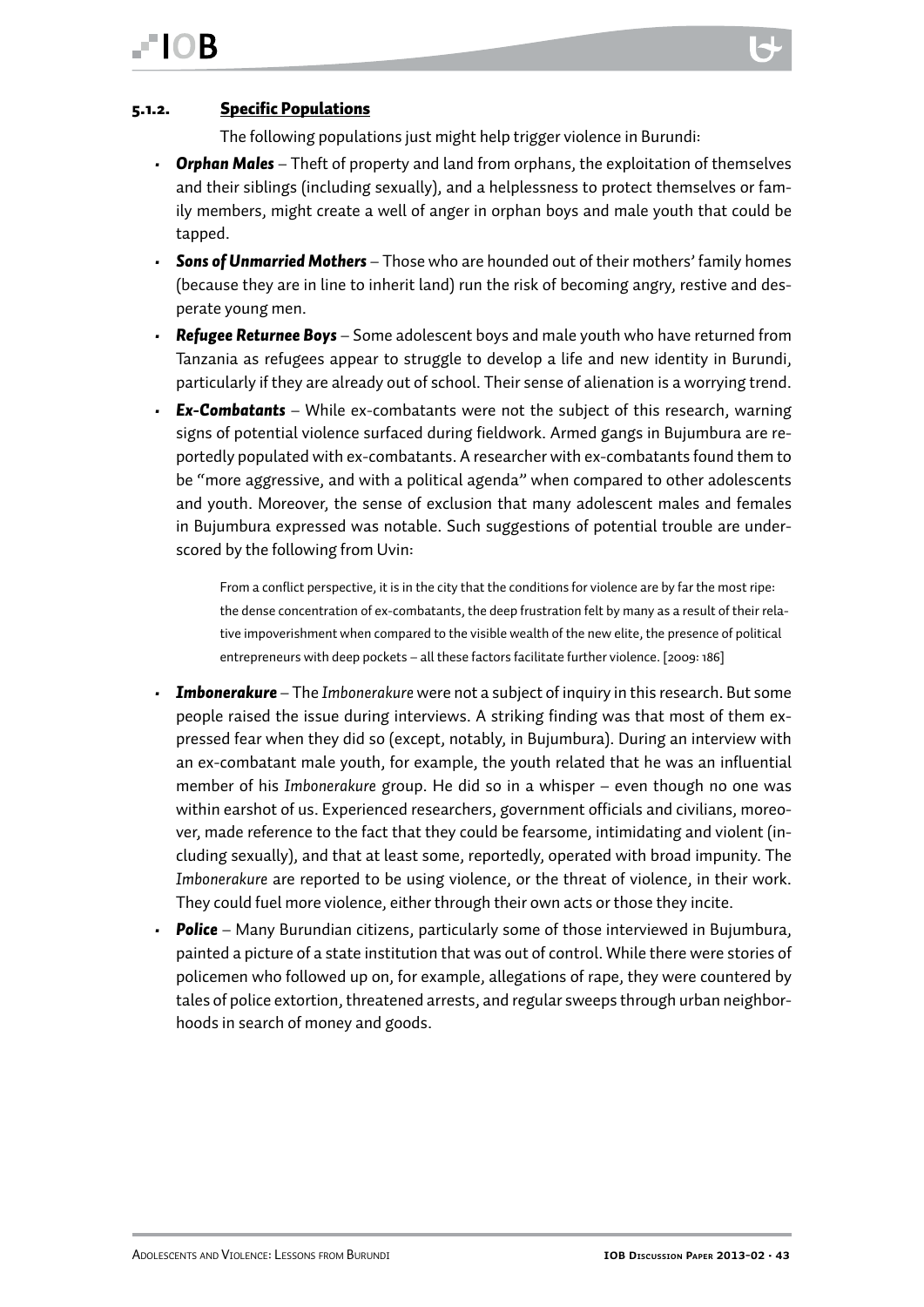### <span id="page-42-0"></span>**IOR**

#### 5.1.2. Specific Populations

The following populations just might help trigger violence in Burundi:

- *• Orphan Males* Theft of property and land from orphans, the exploitation of themselves and their siblings (including sexually), and a helplessness to protect themselves or family members, might create a well of anger in orphan boys and male youth that could be tapped.
- *• Sons of Unmarried Mothers* Those who are hounded out of their mothers' family homes (because they are in line to inherit land) run the risk of becoming angry, restive and desperate young men.
- *• Refugee Returnee Boys* Some adolescent boys and male youth who have returned from Tanzania as refugees appear to struggle to develop a life and new identity in Burundi, particularly if they are already out of school. Their sense of alienation is a worrying trend.
- *• Ex-Combatants* While ex-combatants were not the subject of this research, warning signs of potential violence surfaced during fieldwork. Armed gangs in Bujumbura are reportedly populated with ex-combatants. A researcher with ex-combatants found them to be "more aggressive, and with a political agenda" when compared to other adolescents and youth. Moreover, the sense of exclusion that many adolescent males and females in Bujumbura expressed was notable. Such suggestions of potential trouble are underscored by the following from Uvin:

From a conflict perspective, it is in the city that the conditions for violence are by far the most ripe: the dense concentration of ex-combatants, the deep frustration felt by many as a result of their relative impoverishment when compared to the visible wealth of the new elite, the presence of political entrepreneurs with deep pockets – all these factors facilitate further violence. [2009: 186]

- *• Imbonerakure*  The *Imbonerakure* were not a subject of inquiry in this research. But some people raised the issue during interviews. A striking finding was that most of them expressed fear when they did so (except, notably, in Bujumbura). During an interview with an ex-combatant male youth, for example, the youth related that he was an influential member of his *Imbonerakure* group. He did so in a whisper – even though no one was within earshot of us. Experienced researchers, government officials and civilians, moreover, made reference to the fact that they could be fearsome, intimidating and violent (including sexually), and that at least some, reportedly, operated with broad impunity. The *Imbonerakure* are reported to be using violence, or the threat of violence, in their work. They could fuel more violence, either through their own acts or those they incite.
- *• Police* Many Burundian citizens, particularly some of those interviewed in Bujumbura, painted a picture of a state institution that was out of control. While there were stories of policemen who followed up on, for example, allegations of rape, they were countered by tales of police extortion, threatened arrests, and regular sweeps through urban neighborhoods in search of money and goods.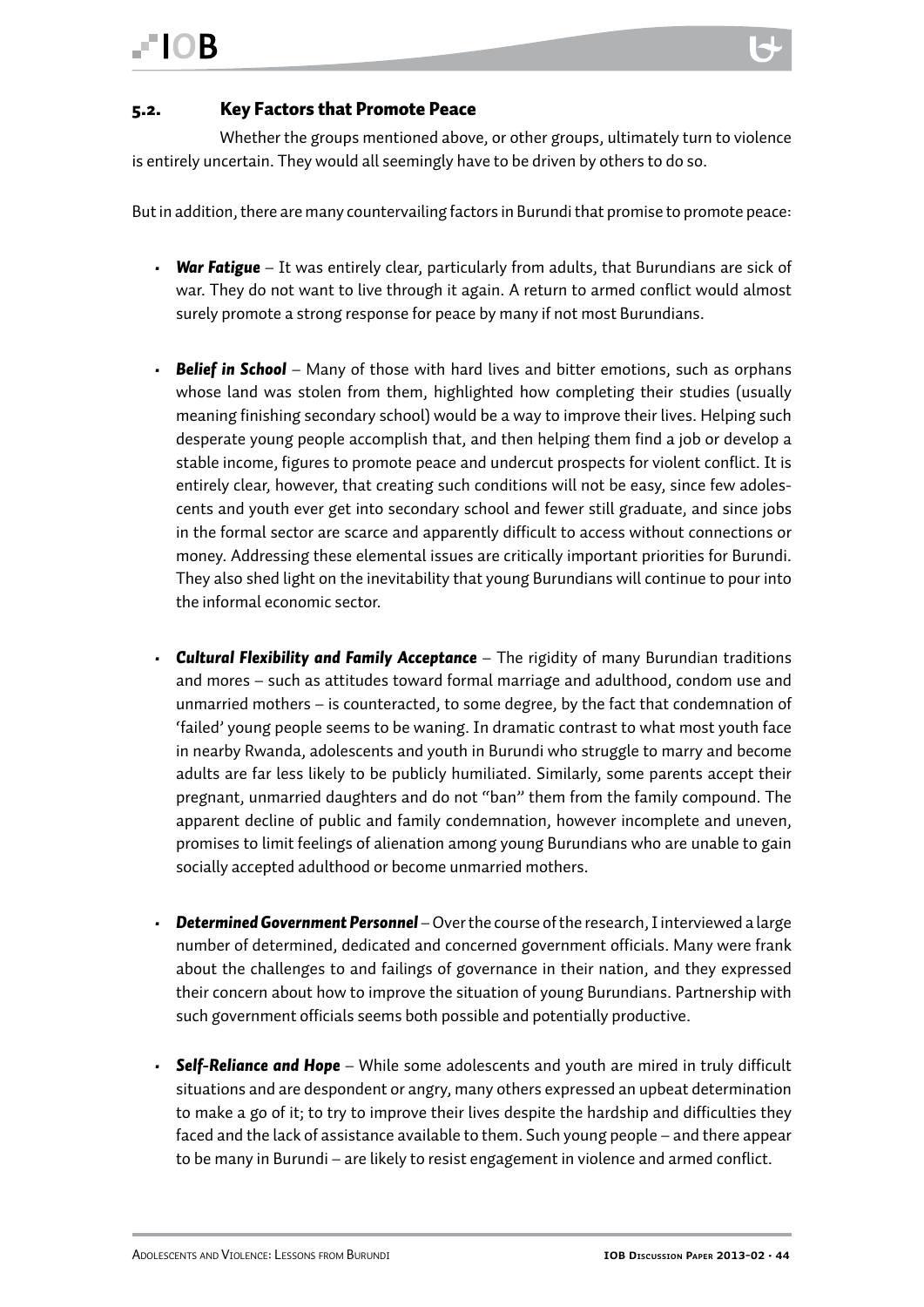<span id="page-43-0"></span>Whether the groups mentioned above, or other groups, ultimately turn to violence is entirely uncertain. They would all seemingly have to be driven by others to do so.

But in addition, there are many countervailing factors in Burundi that promise to promote peace:

- *• War Fatigue* It was entirely clear, particularly from adults, that Burundians are sick of war. They do not want to live through it again. A return to armed conflict would almost surely promote a strong response for peace by many if not most Burundians.
- *• Belief in School* Many of those with hard lives and bitter emotions, such as orphans whose land was stolen from them, highlighted how completing their studies (usually meaning finishing secondary school) would be a way to improve their lives. Helping such desperate young people accomplish that, and then helping them find a job or develop a stable income, figures to promote peace and undercut prospects for violent conflict. It is entirely clear, however, that creating such conditions will not be easy, since few adolescents and youth ever get into secondary school and fewer still graduate, and since jobs in the formal sector are scarce and apparently difficult to access without connections or money. Addressing these elemental issues are critically important priorities for Burundi. They also shed light on the inevitability that young Burundians will continue to pour into the informal economic sector.
- *Cultural Flexibility and Family Acceptance The rigidity of many Burundian traditions* and mores – such as attitudes toward formal marriage and adulthood, condom use and unmarried mothers – is counteracted, to some degree, by the fact that condemnation of 'failed' young people seems to be waning. In dramatic contrast to what most youth face in nearby Rwanda, adolescents and youth in Burundi who struggle to marry and become adults are far less likely to be publicly humiliated. Similarly, some parents accept their pregnant, unmarried daughters and do not "ban" them from the family compound. The apparent decline of public and family condemnation, however incomplete and uneven, promises to limit feelings of alienation among young Burundians who are unable to gain socially accepted adulthood or become unmarried mothers.
- *• Determined Government Personnel* Over the course of the research, I interviewed a large number of determined, dedicated and concerned government officials. Many were frank about the challenges to and failings of governance in their nation, and they expressed their concern about how to improve the situation of young Burundians. Partnership with such government officials seems both possible and potentially productive.
- *• Self-Reliance and Hope* While some adolescents and youth are mired in truly difficult situations and are despondent or angry, many others expressed an upbeat determination to make a go of it; to try to improve their lives despite the hardship and difficulties they faced and the lack of assistance available to them. Such young people – and there appear to be many in Burundi – are likely to resist engagement in violence and armed conflict.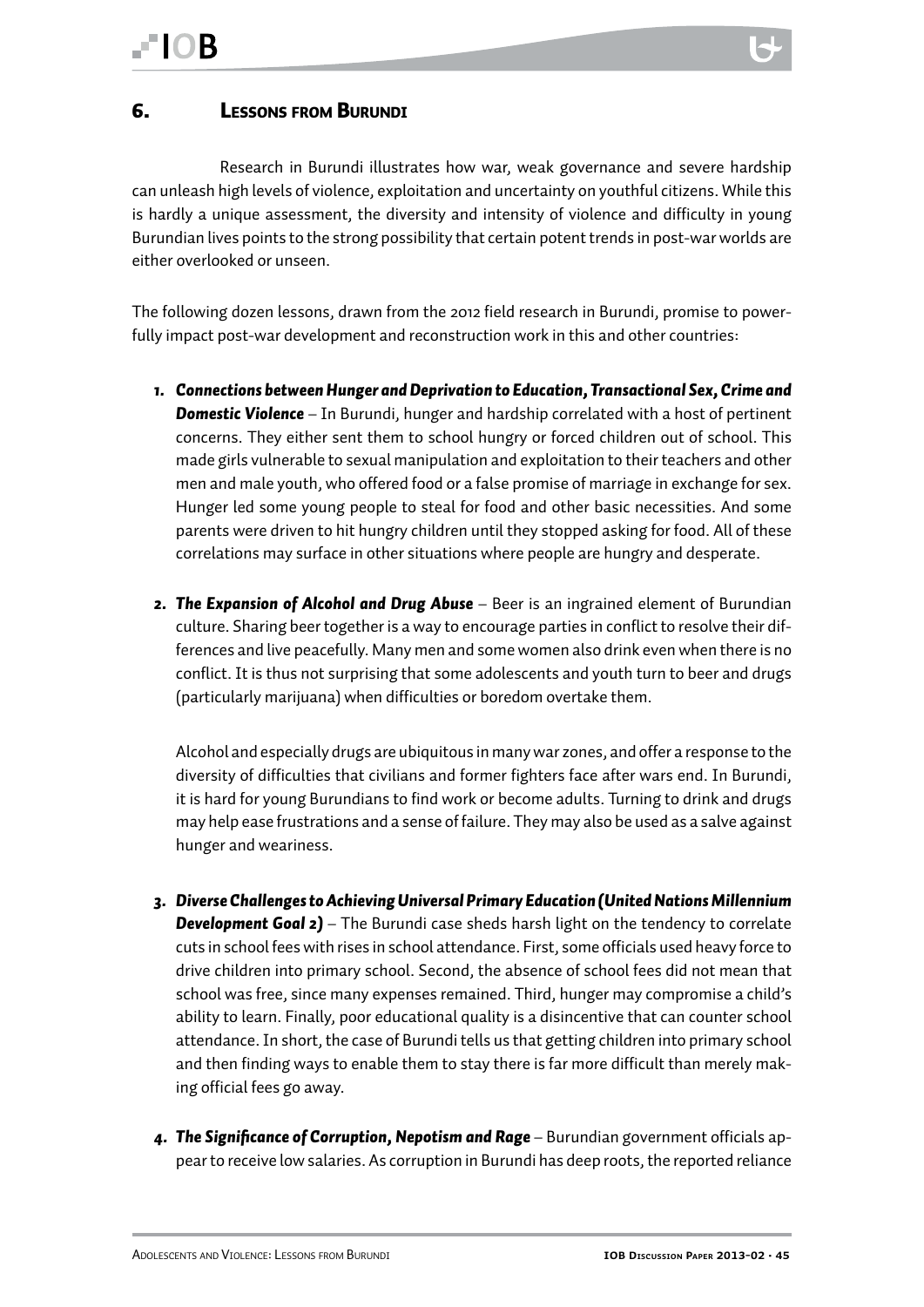#### <span id="page-44-0"></span>6. Lessons from Burundi

Research in Burundi illustrates how war, weak governance and severe hardship can unleash high levels of violence, exploitation and uncertainty on youthful citizens. While this is hardly a unique assessment, the diversity and intensity of violence and difficulty in young Burundian lives points to the strong possibility that certain potent trends in post-war worlds are either overlooked or unseen.

The following dozen lessons, drawn from the 2012 field research in Burundi, promise to powerfully impact post-war development and reconstruction work in this and other countries:

- *1. Connections between Hunger and Deprivation to Education, Transactional Sex, Crime and Domestic Violence* – In Burundi, hunger and hardship correlated with a host of pertinent concerns. They either sent them to school hungry or forced children out of school. This made girls vulnerable to sexual manipulation and exploitation to their teachers and other men and male youth, who offered food or a false promise of marriage in exchange for sex. Hunger led some young people to steal for food and other basic necessities. And some parents were driven to hit hungry children until they stopped asking for food. All of these correlations may surface in other situations where people are hungry and desperate.
- *2. The Expansion of Alcohol and Drug Abuse* Beer is an ingrained element of Burundian culture. Sharing beer together is a way to encourage parties in conflict to resolve their differences and live peacefully. Many men and some women also drink even when there is no conflict. It is thus not surprising that some adolescents and youth turn to beer and drugs (particularly marijuana) when difficulties or boredom overtake them.

Alcohol and especially drugs are ubiquitous in many war zones, and offer a response to the diversity of difficulties that civilians and former fighters face after wars end. In Burundi, it is hard for young Burundians to find work or become adults. Turning to drink and drugs may help ease frustrations and a sense of failure. They may also be used as a salve against hunger and weariness.

- *3. Diverse Challenges to Achieving Universal Primary Education (United Nations Millennium*  **Development Goal 2)** – The Burundi case sheds harsh light on the tendency to correlate cuts in school fees with rises in school attendance. First, some officials used heavy force to drive children into primary school. Second, the absence of school fees did not mean that school was free, since many expenses remained. Third, hunger may compromise a child's ability to learn. Finally, poor educational quality is a disincentive that can counter school attendance. In short, the case of Burundi tells us that getting children into primary school and then finding ways to enable them to stay there is far more difficult than merely making official fees go away.
- 4. The Significance of Corruption, Nepotism and Rage Burundian government officials appear to receive low salaries. As corruption in Burundi has deep roots, the reported reliance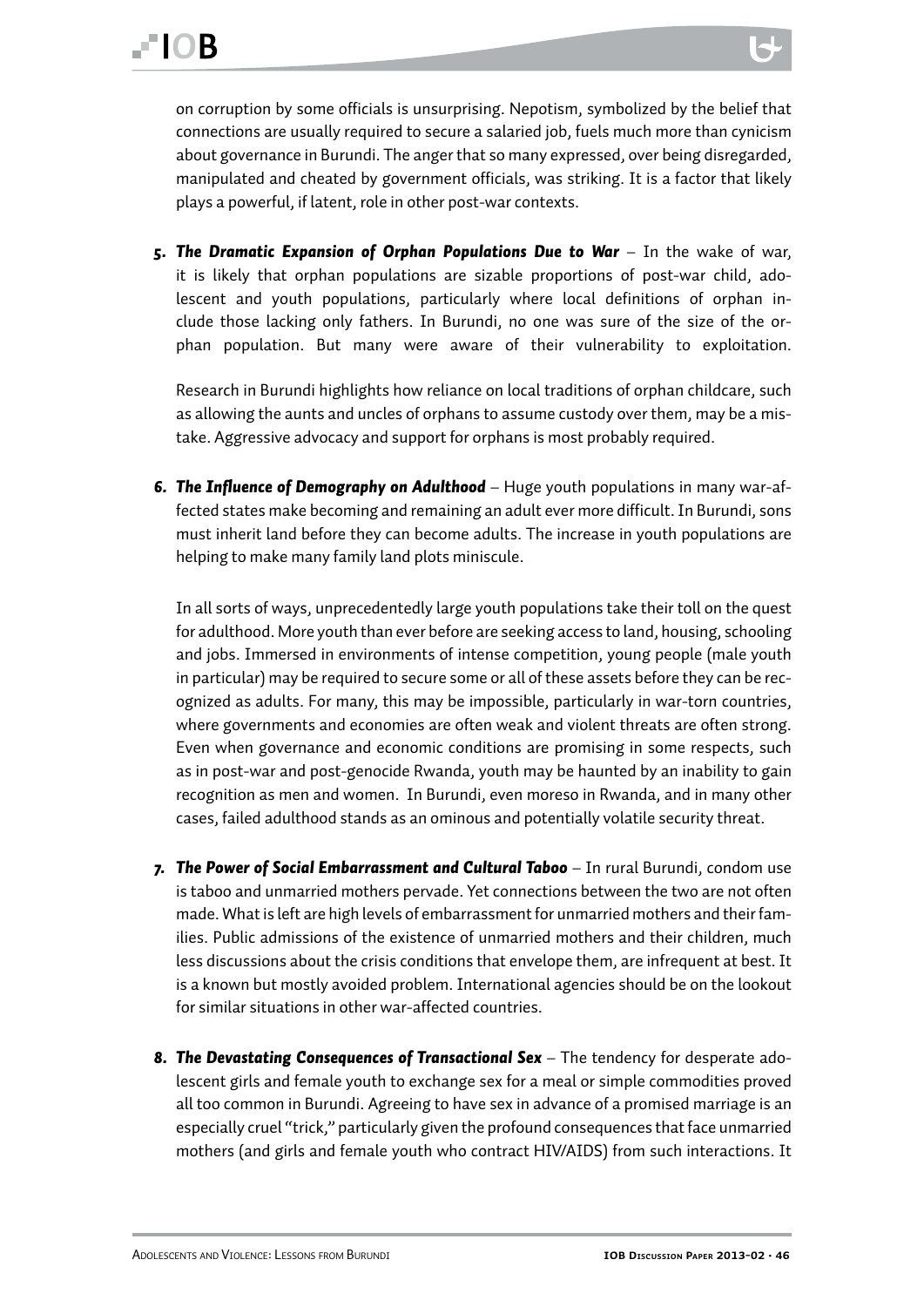on corruption by some officials is unsurprising. Nepotism, symbolized by the belief that connections are usually required to secure a salaried job, fuels much more than cynicism about governance in Burundi. The anger that so many expressed, over being disregarded, manipulated and cheated by government officials, was striking. It is a factor that likely plays a powerful, if latent, role in other post-war contexts.

*5. The Dramatic Expansion of Orphan Populations Due to War* – In the wake of war, it is likely that orphan populations are sizable proportions of post-war child, adolescent and youth populations, particularly where local definitions of orphan include those lacking only fathers. In Burundi, no one was sure of the size of the orphan population. But many were aware of their vulnerability to exploitation.

Research in Burundi highlights how reliance on local traditions of orphan childcare, such as allowing the aunts and uncles of orphans to assume custody over them, may be a mistake. Aggressive advocacy and support for orphans is most probably required.

**6. The Influence of Demography on Adulthood** – Huge youth populations in many war-affected states make becoming and remaining an adult ever more difficult. In Burundi, sons must inherit land before they can become adults. The increase in youth populations are helping to make many family land plots miniscule.

In all sorts of ways, unprecedentedly large youth populations take their toll on the quest for adulthood. More youth than ever before are seeking access to land, housing, schooling and jobs. Immersed in environments of intense competition, young people (male youth in particular) may be required to secure some or all of these assets before they can be recognized as adults. For many, this may be impossible, particularly in war-torn countries, where governments and economies are often weak and violent threats are often strong. Even when governance and economic conditions are promising in some respects, such as in post-war and post-genocide Rwanda, youth may be haunted by an inability to gain recognition as men and women. In Burundi, even moreso in Rwanda, and in many other cases, failed adulthood stands as an ominous and potentially volatile security threat.

- *7. The Power of Social Embarrassment and Cultural Taboo* In rural Burundi, condom use is taboo and unmarried mothers pervade. Yet connections between the two are not often made. What is left are high levels of embarrassment for unmarried mothers and their families. Public admissions of the existence of unmarried mothers and their children, much less discussions about the crisis conditions that envelope them, are infrequent at best. It is a known but mostly avoided problem. International agencies should be on the lookout for similar situations in other war-affected countries.
- 8. The Devastating Consequences of Transactional Sex The tendency for desperate adolescent girls and female youth to exchange sex for a meal or simple commodities proved all too common in Burundi. Agreeing to have sex in advance of a promised marriage is an especially cruel "trick," particularly given the profound consequences that face unmarried mothers (and girls and female youth who contract HIV/AIDS) from such interactions. It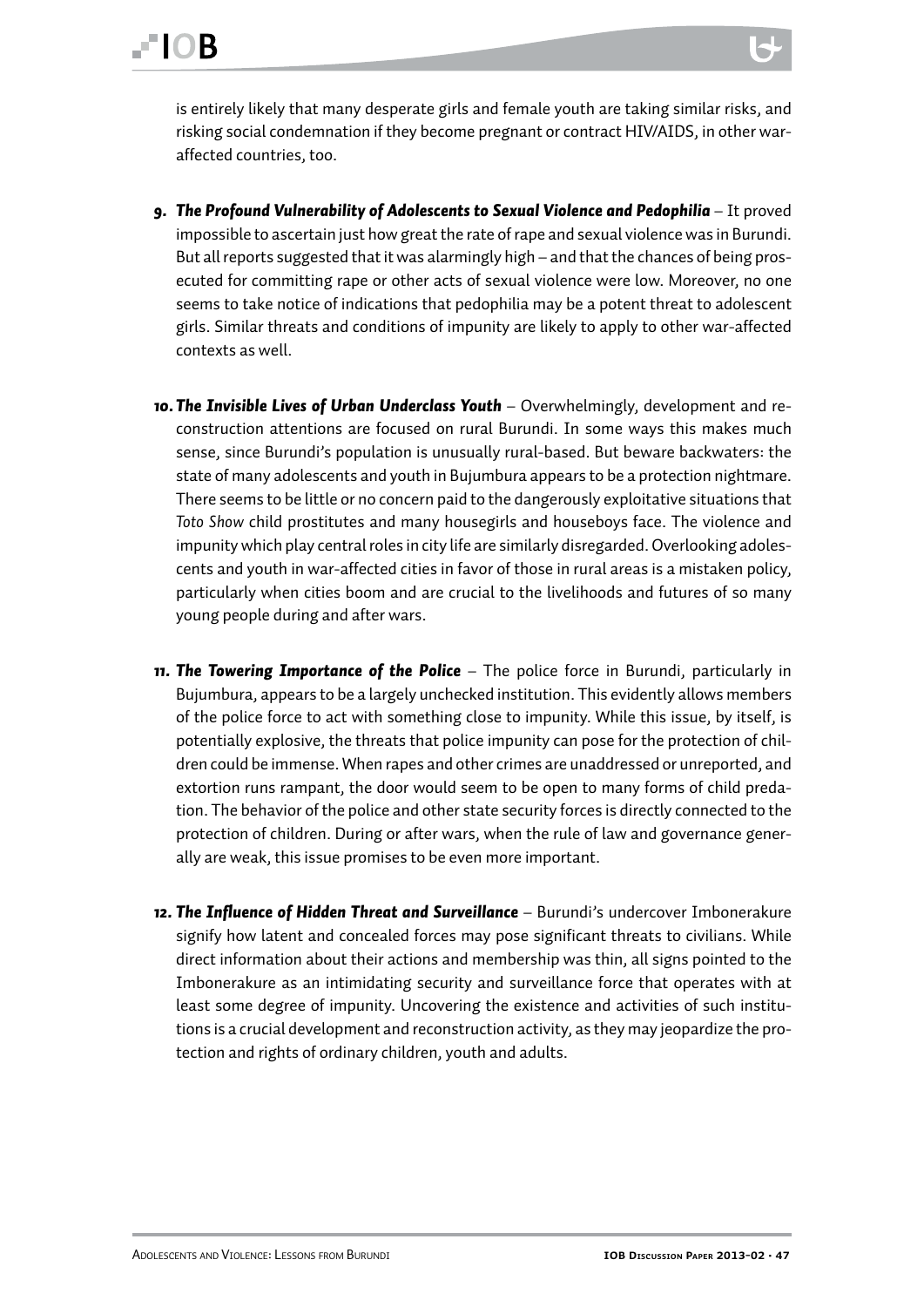is entirely likely that many desperate girls and female youth are taking similar risks, and risking social condemnation if they become pregnant or contract HIV/AIDS, in other waraffected countries, too.

- **9. The Profound Vulnerability of Adolescents to Sexual Violence and Pedophilia** It proved impossible to ascertain just how great the rate of rape and sexual violence was in Burundi. But all reports suggested that it was alarmingly high – and that the chances of being prosecuted for committing rape or other acts of sexual violence were low. Moreover, no one seems to take notice of indications that pedophilia may be a potent threat to adolescent girls. Similar threats and conditions of impunity are likely to apply to other war-affected contexts as well.
- *10. The Invisible Lives of Urban Underclass Youth* Overwhelmingly, development and reconstruction attentions are focused on rural Burundi. In some ways this makes much sense, since Burundi's population is unusually rural-based. But beware backwaters: the state of many adolescents and youth in Bujumbura appears to be a protection nightmare. There seems to be little or no concern paid to the dangerously exploitative situations that *Toto Show* child prostitutes and many housegirls and houseboys face. The violence and impunity which play central roles in city life are similarly disregarded. Overlooking adolescents and youth in war-affected cities in favor of those in rural areas is a mistaken policy, particularly when cities boom and are crucial to the livelihoods and futures of so many young people during and after wars.
- *11. The Towering Importance of the Police*  The police force in Burundi, particularly in Bujumbura, appears to be a largely unchecked institution. This evidently allows members of the police force to act with something close to impunity. While this issue, by itself, is potentially explosive, the threats that police impunity can pose for the protection of children could be immense. When rapes and other crimes are unaddressed or unreported, and extortion runs rampant, the door would seem to be open to many forms of child predation. The behavior of the police and other state security forces is directly connected to the protection of children. During or after wars, when the rule of law and governance generally are weak, this issue promises to be even more important.
- 12. The Influence of Hidden Threat and Surveillance Burundi's undercover Imbonerakure signify how latent and concealed forces may pose significant threats to civilians. While direct information about their actions and membership was thin, all signs pointed to the Imbonerakure as an intimidating security and surveillance force that operates with at least some degree of impunity. Uncovering the existence and activities of such institutions is a crucial development and reconstruction activity, as they may jeopardize the protection and rights of ordinary children, youth and adults.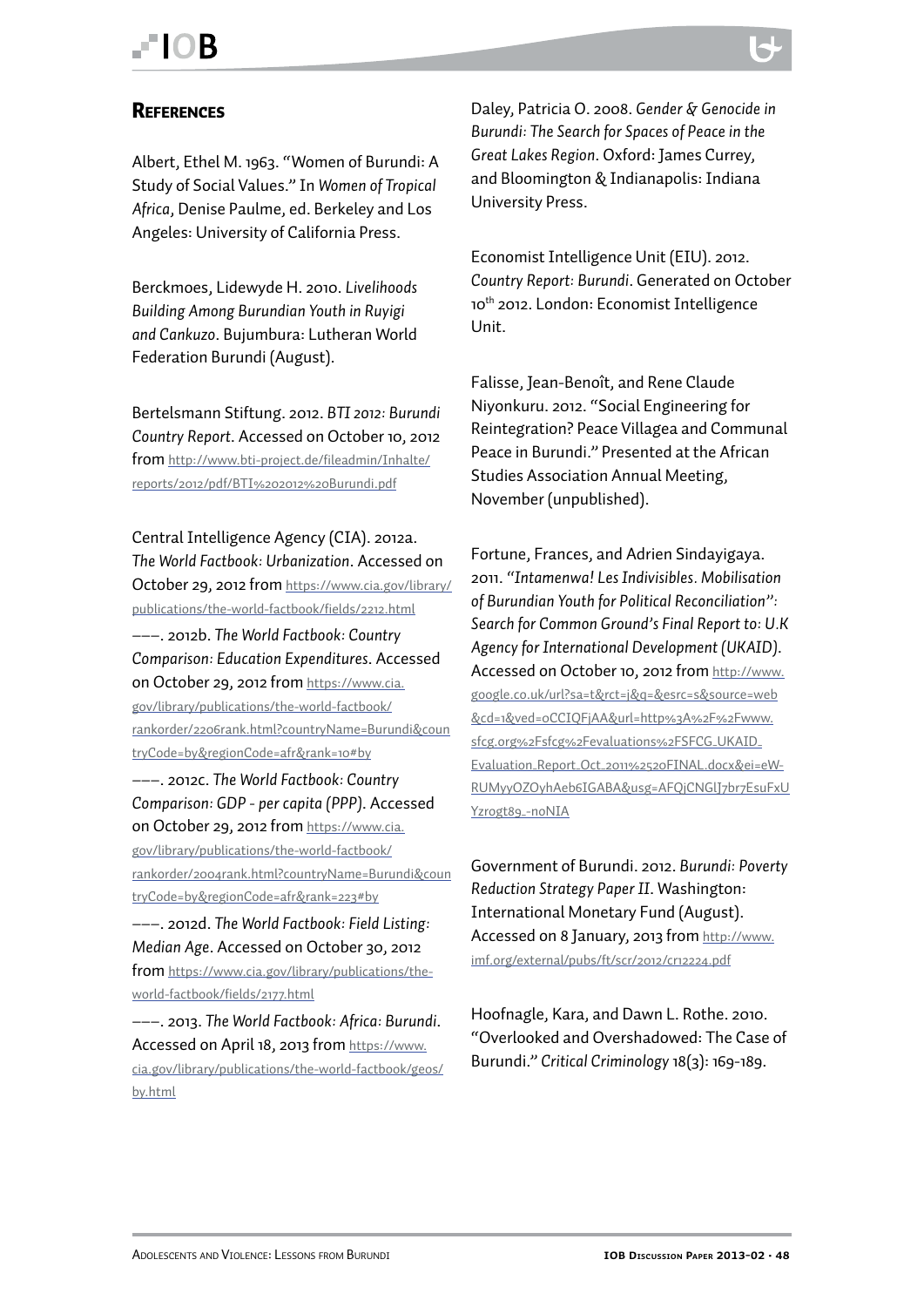### <span id="page-47-0"></span>FIOR

#### **REFERENCES**

Albert, Ethel M. 1963. "Women of Burundi: A Study of Social Values." In *Women of Tropical Africa*, Denise Paulme, ed. Berkeley and Los Angeles: University of California Press.

Berckmoes, Lidewyde H. 2010. *Livelihoods Building Among Burundian Youth in Ruyigi and Cankuzo*. Bujumbura: Lutheran World Federation Burundi (August).

Bertelsmann Stiftung. 2012. *BTI 2012: Burundi Country Report*. Accessed on October 10, 2012 from [http://www.bti-project.de/fileadmin/Inhalte/](http://www.bti-project.de/fileadmin/Inhalte/reports/2012/pdf/BTI 2012 Burundi.pdf) [reports/2012/pdf/BTI%202012%20Burundi.pdf](http://www.bti-project.de/fileadmin/Inhalte/reports/2012/pdf/BTI 2012 Burundi.pdf)

Central Intelligence Agency (CIA). 2012a. *The World Factbook: Urbanization*. Accessed on October 29, 2012 from [https://www.cia.gov/library/](https://www.cia.gov/library/publications/the-world-factbook/fields/2212.html) [publications/the-world-factbook/fields/2212.html](https://www.cia.gov/library/publications/the-world-factbook/fields/2212.html)

–––. 2012b. *The World Factbook: Country Comparison: Education Expenditures*. Accessed on October 29, 2012 from [https://www.cia.](https://www.cia.gov/library/publications/the-world-factbook/rankorder/2206rank.html?countryName=Burundi&countryCode=by®ionCode=afr&rank=10%23by) [gov/library/publications/the-world-factbook/](https://www.cia.gov/library/publications/the-world-factbook/rankorder/2206rank.html?countryName=Burundi&countryCode=by®ionCode=afr&rank=10%23by) [rankorder/2206rank.html?countryName=Burundi&coun](https://www.cia.gov/library/publications/the-world-factbook/rankorder/2206rank.html?countryName=Burundi&countryCode=by®ionCode=afr&rank=10%23by) [tryCode=by&regionCode=afr&rank=10#by](https://www.cia.gov/library/publications/the-world-factbook/rankorder/2206rank.html?countryName=Burundi&countryCode=by®ionCode=afr&rank=10%23by)

–––. 2012c. *The World Factbook: Country Comparison: GDP - per capita (PPP)*. Accessed on October 29, 2012 from [https://www.cia.](https://www.cia.gov/library/publications/the-world-factbook/rankorder/2004rank.html?countryName=Burundi&countryCode=by®ionCode=afr&rank=223%23by) [gov/library/publications/the-world-factbook/](https://www.cia.gov/library/publications/the-world-factbook/rankorder/2004rank.html?countryName=Burundi&countryCode=by®ionCode=afr&rank=223%23by) [rankorder/2004rank.html?countryName=Burundi&coun](https://www.cia.gov/library/publications/the-world-factbook/rankorder/2004rank.html?countryName=Burundi&countryCode=by®ionCode=afr&rank=223%23by) [tryCode=by&regionCode=afr&rank=223#by](https://www.cia.gov/library/publications/the-world-factbook/rankorder/2004rank.html?countryName=Burundi&countryCode=by®ionCode=afr&rank=223%23by)

–––. 2012d. *The World Factbook: Field Listing: Median Age*. Accessed on October 30, 2012 from [https://www.cia.gov/library/publications/the](https://www.cia.gov/library/publications/the-world-factbook/fields/2177.html)[world-factbook/fields/2177.html](https://www.cia.gov/library/publications/the-world-factbook/fields/2177.html)

–––. 2013. *The World Factbook: Africa: Burundi*. Accessed on April 18, 2013 from [https://www.](https://www.cia.gov/library/publications/the-world-factbook/geos/by.html) [cia.gov/library/publications/the-world-factbook/geos/](https://www.cia.gov/library/publications/the-world-factbook/geos/by.html) [by.html](https://www.cia.gov/library/publications/the-world-factbook/geos/by.html)

Daley, Patricia O. 2008. *Gender & Genocide in Burundi: The Search for Spaces of Peace in the Great Lakes Region*. Oxford: James Currey, and Bloomington & Indianapolis: Indiana University Press.

Economist Intelligence Unit (EIU). 2012. *Country Report: Burundi*. Generated on October 10<sup>th</sup> 2012. London: Economist Intelligence Unit.

Falisse, Jean-Benoît, and Rene Claude Niyonkuru. 2012. "Social Engineering for Reintegration? Peace Villagea and Communal Peace in Burundi." Presented at the African Studies Association Annual Meeting, November (unpublished).

Fortune, Frances, and Adrien Sindayigaya. 2011. *"Intamenwa! Les Indivisibles. Mobilisation of Burundian Youth for Political Reconciliation": Search for Common Ground's Final Report to: U.K Agency for International Development (UKAID)*. Accessed on October 10, 2012 from [http://www.](http://www.google.co.uk/url?sa=t&rct=j&q=&esrc=s&source=web&cd=1&ved=0CCIQFjAA&url=http%3A%2F%2Fwww.sfcg.org%2Fsfcg%2Fevaluations%2FSFCG_UKAID_Evaluation_Report_Oct_2011%2520FINAL.docx&ei=eW-RUMyyOZOyhAeb6IGABA&usg=AFQjCNGlJ7br7EsuFxUYzrogt89_-noNIA) [google.co.uk/url?sa=t&rct=j&q=&esrc=s&source=web](http://www.google.co.uk/url?sa=t&rct=j&q=&esrc=s&source=web&cd=1&ved=0CCIQFjAA&url=http%3A%2F%2Fwww.sfcg.org%2Fsfcg%2Fevaluations%2FSFCG_UKAID_Evaluation_Report_Oct_2011%2520FINAL.docx&ei=eW-RUMyyOZOyhAeb6IGABA&usg=AFQjCNGlJ7br7EsuFxUYzrogt89_-noNIA) [&cd=1&ved=0CCIQFjAA&url=http%3A%2F%2Fwww.](http://www.google.co.uk/url?sa=t&rct=j&q=&esrc=s&source=web&cd=1&ved=0CCIQFjAA&url=http%3A%2F%2Fwww.sfcg.org%2Fsfcg%2Fevaluations%2FSFCG_UKAID_Evaluation_Report_Oct_2011%2520FINAL.docx&ei=eW-RUMyyOZOyhAeb6IGABA&usg=AFQjCNGlJ7br7EsuFxUYzrogt89_-noNIA) [sfcg.org%2Fsfcg%2Fevaluations%2FSFCG\\_UKAID\\_](http://www.google.co.uk/url?sa=t&rct=j&q=&esrc=s&source=web&cd=1&ved=0CCIQFjAA&url=http%3A%2F%2Fwww.sfcg.org%2Fsfcg%2Fevaluations%2FSFCG_UKAID_Evaluation_Report_Oct_2011%2520FINAL.docx&ei=eW-RUMyyOZOyhAeb6IGABA&usg=AFQjCNGlJ7br7EsuFxUYzrogt89_-noNIA) [Evaluation\\_Report\\_Oct\\_2011%2520FINAL.docx&ei=eW-](http://www.google.co.uk/url?sa=t&rct=j&q=&esrc=s&source=web&cd=1&ved=0CCIQFjAA&url=http%3A%2F%2Fwww.sfcg.org%2Fsfcg%2Fevaluations%2FSFCG_UKAID_Evaluation_Report_Oct_2011%2520FINAL.docx&ei=eW-RUMyyOZOyhAeb6IGABA&usg=AFQjCNGlJ7br7EsuFxUYzrogt89_-noNIA)[RUMyyOZOyhAeb6IGABA&usg=AFQjCNGlJ7br7EsuFxU](http://www.google.co.uk/url?sa=t&rct=j&q=&esrc=s&source=web&cd=1&ved=0CCIQFjAA&url=http%3A%2F%2Fwww.sfcg.org%2Fsfcg%2Fevaluations%2FSFCG_UKAID_Evaluation_Report_Oct_2011%2520FINAL.docx&ei=eW-RUMyyOZOyhAeb6IGABA&usg=AFQjCNGlJ7br7EsuFxUYzrogt89_-noNIA) [Yzrogt89\\_-noNIA](http://www.google.co.uk/url?sa=t&rct=j&q=&esrc=s&source=web&cd=1&ved=0CCIQFjAA&url=http%3A%2F%2Fwww.sfcg.org%2Fsfcg%2Fevaluations%2FSFCG_UKAID_Evaluation_Report_Oct_2011%2520FINAL.docx&ei=eW-RUMyyOZOyhAeb6IGABA&usg=AFQjCNGlJ7br7EsuFxUYzrogt89_-noNIA)

Government of Burundi. 2012. *Burundi: Poverty Reduction Strategy Paper II*. Washington: International Monetary Fund (August). Accessed on 8 January, 2013 from [http://www.](http://www.imf.org/external/pubs/ft/scr/2012/cr12224.pdf) [imf.org/external/pubs/ft/scr/2012/cr12224.pdf](http://www.imf.org/external/pubs/ft/scr/2012/cr12224.pdf)

Hoofnagle, Kara, and Dawn L. Rothe. 2010. "Overlooked and Overshadowed: The Case of Burundi." *Critical Criminology* 18(3): 169-189.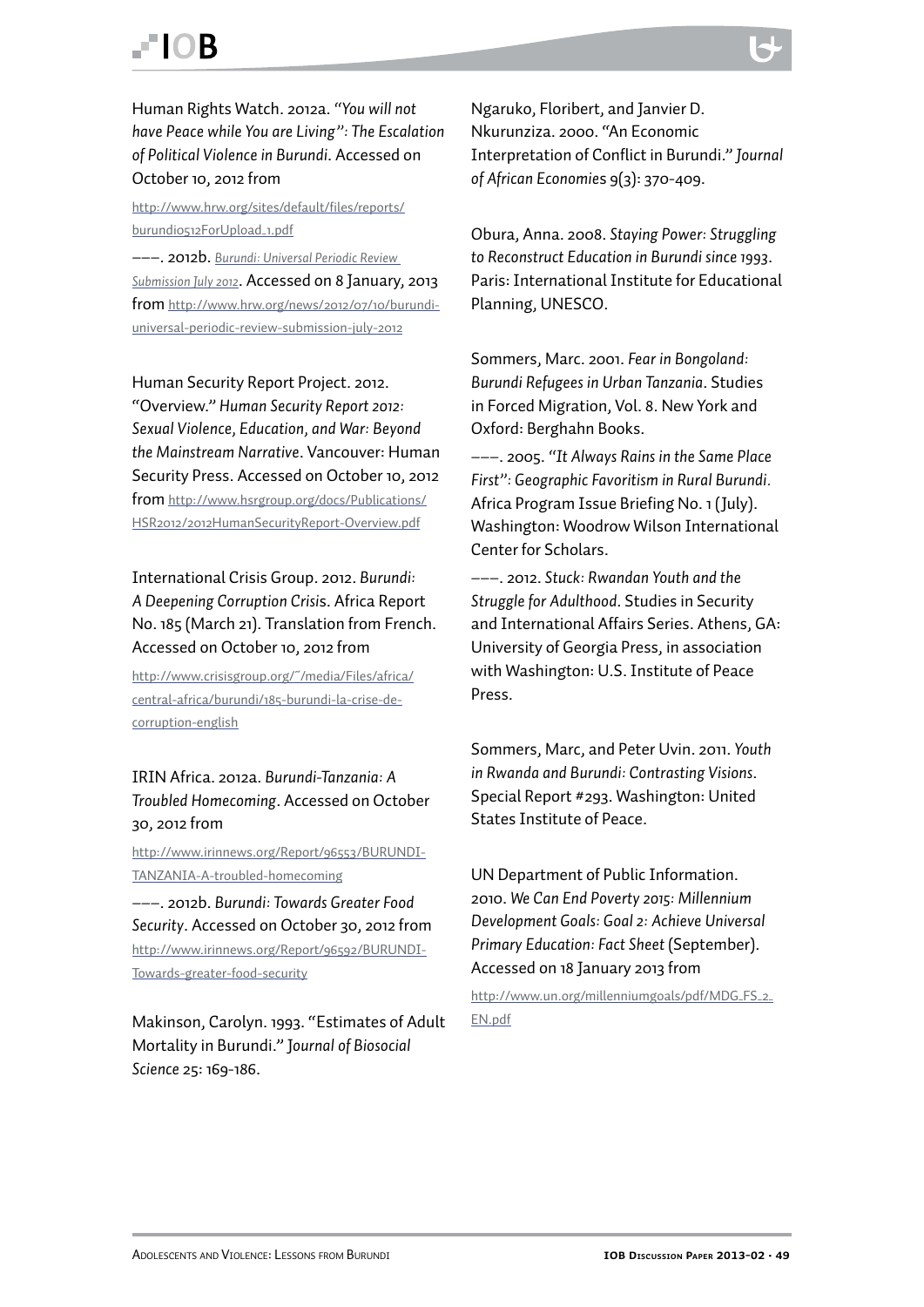Human Rights Watch. 2012a. *"You will not have Peace while You are Living": The Escalation of Political Violence in Burundi*. Accessed on October 10, 2012 from

[http://www.hrw.org/sites/default/files/reports/](http://www.hrw.org/sites/default/files/reports/burundi0512ForUpload_1.pdf) [burundi0512ForUpload\\_1.pdf](http://www.hrw.org/sites/default/files/reports/burundi0512ForUpload_1.pdf)

–––. 2012b. *[Burundi: Universal Periodic Review](http://www.hrw.org/news/2012/07/10/burundi-universal-periodic-review-submission-july-2012)  [Submission July 2012](http://www.hrw.org/news/2012/07/10/burundi-universal-periodic-review-submission-july-2012)*. Accessed on 8 January, 2013 from [http://www.hrw.org/news/2012/07/10/burundi](http://www.hrw.org/news/2012/07/10/burundi-universal-periodic-review-submission-july-2012)[universal-periodic-review-submission-july-2012](http://www.hrw.org/news/2012/07/10/burundi-universal-periodic-review-submission-july-2012)

Human Security Report Project. 2012. "Overview." *Human Security Report 2012: Sexual Violence, Education, and War: Beyond the Mainstream Narrative*. Vancouver: Human Security Press. Accessed on October 10, 2012 from [http://www.hsrgroup.org/docs/Publications/](http://www.hsrgroup.org/docs/Publications/HSR2012/2012HumanSecurityReport-Overview.pdf) [HSR2012/2012HumanSecurityReport-Overview.pdf](http://www.hsrgroup.org/docs/Publications/HSR2012/2012HumanSecurityReport-Overview.pdf)

International Crisis Group. 2012. *Burundi: A Deepening Corruption Crisi*s. Africa Report No. 185 (March 21). Translation from French. Accessed on October 10, 2012 from

[http://www.crisisgroup.org/~/media/Files/africa/](http://www.crisisgroup.org/~/media/Files/africa/central-africa/burundi/185-burundi-la-crise-de-corruption-english) [central-africa/burundi/185-burundi-la-crise-de](http://www.crisisgroup.org/~/media/Files/africa/central-africa/burundi/185-burundi-la-crise-de-corruption-english)[corruption-english](http://www.crisisgroup.org/~/media/Files/africa/central-africa/burundi/185-burundi-la-crise-de-corruption-english)

#### IRIN Africa. 2012a. *Burundi-Tanzania: A Troubled Homecoming*. Accessed on October 30, 2012 from

[http://www.irinnews.org/Report/96553/BURUNDI-](http://www.irinnews.org/Report/96553/BURUNDI-TANZANIA-A-troubled-homecoming)[TANZANIA-A-troubled-homecoming](http://www.irinnews.org/Report/96553/BURUNDI-TANZANIA-A-troubled-homecoming)

–––. 2012b. *Burundi: Towards Greater Food Security*. Accessed on October 30, 2012 from [http://www.irinnews.org/Report/96592/BURUNDI-](http://www.irinnews.org/Report/96592/BURUNDI-Towards-greater-food-security)[Towards-greater-food-security](http://www.irinnews.org/Report/96592/BURUNDI-Towards-greater-food-security)

Makinson, Carolyn. 1993. "Estimates of Adult Mortality in Burundi." J*ournal of Biosocial Science* 25: 169-186.

Ngaruko, Floribert, and Janvier D. Nkurunziza. 2000. "An Economic Interpretation of Conflict in Burundi." *Journal of African Economie*s 9(3): 370-409.

Obura, Anna. 2008. *Staying Power: Struggling to Reconstruct Education in Burundi since 1993*. Paris: International Institute for Educational Planning, UNESCO.

Sommers, Marc. 2001. *Fear in Bongoland: Burundi Refugees in Urban Tanzania*. Studies in Forced Migration, Vol. 8. New York and Oxford: Berghahn Books.

–––. 2005. *"It Always Rains in the Same Place First": Geographic Favoritism in Rural Burundi.* Africa Program Issue Briefing No. 1 (July). Washington: Woodrow Wilson International Center for Scholars.

–––. 2012. *Stuck: Rwandan Youth and the Struggle for Adulthood*. Studies in Security and International Affairs Series. Athens, GA: University of Georgia Press, in association with Washington: U.S. Institute of Peace Press.

Sommers, Marc, and Peter Uvin. 2011. *Youth in Rwanda and Burundi: Contrasting Visions*. Special Report #293. Washington: United States Institute of Peace.

UN Department of Public Information. 2010. *We Can End Poverty 2015: Millennium Development Goals: Goal 2: Achieve Universal Primary Education: Fact Sheet* (September). Accessed on 18 January 2013 from

[http://www.un.org/millenniumgoals/pdf/MDG\\_FS\\_2\\_](http://www.un.org/millenniumgoals/pdf/MDG_FS_2_EN.pdf) [EN.pdf](http://www.un.org/millenniumgoals/pdf/MDG_FS_2_EN.pdf)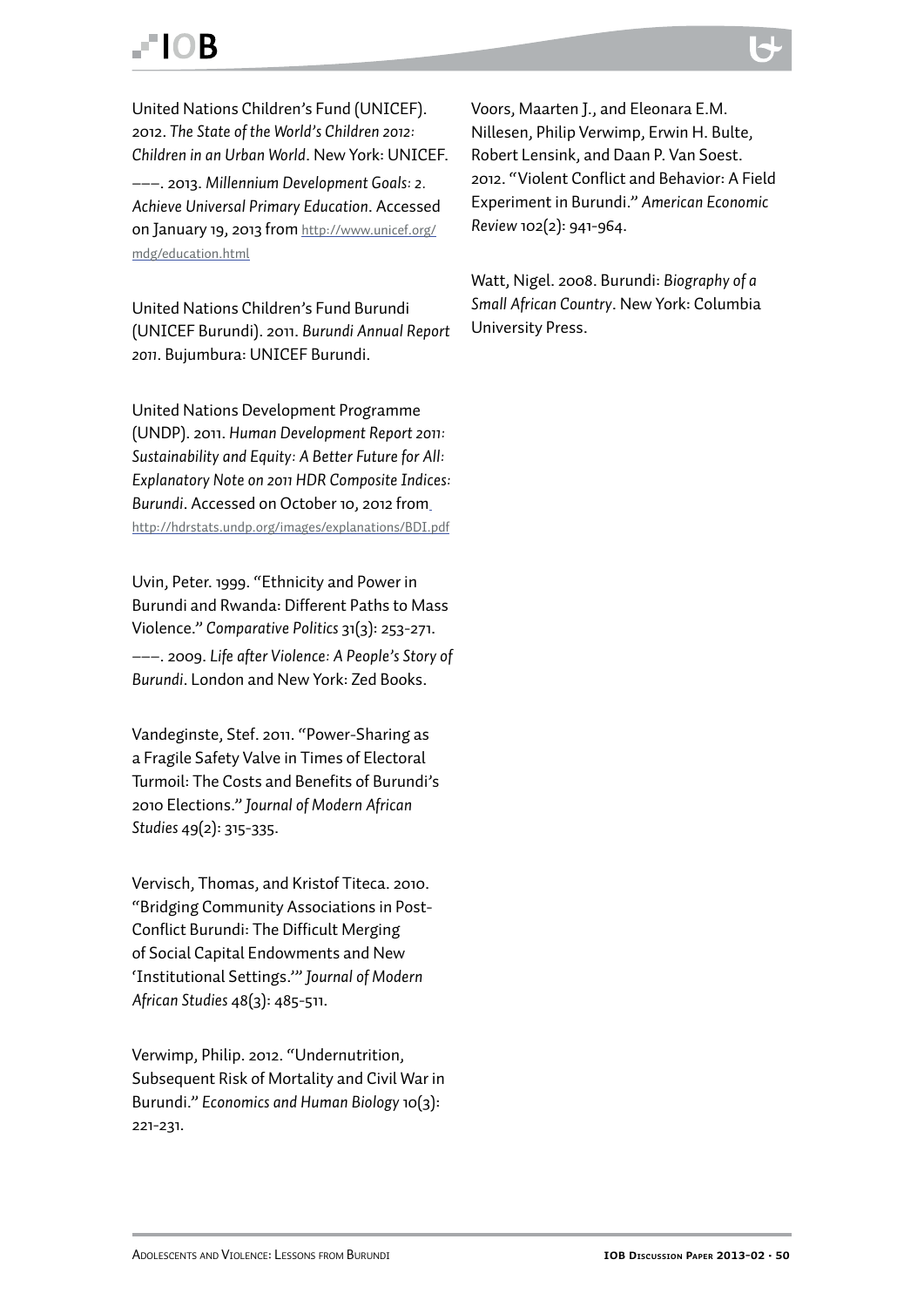### **FIOR**

United Nations Children's Fund (UNICEF). 2012. *The State of the World's Children 2012: Children in an Urban World*. New York: UNICEF. –––. 2013. *Millennium Development Goals: 2. Achieve Universal Primary Education*. Accessed on January 19, 2013 from [http://www.unicef.org/](http://www.unicef.org/mdg/education.html) [mdg/education.html](http://www.unicef.org/mdg/education.html)

United Nations Children's Fund Burundi (UNICEF Burundi). 2011. *Burundi Annual Report 2011*. Bujumbura: UNICEF Burundi.

United Nations Development Programme (UNDP). 2011. *Human Development Report 2011: Sustainability and Equity: A Better Future for All: Explanatory Note on 2011 HDR Composite Indices: Burundi*. Accessed on October 10, 2012 from <http://hdrstats.undp.org/images/explanations/BDI.pdf>

Uvin, Peter. 1999. "Ethnicity and Power in Burundi and Rwanda: Different Paths to Mass Violence." *Comparative Politics* 31(3): 253-271. –––. 2009. *Life after Violence: A People's Story of Burundi*. London and New York: Zed Books.

Vandeginste, Stef. 2011. "Power-Sharing as a Fragile Safety Valve in Times of Electoral Turmoil: The Costs and Benefits of Burundi's 2010 Elections." *Journal of Modern African Studies* 49(2): 315-335.

Vervisch, Thomas, and Kristof Titeca. 2010. "Bridging Community Associations in Post-Conflict Burundi: The Difficult Merging of Social Capital Endowments and New 'Institutional Settings.'" *Journal of Modern African Studies* 48(3): 485-511.

Verwimp, Philip. 2012. "Undernutrition, Subsequent Risk of Mortality and Civil War in Burundi." *Economics and Human Biology* 10(3): 221-231.

Voors, Maarten J., and Eleonara E.M. Nillesen, Philip Verwimp, Erwin H. Bulte, Robert Lensink, and Daan P. Van Soest. 2012. "Violent Conflict and Behavior: A Field Experiment in Burundi." *American Economic Review* 102(2): 941-964.

Watt, Nigel. 2008. Burundi: *Biography of a Small African Country*. New York: Columbia University Press.